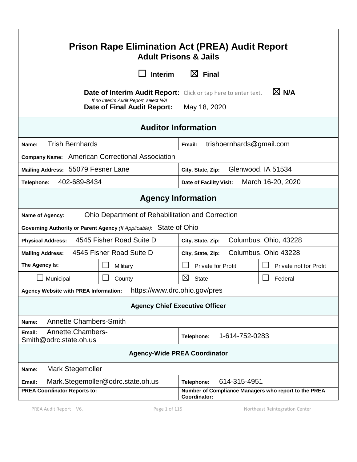| <b>Prison Rape Elimination Act (PREA) Audit Report</b><br><b>Adult Prisons &amp; Jails</b> |                                                                              |                                                                                                          |  |
|--------------------------------------------------------------------------------------------|------------------------------------------------------------------------------|----------------------------------------------------------------------------------------------------------|--|
|                                                                                            | <b>Interim</b>                                                               | $\boxtimes$ Final                                                                                        |  |
|                                                                                            | If no Interim Audit Report, select N/A<br><b>Date of Final Audit Report:</b> | $\boxtimes$ N/A<br><b>Date of Interim Audit Report:</b> Click or tap here to enter text.<br>May 18, 2020 |  |
| <b>Auditor Information</b>                                                                 |                                                                              |                                                                                                          |  |
| <b>Trish Bernhards</b><br>Name:                                                            |                                                                              | trishbernhards@gmail.com<br>Email:                                                                       |  |
|                                                                                            | Company Name: American Correctional Association                              |                                                                                                          |  |
| Mailing Address: 55079 Fesner Lane                                                         |                                                                              | Glenwood, IA 51534<br>City, State, Zip:                                                                  |  |
| 402-689-8434<br>Telephone:                                                                 |                                                                              | March 16-20, 2020<br>Date of Facility Visit:                                                             |  |
|                                                                                            |                                                                              | <b>Agency Information</b>                                                                                |  |
| Name of Agency:                                                                            | Ohio Department of Rehabilitation and Correction                             |                                                                                                          |  |
|                                                                                            | Governing Authority or Parent Agency (If Applicable): State of Ohio          |                                                                                                          |  |
| 4545 Fisher Road Suite D<br><b>Physical Address:</b>                                       |                                                                              | Columbus, Ohio, 43228<br>City, State, Zip:                                                               |  |
| 4545 Fisher Road Suite D<br><b>Mailing Address:</b>                                        |                                                                              | Columbus, Ohio 43228<br>City, State, Zip:                                                                |  |
| The Agency Is:                                                                             | Military                                                                     | <b>Private for Profit</b><br>Private not for Profit                                                      |  |
| Municipal                                                                                  | County                                                                       | $\boxtimes$<br><b>State</b><br>Federal                                                                   |  |
| Agency Website with PREA Information:                                                      | https://www.drc.ohio.gov/pres                                                |                                                                                                          |  |
| <b>Agency Chief Executive Officer</b>                                                      |                                                                              |                                                                                                          |  |
| Name:                                                                                      | <b>Annette Chambers-Smith</b>                                                |                                                                                                          |  |
| Annette.Chambers-<br>Email:<br>Smith@odrc.state.oh.us                                      |                                                                              | 1-614-752-0283<br>Telephone:                                                                             |  |
| <b>Agency-Wide PREA Coordinator</b>                                                        |                                                                              |                                                                                                          |  |
| <b>Mark Stegemoller</b><br>Name:                                                           |                                                                              |                                                                                                          |  |
| Email:                                                                                     | Mark.Stegemoller@odrc.state.oh.us                                            | 614-315-4951<br>Telephone:                                                                               |  |
| <b>PREA Coordinator Reports to:</b>                                                        |                                                                              | Number of Compliance Managers who report to the PREA<br>Coordinator:                                     |  |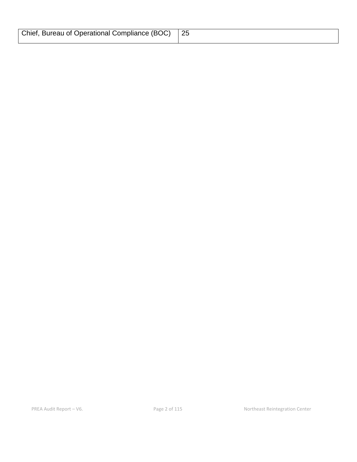| Chief, Bureau of Operational Compliance (BOC)   25 |  |
|----------------------------------------------------|--|
|                                                    |  |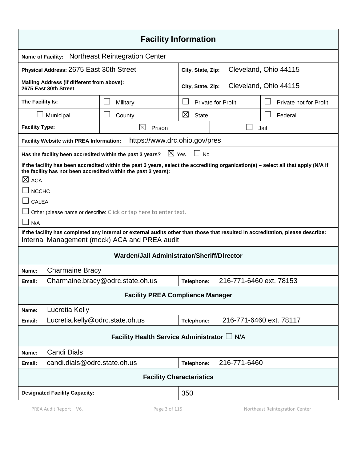| <b>Facility Information</b>                                                                                                                                                                                                                                                                                                      |                                            |                   |                                            |                         |
|----------------------------------------------------------------------------------------------------------------------------------------------------------------------------------------------------------------------------------------------------------------------------------------------------------------------------------|--------------------------------------------|-------------------|--------------------------------------------|-------------------------|
| <b>Northeast Reintegration Center</b><br><b>Name of Facility:</b>                                                                                                                                                                                                                                                                |                                            |                   |                                            |                         |
| Physical Address: 2675 East 30th Street                                                                                                                                                                                                                                                                                          |                                            | City, State, Zip: |                                            | Cleveland, Ohio 44115   |
| Mailing Address (if different from above):<br>2675 East 30th Street                                                                                                                                                                                                                                                              |                                            |                   | Cleveland, Ohio 44115<br>City, State, Zip: |                         |
| The Facility Is:                                                                                                                                                                                                                                                                                                                 | Military                                   |                   | <b>Private for Profit</b>                  | Private not for Profit  |
| Municipal                                                                                                                                                                                                                                                                                                                        | County                                     | ⊠<br><b>State</b> |                                            | Federal                 |
| <b>Facility Type:</b>                                                                                                                                                                                                                                                                                                            | ⊠<br>Prison                                |                   |                                            | Jail                    |
| Facility Website with PREA Information:                                                                                                                                                                                                                                                                                          | https://www.drc.ohio.gov/pres              |                   |                                            |                         |
| Has the facility been accredited within the past 3 years?                                                                                                                                                                                                                                                                        | $\boxtimes$ Yes                            | <b>No</b>         |                                            |                         |
| If the facility has been accredited within the past 3 years, select the accrediting organization(s) - select all that apply (N/A if<br>the facility has not been accredited within the past 3 years):<br>$\times$ ACA<br><b>NCCHC</b><br><b>CALEA</b><br>Other (please name or describe: Click or tap here to enter text.<br>N/A |                                            |                   |                                            |                         |
| If the facility has completed any internal or external audits other than those that resulted in accreditation, please describe:<br>Internal Management (mock) ACA and PREA audit                                                                                                                                                 |                                            |                   |                                            |                         |
|                                                                                                                                                                                                                                                                                                                                  | Warden/Jail Administrator/Sheriff/Director |                   |                                            |                         |
| <b>Charmaine Bracy</b><br>Name:                                                                                                                                                                                                                                                                                                  |                                            |                   |                                            |                         |
| 216-771-6460 ext. 78153<br>Charmaine.bracy@odrc.state.oh.us<br>Email:<br>Telephone:                                                                                                                                                                                                                                              |                                            |                   |                                            |                         |
| <b>Facility PREA Compliance Manager</b>                                                                                                                                                                                                                                                                                          |                                            |                   |                                            |                         |
| Lucretia Kelly<br>Name:                                                                                                                                                                                                                                                                                                          |                                            |                   |                                            |                         |
| Lucretia.kelly@odrc.state.oh.us<br>Email:                                                                                                                                                                                                                                                                                        |                                            | Telephone:        |                                            | 216-771-6460 ext. 78117 |
| Facility Health Service Administrator L N/A                                                                                                                                                                                                                                                                                      |                                            |                   |                                            |                         |
| <b>Candi Dials</b><br>Name:                                                                                                                                                                                                                                                                                                      |                                            |                   |                                            |                         |
| candi.dials@odrc.state.oh.us<br>Email:                                                                                                                                                                                                                                                                                           |                                            | Telephone:        | 216-771-6460                               |                         |
| <b>Facility Characteristics</b>                                                                                                                                                                                                                                                                                                  |                                            |                   |                                            |                         |
| 350<br><b>Designated Facility Capacity:</b>                                                                                                                                                                                                                                                                                      |                                            |                   |                                            |                         |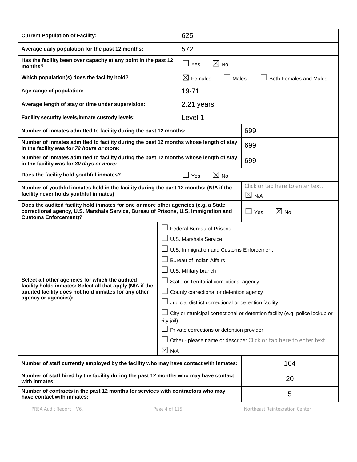| <b>Current Population of Facility:</b>                                                                                                                                                                     |                                                                                           | 625                                                               |                               |
|------------------------------------------------------------------------------------------------------------------------------------------------------------------------------------------------------------|-------------------------------------------------------------------------------------------|-------------------------------------------------------------------|-------------------------------|
| Average daily population for the past 12 months:                                                                                                                                                           |                                                                                           | 572                                                               |                               |
| Has the facility been over capacity at any point in the past 12<br>months?                                                                                                                                 |                                                                                           | $\boxtimes$ No<br>$\Box$ Yes                                      |                               |
| Which population(s) does the facility hold?                                                                                                                                                                |                                                                                           | $\boxtimes$ Females<br>Males                                      | <b>Both Females and Males</b> |
| Age range of population:                                                                                                                                                                                   |                                                                                           | 19-71                                                             |                               |
| Average length of stay or time under supervision:                                                                                                                                                          |                                                                                           | 2.21 years                                                        |                               |
| Facility security levels/inmate custody levels:                                                                                                                                                            |                                                                                           | Level 1                                                           |                               |
| Number of inmates admitted to facility during the past 12 months:                                                                                                                                          |                                                                                           |                                                                   | 699                           |
| Number of inmates admitted to facility during the past 12 months whose length of stay<br>in the facility was for 72 hours or more:                                                                         |                                                                                           |                                                                   | 699                           |
| Number of inmates admitted to facility during the past 12 months whose length of stay<br>in the facility was for 30 days or more:                                                                          |                                                                                           |                                                                   | 699                           |
| Does the facility hold youthful inmates?                                                                                                                                                                   |                                                                                           | $\boxtimes$ No<br>Yes                                             |                               |
| Number of youthful inmates held in the facility during the past 12 months: (N/A if the<br>facility never holds youthful inmates)                                                                           |                                                                                           | Click or tap here to enter text.<br>$\times$ N/A                  |                               |
| Does the audited facility hold inmates for one or more other agencies (e.g. a State<br>correctional agency, U.S. Marshals Service, Bureau of Prisons, U.S. Immigration and<br><b>Customs Enforcement)?</b> |                                                                                           | $\boxtimes$ No<br>Yes                                             |                               |
|                                                                                                                                                                                                            |                                                                                           | <b>Federal Bureau of Prisons</b>                                  |                               |
|                                                                                                                                                                                                            |                                                                                           | U.S. Marshals Service                                             |                               |
|                                                                                                                                                                                                            |                                                                                           | U.S. Immigration and Customs Enforcement                          |                               |
|                                                                                                                                                                                                            | <b>Bureau of Indian Affairs</b>                                                           |                                                                   |                               |
|                                                                                                                                                                                                            | U.S. Military branch                                                                      |                                                                   |                               |
| Select all other agencies for which the audited<br>facility holds inmates: Select all that apply (N/A if the                                                                                               | State or Territorial correctional agency                                                  |                                                                   |                               |
| audited facility does not hold inmates for any other<br>agency or agencies):                                                                                                                               | County correctional or detention agency                                                   |                                                                   |                               |
|                                                                                                                                                                                                            | Judicial district correctional or detention facility                                      |                                                                   |                               |
|                                                                                                                                                                                                            | City or municipal correctional or detention facility (e.g. police lockup or<br>city jail) |                                                                   |                               |
|                                                                                                                                                                                                            | Private corrections or detention provider                                                 |                                                                   |                               |
|                                                                                                                                                                                                            |                                                                                           | Other - please name or describe: Click or tap here to enter text. |                               |
| $\boxtimes$ N/A                                                                                                                                                                                            |                                                                                           |                                                                   |                               |
| Number of staff currently employed by the facility who may have contact with inmates:                                                                                                                      |                                                                                           | 164                                                               |                               |
| Number of staff hired by the facility during the past 12 months who may have contact<br>with inmates:                                                                                                      |                                                                                           | 20                                                                |                               |
| Number of contracts in the past 12 months for services with contractors who may<br>have contact with inmates:                                                                                              |                                                                                           |                                                                   | 5                             |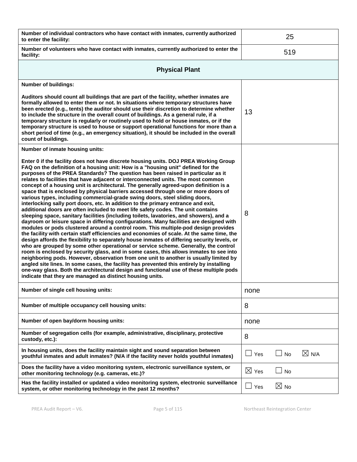| Number of individual contractors who have contact with inmates, currently authorized<br>to enter the facility:                                                                                                                                                                                                                                                                                                                                                                                                                                                                                                                                                                                                                                                                                                                                                                                                                                                                                                                                                                                                                                                                                                                                                                                                                                                                                                                                                                                                                                                                                                                                                                                                                                                                                |                 | 25             |                 |
|-----------------------------------------------------------------------------------------------------------------------------------------------------------------------------------------------------------------------------------------------------------------------------------------------------------------------------------------------------------------------------------------------------------------------------------------------------------------------------------------------------------------------------------------------------------------------------------------------------------------------------------------------------------------------------------------------------------------------------------------------------------------------------------------------------------------------------------------------------------------------------------------------------------------------------------------------------------------------------------------------------------------------------------------------------------------------------------------------------------------------------------------------------------------------------------------------------------------------------------------------------------------------------------------------------------------------------------------------------------------------------------------------------------------------------------------------------------------------------------------------------------------------------------------------------------------------------------------------------------------------------------------------------------------------------------------------------------------------------------------------------------------------------------------------|-----------------|----------------|-----------------|
| Number of volunteers who have contact with inmates, currently authorized to enter the<br>facility:                                                                                                                                                                                                                                                                                                                                                                                                                                                                                                                                                                                                                                                                                                                                                                                                                                                                                                                                                                                                                                                                                                                                                                                                                                                                                                                                                                                                                                                                                                                                                                                                                                                                                            |                 | 519            |                 |
| <b>Physical Plant</b>                                                                                                                                                                                                                                                                                                                                                                                                                                                                                                                                                                                                                                                                                                                                                                                                                                                                                                                                                                                                                                                                                                                                                                                                                                                                                                                                                                                                                                                                                                                                                                                                                                                                                                                                                                         |                 |                |                 |
| <b>Number of buildings:</b>                                                                                                                                                                                                                                                                                                                                                                                                                                                                                                                                                                                                                                                                                                                                                                                                                                                                                                                                                                                                                                                                                                                                                                                                                                                                                                                                                                                                                                                                                                                                                                                                                                                                                                                                                                   |                 |                |                 |
| Auditors should count all buildings that are part of the facility, whether inmates are<br>formally allowed to enter them or not. In situations where temporary structures have<br>been erected (e.g., tents) the auditor should use their discretion to determine whether<br>to include the structure in the overall count of buildings. As a general rule, if a<br>temporary structure is regularly or routinely used to hold or house inmates, or if the<br>temporary structure is used to house or support operational functions for more than a<br>short period of time (e.g., an emergency situation), it should be included in the overall<br>count of buildings.                                                                                                                                                                                                                                                                                                                                                                                                                                                                                                                                                                                                                                                                                                                                                                                                                                                                                                                                                                                                                                                                                                                       | 13              |                |                 |
| Number of inmate housing units:                                                                                                                                                                                                                                                                                                                                                                                                                                                                                                                                                                                                                                                                                                                                                                                                                                                                                                                                                                                                                                                                                                                                                                                                                                                                                                                                                                                                                                                                                                                                                                                                                                                                                                                                                               |                 |                |                 |
| Enter 0 if the facility does not have discrete housing units. DOJ PREA Working Group<br>FAQ on the definition of a housing unit: How is a "housing unit" defined for the<br>purposes of the PREA Standards? The question has been raised in particular as it<br>relates to facilities that have adjacent or interconnected units. The most common<br>concept of a housing unit is architectural. The generally agreed-upon definition is a<br>space that is enclosed by physical barriers accessed through one or more doors of<br>various types, including commercial-grade swing doors, steel sliding doors,<br>interlocking sally port doors, etc. In addition to the primary entrance and exit,<br>additional doors are often included to meet life safety codes. The unit contains<br>sleeping space, sanitary facilities (including toilets, lavatories, and showers), and a<br>dayroom or leisure space in differing configurations. Many facilities are designed with<br>modules or pods clustered around a control room. This multiple-pod design provides<br>the facility with certain staff efficiencies and economies of scale. At the same time, the<br>design affords the flexibility to separately house inmates of differing security levels, or<br>who are grouped by some other operational or service scheme. Generally, the control<br>room is enclosed by security glass, and in some cases, this allows inmates to see into<br>neighboring pods. However, observation from one unit to another is usually limited by<br>angled site lines. In some cases, the facility has prevented this entirely by installing<br>one-way glass. Both the architectural design and functional use of these multiple pods<br>indicate that they are managed as distinct housing units. | 8               |                |                 |
| Number of single cell housing units:                                                                                                                                                                                                                                                                                                                                                                                                                                                                                                                                                                                                                                                                                                                                                                                                                                                                                                                                                                                                                                                                                                                                                                                                                                                                                                                                                                                                                                                                                                                                                                                                                                                                                                                                                          | none            |                |                 |
| Number of multiple occupancy cell housing units:                                                                                                                                                                                                                                                                                                                                                                                                                                                                                                                                                                                                                                                                                                                                                                                                                                                                                                                                                                                                                                                                                                                                                                                                                                                                                                                                                                                                                                                                                                                                                                                                                                                                                                                                              | 8               |                |                 |
| Number of open bay/dorm housing units:                                                                                                                                                                                                                                                                                                                                                                                                                                                                                                                                                                                                                                                                                                                                                                                                                                                                                                                                                                                                                                                                                                                                                                                                                                                                                                                                                                                                                                                                                                                                                                                                                                                                                                                                                        | none            |                |                 |
| Number of segregation cells (for example, administrative, disciplinary, protective<br>custody, etc.):                                                                                                                                                                                                                                                                                                                                                                                                                                                                                                                                                                                                                                                                                                                                                                                                                                                                                                                                                                                                                                                                                                                                                                                                                                                                                                                                                                                                                                                                                                                                                                                                                                                                                         | 8               |                |                 |
| In housing units, does the facility maintain sight and sound separation between<br>youthful inmates and adult inmates? (N/A if the facility never holds youthful inmates)                                                                                                                                                                                                                                                                                                                                                                                                                                                                                                                                                                                                                                                                                                                                                                                                                                                                                                                                                                                                                                                                                                                                                                                                                                                                                                                                                                                                                                                                                                                                                                                                                     | Yes             | No             | $\boxtimes$ N/A |
| Does the facility have a video monitoring system, electronic surveillance system, or<br>other monitoring technology (e.g. cameras, etc.)?                                                                                                                                                                                                                                                                                                                                                                                                                                                                                                                                                                                                                                                                                                                                                                                                                                                                                                                                                                                                                                                                                                                                                                                                                                                                                                                                                                                                                                                                                                                                                                                                                                                     | $\boxtimes$ Yes | <b>No</b>      |                 |
| Has the facility installed or updated a video monitoring system, electronic surveillance<br>system, or other monitoring technology in the past 12 months?                                                                                                                                                                                                                                                                                                                                                                                                                                                                                                                                                                                                                                                                                                                                                                                                                                                                                                                                                                                                                                                                                                                                                                                                                                                                                                                                                                                                                                                                                                                                                                                                                                     | Yes             | $\boxtimes$ No |                 |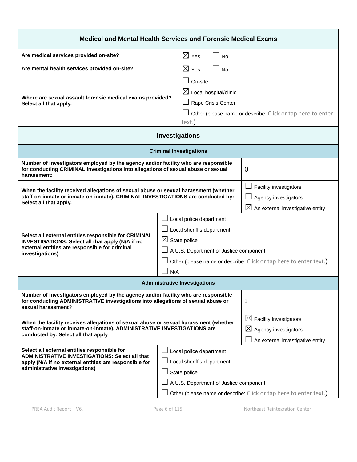| Medical and Mental Health Services and Forensic Medical Exams                                                                                                                                                                                                                                                        |                                                                                                                 |                                                                                                            |
|----------------------------------------------------------------------------------------------------------------------------------------------------------------------------------------------------------------------------------------------------------------------------------------------------------------------|-----------------------------------------------------------------------------------------------------------------|------------------------------------------------------------------------------------------------------------|
| Are medical services provided on-site?                                                                                                                                                                                                                                                                               | $\boxtimes$ Yes<br><b>No</b>                                                                                    |                                                                                                            |
| Are mental health services provided on-site?                                                                                                                                                                                                                                                                         | $\boxtimes$ Yes<br><b>No</b>                                                                                    |                                                                                                            |
| On-site<br>$\boxtimes$ Local hospital/clinic<br>Where are sexual assault forensic medical exams provided?<br>Rape Crisis Center<br>Select all that apply.<br>text.                                                                                                                                                   |                                                                                                                 | Other (please name or describe: Click or tap here to enter                                                 |
|                                                                                                                                                                                                                                                                                                                      | <b>Investigations</b>                                                                                           |                                                                                                            |
|                                                                                                                                                                                                                                                                                                                      | <b>Criminal Investigations</b>                                                                                  |                                                                                                            |
| Number of investigators employed by the agency and/or facility who are responsible<br>for conducting CRIMINAL investigations into allegations of sexual abuse or sexual<br>0<br>harassment:                                                                                                                          |                                                                                                                 |                                                                                                            |
| When the facility received allegations of sexual abuse or sexual harassment (whether<br>staff-on-inmate or inmate-on-inmate), CRIMINAL INVESTIGATIONS are conducted by:<br>Select all that apply.                                                                                                                    |                                                                                                                 | Facility investigators<br>Agency investigators<br>$\boxtimes$ An external investigative entity             |
| Local police department<br>Local sheriff's department<br>Select all external entities responsible for CRIMINAL<br>$\boxtimes$ State police<br>INVESTIGATIONS: Select all that apply (N/A if no<br>external entities are responsible for criminal<br>A U.S. Department of Justice component<br>investigations)<br>N/A |                                                                                                                 | Other (please name or describe: Click or tap here to enter text.)                                          |
|                                                                                                                                                                                                                                                                                                                      | <b>Administrative Investigations</b>                                                                            |                                                                                                            |
| Number of investigators employed by the agency and/or facility who are responsible<br>for conducting ADMINISTRATIVE investigations into allegations of sexual abuse or<br>1<br>sexual harassment?                                                                                                                    |                                                                                                                 |                                                                                                            |
| When the facility receives allegations of sexual abuse or sexual harassment (whether<br>staff-on-inmate or inmate-on-inmate), ADMINISTRATIVE INVESTIGATIONS are<br>conducted by: Select all that apply                                                                                                               |                                                                                                                 | $\boxtimes$ Facility investigators<br>$\boxtimes$ Agency investigators<br>An external investigative entity |
| Select all external entities responsible for<br>ADMINISTRATIVE INVESTIGATIONS: Select all that<br>apply (N/A if no external entities are responsible for<br>administrative investigations)                                                                                                                           | Local police department<br>Local sheriff's department<br>State police<br>A U.S. Department of Justice component | Other (please name or describe: Click or tap here to enter text.)                                          |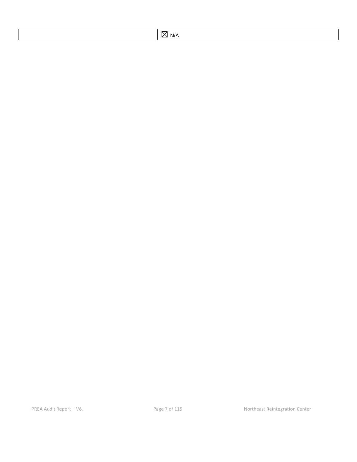| `W<br>$\sim$ $\sim$ |
|---------------------|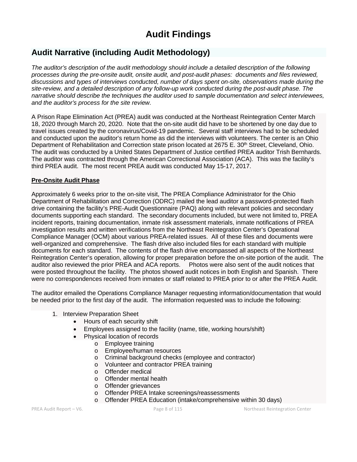# **Audit Findings**

## **Audit Narrative (including Audit Methodology)**

*The auditor's description of the audit methodology should include a detailed description of the following processes during the pre-onsite audit, onsite audit, and post-audit phases: documents and files reviewed, discussions and types of interviews conducted, number of days spent on-site, observations made during the site-review, and a detailed description of any follow-up work conducted during the post-audit phase. The narrative should describe the techniques the auditor used to sample documentation and select interviewees, and the auditor's process for the site review.*

A Prison Rape Elimination Act (PREA) audit was conducted at the Northeast Reintegration Center March 18, 2020 through March 20, 2020. Note that the on-site audit did have to be shortened by one day due to travel issues created by the coronavirus/Covid-19 pandemic. Several staff interviews had to be scheduled and conducted upon the auditor's return home as did the interviews with volunteers. The center is an Ohio Department of Rehabilitation and Correction state prison located at 2675 E. 30<sup>th</sup> Street, Cleveland, Ohio. The audit was conducted by a United States Department of Justice certified PREA auditor Trish Bernhards. The auditor was contracted through the American Correctional Association (ACA). This was the facility's third PREA audit. The most recent PREA audit was conducted May 15-17, 2017.

#### **Pre-Onsite Audit Phase**

Approximately 6 weeks prior to the on-site visit, The PREA Compliance Administrator for the Ohio Department of Rehabilitation and Correction (ODRC) mailed the lead auditor a password-protected flash drive containing the facility's PRE-Audit Questionnaire (PAQ) along with relevant policies and secondary documents supporting each standard. The secondary documents included, but were not limited to, PREA incident reports, training documentation, inmate risk assessment materials, inmate notifications of PREA investigation results and written verifications from the Northeast Reintegration Center's Operational Compliance Manager (OCM) about various PREA-related issues. All of these files and documents were well-organized and comprehensive. The flash drive also included files for each standard with multiple documents for each standard. The contents of the flash drive encompassed all aspects of the Northeast Reintegration Center's operation, allowing for proper preparation before the on-site portion of the audit. The auditor also reviewed the prior PREA and ACA reports. Photos were also sent of the audit notices that were posted throughout the facility. The photos showed audit notices in both English and Spanish. There were no correspondences received from inmates or staff related to PREA prior to or after the PREA Audit.

The auditor emailed the Operations Compliance Manager requesting information/documentation that would be needed prior to the first day of the audit. The information requested was to include the following:

- 1. Interview Preparation Sheet
	- Hours of each security shift
	- Employees assigned to the facility (name, title, working hours/shift)
	- Physical location of records
		- o Employee training
			- o Employee/human resources
			- o Criminal background checks (employee and contractor)
			- Volunteer and contractor PREA training<br>○ Offender medical
			- Offender medical
			- o Offender mental health
			- o Offender grievances
			- o Offender PREA Intake screenings/reassessments
			- o Offender PREA Education (intake/comprehensive within 30 days)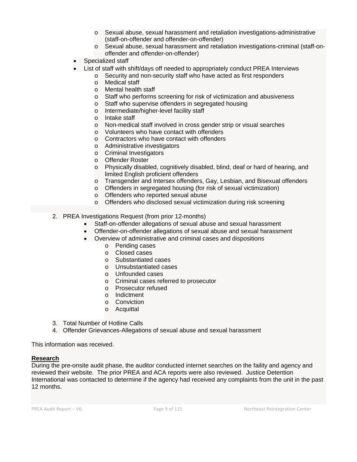- o Sexual abuse, sexual harassment and retaliation investigations-administrative (staff-on-offender and offender-on-offender)
- o Sexual abuse, sexual harassment and retaliation investigations-criminal (staff-onoffender and offender-on-offender)
- Specialized staff
- List of staff with shift/days off needed to appropriately conduct PREA Interviews
	- o Security and non-security staff who have acted as first responders
	- o Medical staff
	- o Mental health staff
	- o Staff who performs screening for risk of victimization and abusiveness
	- o Staff who supervise offenders in segregated housing
	- o Intermediate/higher-level facility staff
	- o Intake staff
	- o Non-medical staff involved in cross gender strip or visual searches
	- o Volunteers who have contact with offenders
	- o Contractors who have contact with offenders
	- o Administrative investigators
	- o Criminal Investigators
	- o Offender Roster
	- o Physically disabled, cognitively disabled, blind, deaf or hard of hearing, and limited English proficient offenders
	- o Transgender and Intersex offenders, Gay, Lesbian, and Bisexual offenders
	- o Offenders in segregated housing (for risk of sexual victimization)
	- o Offenders who reported sexual abuse
	- o Offenders who disclosed sexual victimization during risk screening

#### 2. PREA Investigations Request (from prior 12-months)

- Staff-on-offender allegations of sexual abuse and sexual harassment
- Offender-on-offender allegations of sexual abuse and sexual harassment
- Overview of administrative and criminal cases and dispositions
	- o Pending cases
	- o Closed cases
	- o Substantiated cases
	- o Unsubstantiated cases
	- o Unfounded cases
	- o Criminal cases referred to prosecutor
	- o Prosecutor refused
	- o Indictment
	- o Conviction
	- o Acquittal
- 3. Total Number of Hotline Calls
- 4. Offender Grievances-Allegations of sexual abuse and sexual harassment

This information was received.

#### **Research**

During the pre-onsite audit phase, the auditor conducted internet searches on the faility and agency and reviewed their website. The prior PREA and ACA reports were also reviewed. Justice Detention International was contacted to determine if the agency had received any complaints from the unit in the past 12 months.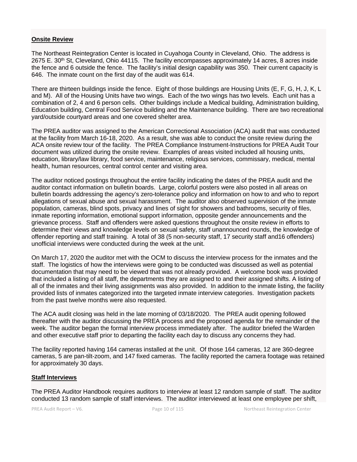#### **Onsite Review**

The Northeast Reintegration Center is located in Cuyahoga County in Cleveland, Ohio. The address is 2675 E. 30<sup>th</sup> St, Cleveland, Ohio 44115. The facility encompasses approximately 14 acres, 8 acres inside the fence and 6 outside the fence. The facility's initial design capability was 350. Their current capacity is 646. The inmate count on the first day of the audit was 614.

There are thirteen buildings inside the fence. Eight of those buildings are Housing Units (E, F, G, H, J, K, L and M). All of the Housing Units have two wings. Each of the two wings has two levels. Each unit has a combination of 2, 4 and 6 person cells. Other buildings include a Medical building, Administration building, Education building, Central Food Service building and the Maintenance building. There are two recreational yard/outside courtyard areas and one covered shelter area.

The PREA auditor was assigned to the American Correctional Association (ACA) audit that was conducted at the facility from March 16-18, 2020. As a result, she was able to conduct the onsite review during the ACA onsite review tour of the facility. The PREA Compliance Instrument-Instructions for PREA Audit Tour document was utilized during the onsite review. Examples of areas visited included all housing units, education, library/law library, food service, maintenance, religious services, commissary, medical, mental health, human resources, central control center and visiting area.

The auditor noticed postings throughout the entire facility indicating the dates of the PREA audit and the auditor contact information on bulletin boards. Large, colorful posters were also posted in all areas on bulletin boards addressing the agency's zero-tolerance policy and information on how to and who to report allegations of sexual abuse and sexual harassment. The auditor also observed supervision of the inmate population, cameras, blind spots, privacy and lines of sight for showers and bathrooms, security of files, inmate reporting information, emotional support information, opposite gender announcements and the grievance process. Staff and offenders were asked questions throughout the onsite review in efforts to determine their views and knowledge levels on sexual safety, staff unannounced rounds, the knowledge of offender reporting and staff training. A total of 38 (5 non-security staff, 17 security staff and16 offenders) unofficial interviews were conducted during the week at the unit.

On March 17, 2020 the auditor met with the OCM to discuss the interview process for the inmates and the staff. The logistics of how the interviews were going to be conducted was discussed as well as potential documentation that may need to be viewed that was not already provided. A welcome book was provided that included a listing of all staff, the departments they are assigned to and their assigned shifts. A listing of all of the inmates and their living assignments was also provided. In addition to the inmate listing, the facility provided lists of inmates categorized into the targeted inmate interview categories. Investigation packets from the past twelve months were also requested.

The ACA audit closing was held in the late morning of 03/18/2020. The PREA audit opening followed thereafter with the auditor discussing the PREA process and the proposed agenda for the remainder of the week. The auditor began the formal interview process immediately after. The auditor briefed the Warden and other executive staff prior to departing the facility each day to discuss any concerns they had.

The facility reported having 164 cameras installed at the unit. Of those 164 cameras, 12 are 360-degree cameras, 5 are pan-tilt-zoom, and 147 fixed cameras. The facility reported the camera footage was retained for approximately 30 days.

#### **Staff Interviews**

The PREA Auditor Handbook requires auditors to interview at least 12 random sample of staff. The auditor conducted 13 random sample of staff interviews. The auditor interviewed at least one employee per shift,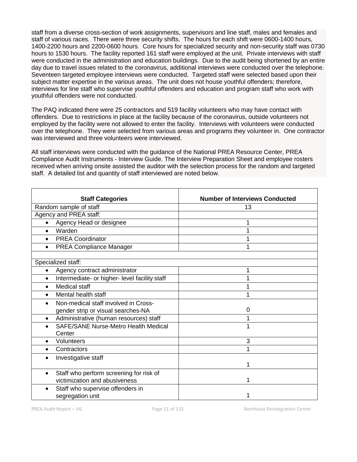staff from a diverse cross-section of work assignments, supervisors and line staff, males and females and staff of various races. There were three security shifts. The hours for each shift were 0600-1400 hours, 1400-2200 hours and 2200-0600 hours. Core hours for specialized security and non-security staff was 0730 hours to 1530 hours. The facility reported 161 staff were employed at the unit. Private interviews with staff were conducted in the administration and education buildings. Due to the audit being shortened by an entire day due to travel issues related to the coronavirus, additional interviews were conducted over the telephone. Seventeen targeted employee interviews were conducted. Targeted staff were selected based upon their subject matter expertise in the various areas. The unit does not house youthful offenders; therefore, interviews for line staff who supervise youthful offenders and education and program staff who work with youthful offenders were not conducted.

The PAQ indicated there were 25 contractors and 519 facility volunteers who may have contact with offenders. Due to restrictions in place at the facility because of the coronavirus, outside volunteers not employed by the facility were not allowed to enter the facility. Interviews with volunteers were conducted over the telephone. They were selected from various areas and programs they volunteer in. One contractor was interviewed and three volunteers were interviewed.

All staff interviews were conducted with the guidance of the National PREA Resource Center, PREA Compliance Audit Instruments - Interview Guide. The Interview Preparation Sheet and employee rosters received when arriving onsite assisted the auditor with the selection process for the random and targeted staff. A detailed list and quantity of staff interviewed are noted below.

| <b>Staff Categories</b>                                    | <b>Number of Interviews Conducted</b> |
|------------------------------------------------------------|---------------------------------------|
| Random sample of staff                                     | 13                                    |
| Agency and PREA staff:                                     |                                       |
| Agency Head or designee<br>$\bullet$                       | 1                                     |
| Warden<br>$\bullet$                                        | 1                                     |
| <b>PREA Coordinator</b><br>$\bullet$                       | 1                                     |
| <b>PREA Compliance Manager</b><br>$\bullet$                | 1                                     |
|                                                            |                                       |
| Specialized staff:                                         |                                       |
| Agency contract administrator<br>$\bullet$                 | 1                                     |
| Intermediate- or higher- level facility staff<br>$\bullet$ | 1                                     |
| Medical staff<br>$\bullet$                                 | 1                                     |
| Mental health staff                                        | 1                                     |
| Non-medical staff involved in Cross-                       |                                       |
| gender strip or visual searches-NA                         | 0                                     |
| Administrative (human resources) staff<br>$\bullet$        |                                       |
| <b>SAFE/SANE Nurse-Metro Health Medical</b>                | 1                                     |
| Center                                                     |                                       |
| Volunteers<br>$\bullet$                                    | 3                                     |
| Contractors<br>$\bullet$                                   | 1                                     |
| Investigative staff                                        |                                       |
|                                                            | 1                                     |
| Staff who perform screening for risk of                    |                                       |
| victimization and abusiveness                              | 1                                     |
| Staff who supervise offenders in                           |                                       |
| segregation unit                                           | 1                                     |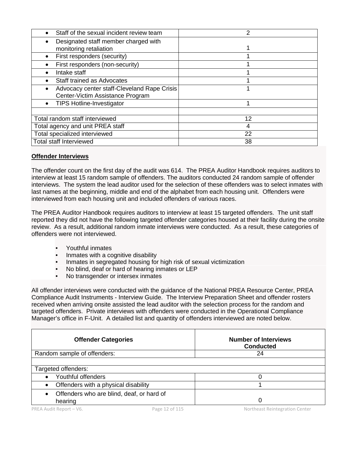| Staff of the sexual incident review team      | 2  |
|-----------------------------------------------|----|
| Designated staff member charged with          |    |
| monitoring retaliation                        |    |
| First responders (security)                   |    |
| First responders (non-security)               |    |
| Intake staff                                  |    |
| Staff trained as Advocates                    |    |
| Advocacy center staff-Cleveland Rape Crisis   |    |
| Center-Victim Assistance Program              |    |
| <b>TIPS Hotline-Investigator</b><br>$\bullet$ |    |
|                                               |    |
| Total random staff interviewed                | 12 |
| Total agency and unit PREA staff              | 4  |
| Total specialized interviewed                 | 22 |
| <b>Total staff Interviewed</b>                | 38 |

## **Offender Interviews**

The offender count on the first day of the audit was 614. The PREA Auditor Handbook requires auditors to interview at least 15 random sample of offenders. The auditors conducted 24 random sample of offender interviews. The system the lead auditor used for the selection of these offenders was to select inmates with last names at the beginning, middle and end of the alphabet from each housing unit. Offenders were interviewed from each housing unit and included offenders of various races.

The PREA Auditor Handbook requires auditors to interview at least 15 targeted offenders. The unit staff reported they did not have the following targeted offender categories housed at their facility during the onsite review. As a result, additional random inmate interviews were conducted. As a result, these categories of offenders were not interviewed.

- Youthful inmates
- Inmates with a cognitive disability
- Inmates in segregated housing for high risk of sexual victimization<br>• No blind, deaf or hard of hearing inmates or LEP
- No blind, deaf or hard of hearing inmates or LEP
- No transgender or intersex inmates

All offender interviews were conducted with the guidance of the National PREA Resource Center, PREA Compliance Audit Instruments - Interview Guide. The Interview Preparation Sheet and offender rosters received when arriving onsite assisted the lead auditor with the selection process for the random and targeted offenders. Private interviews with offenders were conducted in the Operational Compliance Manager's office in F-Unit. A detailed list and quantity of offenders interviewed are noted below.

| <b>Offender Categories</b>                           | <b>Number of Interviews</b><br><b>Conducted</b> |
|------------------------------------------------------|-------------------------------------------------|
| Random sample of offenders:                          | 24                                              |
| Targeted offenders:                                  |                                                 |
| Youthful offenders                                   |                                                 |
| Offenders with a physical disability<br>$\bullet$    |                                                 |
| Offenders who are blind, deaf, or hard of<br>hearing | 0                                               |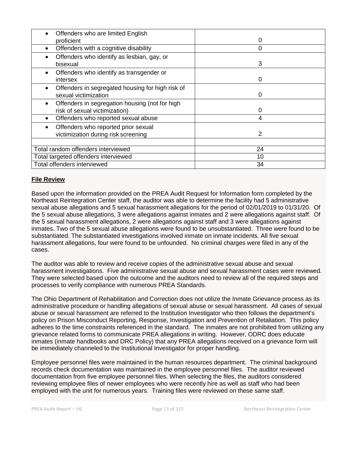| Offenders who are limited English                |    |
|--------------------------------------------------|----|
| proficient                                       | 0  |
| Offenders with a cognitive disability            | 0  |
| Offenders who identify as lesbian, gay, or       |    |
| bisexual                                         | 3  |
| Offenders who identify as transgender or         |    |
| intersex                                         | O  |
| Offenders in segregated housing for high risk of |    |
| sexual victimization                             | O  |
| Offenders in segregation housing (not for high   |    |
| risk of sexual victimization)                    | Ω  |
| Offenders who reported sexual abuse              | 4  |
| Offenders who reported prior sexual              |    |
| victimization during risk screening              | 2  |
|                                                  |    |
| Total random offenders interviewed               | 24 |
| Total targeted offenders interviewed             | 10 |
| Total offenders interviewed                      | 34 |

## **File Review**

Based upon the information provided on the PREA Audit Request for Information form completed by the Northeast Reintegration Center staff, the auditor was able to determine the facility had 5 administrative sexual abuse allegations and 5 sexual harassment allegations for the period of 02/01/2019 to 01/31/20. Of the 5 sexual abuse allegations, 3 were allegations against inmates and 2 were allegations against staff. Of the 5 sexual harassment allegations, 2 were allegations against staff and 3 were allegations against inmates. Two of the 5 sexual abuse allegations were found to be unsubstantiated. Three were found to be substantiated. The substantiated investigations involved inmate on inmate incidents. All five sexual harassment allegations, four were found to be unfounded. No criminal charges were filed in any of the cases.

The auditor was able to review and receive copies of the administrative sexual abuse and sexual harassment investigations. Five administrative sexual abuse and sexual harassment cases were reviewed. They were selected based upon the outcome and the auditors need to review all of the required steps and processes to verify compliance with numerous PREA Standards.

The Ohio Department of Rehabilitation and Correction does not utilize the Inmate Grievance process as its administrative procedure or handling allegations of sexual abuse or sexual harassment. All cases of sexual abuse or sexual harassment are referred to the Institution Investigator who then follows the department's policy on Prison Misconduct Reporting, Response, Investigation and Prevention of Retaliation. This policy adheres to the time constraints referenced in the standard. The inmates are not prohibited from utilizing any grievance related forms to communicate PREA allegations in writing. However, ODRC does educate inmates (inmate handbooks and DRC Policy) that any PREA allegations received on a grievance form will be immediately channeled to the Institutional Investigator for proper handling.

Employee personnel files were maintained in the human resources department. The criminal background records check documentation was maintained in the employee personnel files. The auditor reviewed documentation from five employee personnel files. When selecting the files, the auditors considered reviewing employee files of newer employees who were recently hire as well as staff who had been employed with the unit for numerous years. Training files were reviewed on these same staff.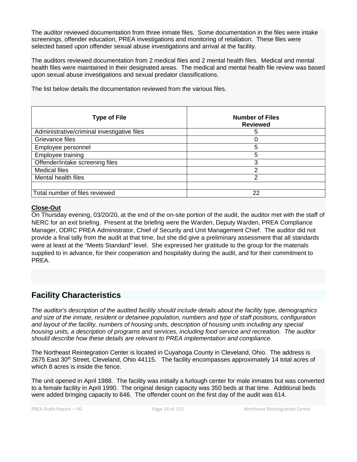The auditor reviewed documentation from three inmate files. Some documentation in the files were intake screenings, offender education, PREA investigations and monitoring of retaliation. These files were selected based upon offender sexual abuse investigations and arrival at the facility.

The auditors reviewed documentation from 2 medical files and 2 mental health files. Medical and mental health files were maintained in their designated areas. The medical and mental health file review was based upon sexual abuse investigations and sexual predator classifications.

**Type of File Number of Files Reviewed** Administrative/criminal investigative files 5 Grievance files 0 Employee personnel 5 Employee training 5 Offender/intake screening files 3 Medical files **2** and 2 Mental health files 2 Total number of files reviewed 22

The list below details the documentation reviewed from the various files.

#### **Close-Out**

On Thursday evening, 03/20/20, at the end of the on-site portion of the audit, the auditor met with the staff of NERC for an exit briefing. Present at the briefing were the Warden, Deputy Warden, PREA Compliance Manager, ODRC PREA Administrator, Chief of Security and Unit Management Chief. The auditor did not provide a final tally from the audit at that time, but she did give a preliminary assessment that all standards were at least at the "Meets Standard" level. She expressed her gratitude to the group for the materials supplied to in advance, for their cooperation and hospitality during the audit, and for their commitment to PREA.

## **Facility Characteristics**

*The auditor's description of the audited facility should include details about the facility type, demographics and size of the inmate, resident or detainee population, numbers and type of staff positions, configuration and layout of the facility, numbers of housing units, description of housing units including any special housing units, a description of programs and services, including food service and recreation. The auditor should describe how these details are relevant to PREA implementation and compliance.*

The Northeast Reintegration Center is located in Cuyahoga County in Cleveland, Ohio. The address is 2675 East 30<sup>th</sup> Street, Cleveland, Ohio 44115. The facility encompasses approximately 14 total acres of which 8 acres is inside the fence.

The unit opened in April 1988. The facility was initially a furlough center for male inmates but was converted to a female facility in April 1990. The original design capacity was 350 beds at that time. Additional beds were added bringing capacity to 646. The offender count on the first day of the audit was 614.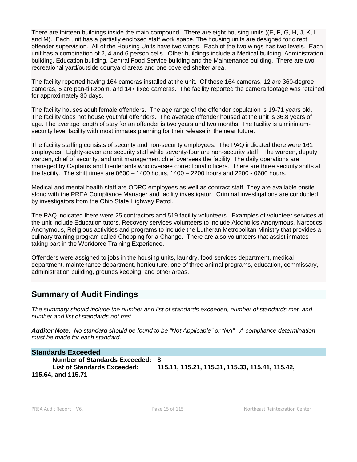There are thirteen buildings inside the main compound. There are eight housing units ((E, F, G, H, J, K, L and M). Each unit has a partially enclosed staff work space. The housing units are designed for direct offender supervision. All of the Housing Units have two wings. Each of the two wings has two levels. Each unit has a combination of 2, 4 and 6 person cells. Other buildings include a Medical building, Administration building, Education building, Central Food Service building and the Maintenance building. There are two recreational yard/outside courtyard areas and one covered shelter area.

The facility reported having 164 cameras installed at the unit. Of those 164 cameras, 12 are 360-degree cameras, 5 are pan-tilt-zoom, and 147 fixed cameras. The facility reported the camera footage was retained for approximately 30 days.

The facility houses adult female offenders. The age range of the offender population is 19-71 years old. The facility does not house youthful offenders. The average offender housed at the unit is 36.8 years of age. The average length of stay for an offender is two years and two months. The facility is a minimumsecurity level facility with most inmates planning for their release in the near future.

The facility staffing consists of security and non-security employees. The PAQ indicated there were 161 employees. Eighty-seven are security staff while seventy-four are non-security staff. The warden, deputy warden, chief of security, and unit management chief oversees the facility. The daily operations are managed by Captains and Lieutenants who oversee correctional officers. There are three security shifts at the facility. The shift times are  $0600 - 1400$  hours,  $1400 - 2200$  hours and  $2200 - 0600$  hours.

Medical and mental health staff are ODRC employees as well as contract staff. They are available onsite along with the PREA Compliance Manager and facility investigator. Criminal investigations are conducted by investigators from the Ohio State Highway Patrol.

The PAQ indicated there were 25 contractors and 519 facility volunteers. Examples of volunteer services at the unit include Education tutors, Recovery services volunteers to include Alcoholics Anonymous, Narcotics Anonymous, Religious activities and programs to include the Lutheran Metropolitan Ministry that provides a culinary training program called Chopping for a Change. There are also volunteers that assist inmates taking part in the Workforce Training Experience.

Offenders were assigned to jobs in the housing units, laundry, food services department, medical department, maintenance department, horticulture, one of three animal programs, education, commissary, administration building, grounds keeping, and other areas.

## **Summary of Audit Findings**

*The summary should include the number and list of standards exceeded, number of standards met, and number and list of standards not met.*

*Auditor Note: No standard should be found to be "Not Applicable" or "NA". A compliance determination must be made for each standard.*

#### **Standards Exceeded**

**Number of Standards Exceeded: 8 List of Standards Exceeded: 115.11, 115.21, 115.31, 115.33, 115.41, 115.42, 115.64, and 115.71**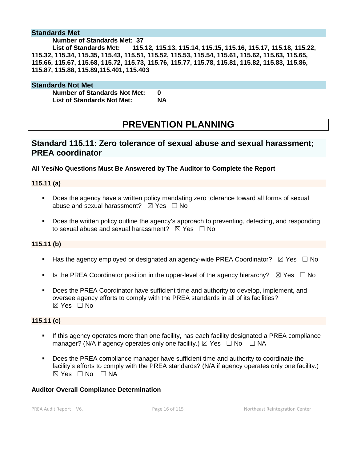### **Standards Met**

#### **Number of Standards Met: 37**

**List of Standards Met: 115.12, 115.13, 115.14, 115.15, 115.16, 115.17, 115.18, 115.22, 115.32, 115.34, 115.35, 115.43, 115.51, 115.52, 115.53, 115.54, 115.61, 115.62, 115.63, 115.65, 115.66, 115.67, 115.68, 115.72, 115.73, 115.76, 115.77, 115.78, 115.81, 115.82, 115.83, 115.86, 115.87, 115.88, 115.89,115.401, 115.403**

#### **Standards Not Met**

**Number of Standards Not Met: 0<br>List of Standards Not Met: 6 NA List of Standards Not Met:** 

**PREVENTION PLANNING**

## **Standard 115.11: Zero tolerance of sexual abuse and sexual harassment; PREA coordinator**

**All Yes/No Questions Must Be Answered by The Auditor to Complete the Report**

**115.11 (a)**

- Does the agency have a written policy mandating zero tolerance toward all forms of sexual abuse and sexual harassment?  $\boxtimes$  Yes  $\Box$  No
- **Does the written policy outline the agency's approach to preventing, detecting, and responding** to sexual abuse and sexual harassment?  $\boxtimes$  Yes  $\Box$  No

#### **115.11 (b)**

- Has the agency employed or designated an agency-wide PREA Coordinator?  $\boxtimes$  Yes  $\Box$  No
- Is the PREA Coordinator position in the upper-level of the agency hierarchy?  $\boxtimes$  Yes  $\Box$  No
- Does the PREA Coordinator have sufficient time and authority to develop, implement, and oversee agency efforts to comply with the PREA standards in all of its facilities?  $\boxtimes$  Yes  $\Box$  No

#### **115.11 (c)**

- If this agency operates more than one facility, has each facility designated a PREA compliance manager? (N/A if agency operates only one facility.)  $\boxtimes$  Yes  $\Box$  No  $\Box$  NA
- Does the PREA compliance manager have sufficient time and authority to coordinate the facility's efforts to comply with the PREA standards? (N/A if agency operates only one facility.)  $⊠ Yes ⊡ No ⊡ NA$

## **Auditor Overall Compliance Determination**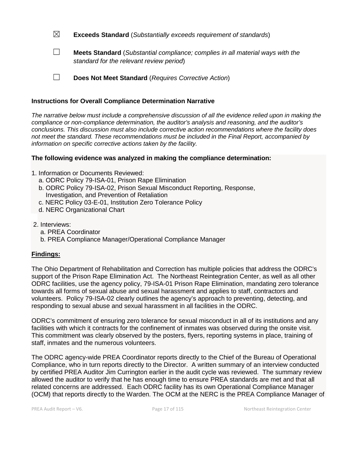☒ **Exceeds Standard** (*Substantially exceeds requirement of standards*)

☐ **Meets Standard** (*Substantial compliance; complies in all material ways with the standard for the relevant review period*)

☐ **Does Not Meet Standard** (*Requires Corrective Action*)

## **Instructions for Overall Compliance Determination Narrative**

*The narrative below must include a comprehensive discussion of all the evidence relied upon in making the compliance or non-compliance determination, the auditor's analysis and reasoning, and the auditor's conclusions. This discussion must also include corrective action recommendations where the facility does not meet the standard. These recommendations must be included in the Final Report, accompanied by information on specific corrective actions taken by the facility.*

## **The following evidence was analyzed in making the compliance determination:**

- 1. Information or Documents Reviewed:
	- a. ODRC Policy 79-ISA-01, Prison Rape Elimination
	- b. ODRC Policy 79-ISA-02, Prison Sexual Misconduct Reporting, Response, Investigation, and Prevention of Retaliation
	- c. NERC Policy 03-E-01, Institution Zero Tolerance Policy
	- d. NERC Organizational Chart
- 2. Interviews:
	- a. PREA Coordinator
	- b. PREA Compliance Manager/Operational Compliance Manager

## **Findings:**

The Ohio Department of Rehabilitation and Correction has multiple policies that address the ODRC's support of the Prison Rape Elimination Act. The Northeast Reintegration Center, as well as all other ODRC facilities, use the agency policy, 79-ISA-01 Prison Rape Elimination, mandating zero tolerance towards all forms of sexual abuse and sexual harassment and applies to staff, contractors and volunteers. Policy 79-ISA-02 clearly outlines the agency's approach to preventing, detecting, and responding to sexual abuse and sexual harassment in all facilities in the ODRC.

ODRC's commitment of ensuring zero tolerance for sexual misconduct in all of its institutions and any facilities with which it contracts for the confinement of inmates was observed during the onsite visit. This commitment was clearly observed by the posters, flyers, reporting systems in place, training of staff, inmates and the numerous volunteers.

The ODRC agency-wide PREA Coordinator reports directly to the Chief of the Bureau of Operational Compliance, who in turn reports directly to the Director. A written summary of an interview conducted by certified PREA Auditor Jim Currington earlier in the audit cycle was reviewed. The summary review allowed the auditor to verify that he has enough time to ensure PREA standards are met and that all related concerns are addressed. Each ODRC facility has its own Operational Compliance Manager (OCM) that reports directly to the Warden. The OCM at the NERC is the PREA Compliance Manager of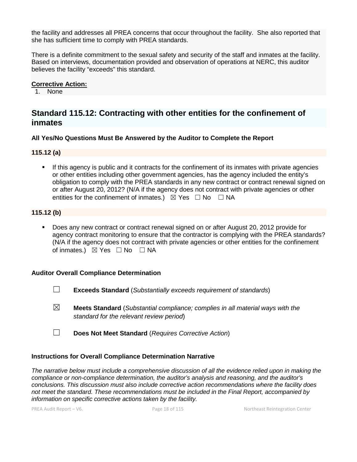the facility and addresses all PREA concerns that occur throughout the facility. She also reported that she has sufficient time to comply with PREA standards.

There is a definite commitment to the sexual safety and security of the staff and inmates at the facility. Based on interviews, documentation provided and observation of operations at NERC, this auditor believes the facility "exceeds" this standard.

## **Corrective Action:**

1. None

## **Standard 115.12: Contracting with other entities for the confinement of inmates**

## **All Yes/No Questions Must Be Answered by the Auditor to Complete the Report**

## **115.12 (a)**

 If this agency is public and it contracts for the confinement of its inmates with private agencies or other entities including other government agencies, has the agency included the entity's obligation to comply with the PREA standards in any new contract or contract renewal signed on or after August 20, 2012? (N/A if the agency does not contract with private agencies or other entities for the confinement of inmates.)  $\boxtimes$  Yes  $\Box$  No  $\Box$  NA

## **115.12 (b)**

 Does any new contract or contract renewal signed on or after August 20, 2012 provide for agency contract monitoring to ensure that the contractor is complying with the PREA standards? (N/A if the agency does not contract with private agencies or other entities for the confinement of inmates.)  $\boxtimes$  Yes □ No □ NA

## **Auditor Overall Compliance Determination**

- ☐ **Exceeds Standard** (*Substantially exceeds requirement of standards*)
- ☒ **Meets Standard** (*Substantial compliance; complies in all material ways with the standard for the relevant review period*)
- ☐ **Does Not Meet Standard** (*Requires Corrective Action*)

## **Instructions for Overall Compliance Determination Narrative**

*The narrative below must include a comprehensive discussion of all the evidence relied upon in making the compliance or non-compliance determination, the auditor's analysis and reasoning, and the auditor's conclusions. This discussion must also include corrective action recommendations where the facility does not meet the standard. These recommendations must be included in the Final Report, accompanied by information on specific corrective actions taken by the facility.*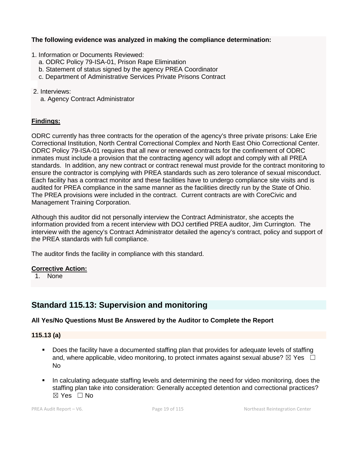## **The following evidence was analyzed in making the compliance determination:**

1. Information or Documents Reviewed:

- a. ODRC Policy 79-ISA-01, Prison Rape Elimination
- b. Statement of status signed by the agency PREA Coordinator
- c. Department of Administrative Services Private Prisons Contract
- 2. Interviews:
	- a. Agency Contract Administrator

## **Findings:**

ODRC currently has three contracts for the operation of the agency's three private prisons: Lake Erie Correctional Institution, North Central Correctional Complex and North East Ohio Correctional Center. ODRC Policy 79-ISA-01 requires that all new or renewed contracts for the confinement of ODRC inmates must include a provision that the contracting agency will adopt and comply with all PREA standards. In addition, any new contract or contract renewal must provide for the contract monitoring to ensure the contractor is complying with PREA standards such as zero tolerance of sexual misconduct. Each facility has a contract monitor and these facilities have to undergo compliance site visits and is audited for PREA compliance in the same manner as the facilities directly run by the State of Ohio. The PREA provisions were included in the contract. Current contracts are with CoreCivic and Management Training Corporation.

Although this auditor did not personally interview the Contract Administrator, she accepts the information provided from a recent interview with DOJ certified PREA auditor, Jim Currington. The interview with the agency's Contract Administrator detailed the agency's contract, policy and support of the PREA standards with full compliance.

The auditor finds the facility in compliance with this standard.

## **Corrective Action:**

1. None

## **Standard 115.13: Supervision and monitoring**

## **All Yes/No Questions Must Be Answered by the Auditor to Complete the Report**

#### **115.13 (a)**

- Does the facility have a documented staffing plan that provides for adequate levels of staffing and, where applicable, video monitoring, to protect inmates against sexual abuse?  $\boxtimes$  Yes  $\Box$ No
- In calculating adequate staffing levels and determining the need for video monitoring, does the staffing plan take into consideration: Generally accepted detention and correctional practices?  $\boxtimes$  Yes  $\Box$  No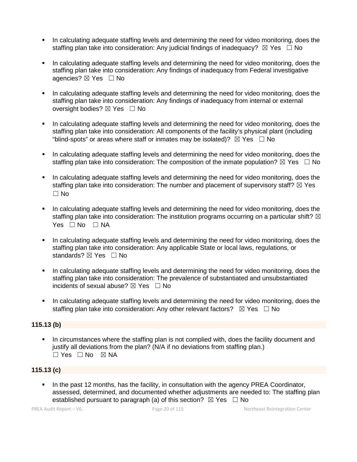- In calculating adequate staffing levels and determining the need for video monitoring, does the staffing plan take into consideration: Any judicial findings of inadequacy?  $\boxtimes$  Yes  $\Box$  No
- In calculating adequate staffing levels and determining the need for video monitoring, does the staffing plan take into consideration: Any findings of inadequacy from Federal investigative agencies? ⊠ Yes □ No
- In calculating adequate staffing levels and determining the need for video monitoring, does the staffing plan take into consideration: Any findings of inadequacy from internal or external oversight bodies?  $\boxtimes$  Yes  $\Box$  No
- In calculating adequate staffing levels and determining the need for video monitoring, does the staffing plan take into consideration: All components of the facility's physical plant (including "blind-spots" or areas where staff or inmates may be isolated)?  $\boxtimes$  Yes  $\Box$  No
- In calculating adequate staffing levels and determining the need for video monitoring, does the staffing plan take into consideration: The composition of the inmate population?  $\boxtimes$  Yes  $\Box$  No
- In calculating adequate staffing levels and determining the need for video monitoring, does the staffing plan take into consideration: The number and placement of supervisory staff?  $\boxtimes$  Yes  $\Box$  No
- In calculating adequate staffing levels and determining the need for video monitoring, does the staffing plan take into consideration: The institution programs occurring on a particular shift?  $\boxtimes$ Yes □ No □ NA
- In calculating adequate staffing levels and determining the need for video monitoring, does the staffing plan take into consideration: Any applicable State or local laws, regulations, or standards? ⊠ Yes □ No
- In calculating adequate staffing levels and determining the need for video monitoring, does the staffing plan take into consideration: The prevalence of substantiated and unsubstantiated incidents of sexual abuse?  $\boxtimes$  Yes  $\Box$  No
- In calculating adequate staffing levels and determining the need for video monitoring, does the staffing plan take into consideration: Any other relevant factors?  $\boxtimes$  Yes  $\Box$  No

## **115.13 (b)**

 In circumstances where the staffing plan is not complied with, does the facility document and justify all deviations from the plan? (N/A if no deviations from staffing plan.)  $\Box$  Yes  $\Box$  No  $\boxtimes$  NA

## **115.13 (c)**

In the past 12 months, has the facility, in consultation with the agency PREA Coordinator, assessed, determined, and documented whether adjustments are needed to: The staffing plan established pursuant to paragraph (a) of this section?  $\boxtimes$  Yes  $\Box$  No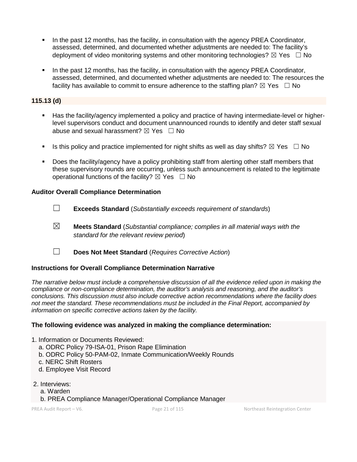- In the past 12 months, has the facility, in consultation with the agency PREA Coordinator, assessed, determined, and documented whether adjustments are needed to: The facility's deployment of video monitoring systems and other monitoring technologies?  $\boxtimes$  Yes  $\Box$  No
- In the past 12 months, has the facility, in consultation with the agency PREA Coordinator, assessed, determined, and documented whether adjustments are needed to: The resources the facility has available to commit to ensure adherence to the staffing plan?  $\boxtimes$  Yes  $\Box$  No

## **115.13 (d)**

- Has the facility/agency implemented a policy and practice of having intermediate-level or higherlevel supervisors conduct and document unannounced rounds to identify and deter staff sexual abuse and sexual harassment?  $\boxtimes$  Yes  $\Box$  No
- Is this policy and practice implemented for night shifts as well as day shifts?  $\boxtimes$  Yes  $\Box$  No
- Does the facility/agency have a policy prohibiting staff from alerting other staff members that these supervisory rounds are occurring, unless such announcement is related to the legitimate operational functions of the facility?  $\boxtimes$  Yes  $\Box$  No

## **Auditor Overall Compliance Determination**

- ☐ **Exceeds Standard** (*Substantially exceeds requirement of standards*)
- ☒ **Meets Standard** (*Substantial compliance; complies in all material ways with the standard for the relevant review period*)
- ☐ **Does Not Meet Standard** (*Requires Corrective Action*)

## **Instructions for Overall Compliance Determination Narrative**

*The narrative below must include a comprehensive discussion of all the evidence relied upon in making the compliance or non-compliance determination, the auditor's analysis and reasoning, and the auditor's conclusions. This discussion must also include corrective action recommendations where the facility does not meet the standard. These recommendations must be included in the Final Report, accompanied by information on specific corrective actions taken by the facility.*

#### **The following evidence was analyzed in making the compliance determination:**

- 1. Information or Documents Reviewed:
	- a. ODRC Policy 79-ISA-01, Prison Rape Elimination
	- b. ODRC Policy 50-PAM-02, Inmate Communication/Weekly Rounds
	- c. NERC Shift Rosters
	- d. Employee Visit Record
- 2. Interviews:
	- a. Warden
	- b. PREA Compliance Manager/Operational Compliance Manager

PREA Audit Report – V6. Page 21 of 115 Northeast Reintegration Center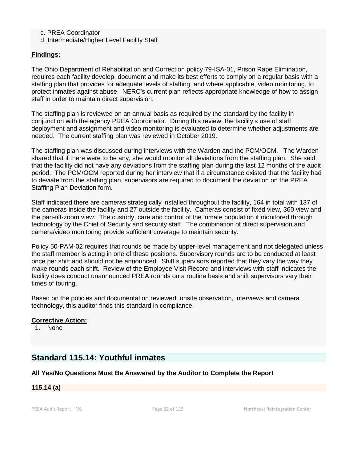## c. PREA Coordinator

d. Intermediate/Higher Level Facility Staff

## **Findings:**

The Ohio Department of Rehabilitation and Correction policy 79-ISA-01, Prison Rape Elimination, requires each facility develop, document and make its best efforts to comply on a regular basis with a staffing plan that provides for adequate levels of staffing, and where applicable, video monitoring, to protect inmates against abuse. NERC's current plan reflects appropriate knowledge of how to assign staff in order to maintain direct supervision.

The staffing plan is reviewed on an annual basis as required by the standard by the facility in conjunction with the agency PREA Coordinator. During this review, the facility's use of staff deployment and assignment and video monitoring is evaluated to determine whether adjustments are needed. The current staffing plan was reviewed in October 2019.

The staffing plan was discussed during interviews with the Warden and the PCM/OCM. The Warden shared that if there were to be any, she would monitor all deviations from the staffing plan. She said that the facility did not have any deviations from the staffing plan during the last 12 months of the audit period. The PCM/OCM reported during her interview that if a circumstance existed that the facility had to deviate from the staffing plan, supervisors are required to document the deviation on the PREA Staffing Plan Deviation form.

Staff indicated there are cameras strategically installed throughout the facility, 164 in total with 137 of the cameras inside the facility and 27 outside the facility. Cameras consist of fixed view, 360 view and the pan-tilt-zoom view. The custody, care and control of the inmate population if monitored through technology by the Chief of Security and security staff. The combination of direct supervision and camera/video monitoring provide sufficient coverage to maintain security.

Policy 50-PAM-02 requires that rounds be made by upper-level management and not delegated unless the staff member is acting in one of these positions. Supervisory rounds are to be conducted at least once per shift and should not be announced. Shift supervisors reported that they vary the way they make rounds each shift. Review of the Employee Visit Record and interviews with staff indicates the facility does conduct unannounced PREA rounds on a routine basis and shift supervisors vary their times of touring.

Based on the policies and documentation reviewed, onsite observation, interviews and camera technology, this auditor finds this standard in compliance.

## **Corrective Action:**

1. None

## **Standard 115.14: Youthful inmates**

## **All Yes/No Questions Must Be Answered by the Auditor to Complete the Report**

#### **115.14 (a)**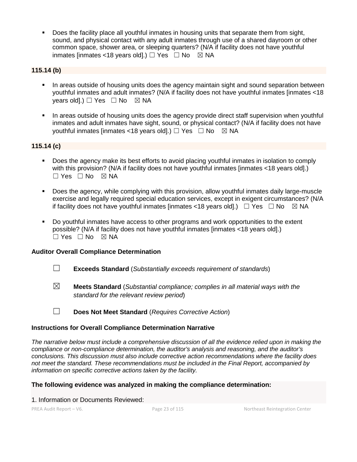Does the facility place all youthful inmates in housing units that separate them from sight, sound, and physical contact with any adult inmates through use of a shared dayroom or other common space, shower area, or sleeping quarters? (N/A if facility does not have youthful inmates [inmates <18 years old].)  $\Box$  Yes  $\Box$  No  $\boxtimes$  NA

## **115.14 (b)**

- In areas outside of housing units does the agency maintain sight and sound separation between youthful inmates and adult inmates? (N/A if facility does not have youthful inmates [inmates <18 years old].)  $\Box$  Yes  $\Box$  No  $\boxtimes$  NA
- In areas outside of housing units does the agency provide direct staff supervision when youthful inmates and adult inmates have sight, sound, or physical contact? (N/A if facility does not have youthful inmates [inmates <18 years old].)  $\Box$  Yes  $\Box$  No  $\boxtimes$  NA

## **115.14 (c)**

- Does the agency make its best efforts to avoid placing youthful inmates in isolation to comply with this provision? (N/A if facility does not have youthful inmates [inmates <18 years old].)  $\Box$  Yes  $\Box$  No  $\boxtimes$  NA
- Does the agency, while complying with this provision, allow youthful inmates daily large-muscle exercise and legally required special education services, except in exigent circumstances? (N/A if facility does not have youthful inmates [inmates <18 years old].)  $\Box$  Yes  $\Box$  No  $\Box$  NA
- Do youthful inmates have access to other programs and work opportunities to the extent possible? (N/A if facility does not have youthful inmates [inmates <18 years old].)  $\square$  Yes  $\square$  No  $\square$  NA

## **Auditor Overall Compliance Determination**

- ☐ **Exceeds Standard** (*Substantially exceeds requirement of standards*)
- ☒ **Meets Standard** (*Substantial compliance; complies in all material ways with the standard for the relevant review period*)
- ☐ **Does Not Meet Standard** (*Requires Corrective Action*)

## **Instructions for Overall Compliance Determination Narrative**

*The narrative below must include a comprehensive discussion of all the evidence relied upon in making the compliance or non-compliance determination, the auditor's analysis and reasoning, and the auditor's conclusions. This discussion must also include corrective action recommendations where the facility does not meet the standard. These recommendations must be included in the Final Report, accompanied by information on specific corrective actions taken by the facility.*

## **The following evidence was analyzed in making the compliance determination:**

1. Information or Documents Reviewed: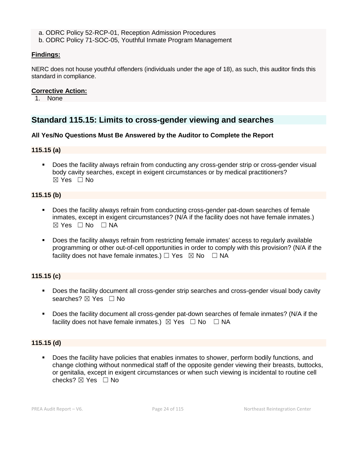a. ODRC Policy 52-RCP-01, Reception Admission Procedures

b. ODRC Policy 71-SOC-05, Youthful Inmate Program Management

## **Findings:**

NERC does not house youthful offenders (individuals under the age of 18), as such, this auditor finds this standard in compliance.

### **Corrective Action:**

1. None

## **Standard 115.15: Limits to cross-gender viewing and searches**

## **All Yes/No Questions Must Be Answered by the Auditor to Complete the Report**

#### **115.15 (a)**

 Does the facility always refrain from conducting any cross-gender strip or cross-gender visual body cavity searches, except in exigent circumstances or by medical practitioners? ☒ Yes ☐ No

#### **115.15 (b)**

- Does the facility always refrain from conducting cross-gender pat-down searches of female inmates, except in exigent circumstances? (N/A if the facility does not have female inmates.)  $\boxtimes$  Yes  $\Box$  No  $\Box$  NA
- Does the facility always refrain from restricting female inmates' access to regularly available programming or other out-of-cell opportunities in order to comply with this provision? (N/A if the facility does not have female inmates.)  $\Box$  Yes  $\boxtimes$  No  $\Box$  NA

## **115.15 (c)**

- Does the facility document all cross-gender strip searches and cross-gender visual body cavity searches? ⊠ Yes □ No
- Does the facility document all cross-gender pat-down searches of female inmates? (N/A if the facility does not have female inmates.)  $\boxtimes$  Yes  $\Box$  No  $\Box$  NA

## **115.15 (d)**

 Does the facility have policies that enables inmates to shower, perform bodily functions, and change clothing without nonmedical staff of the opposite gender viewing their breasts, buttocks, or genitalia, except in exigent circumstances or when such viewing is incidental to routine cell checks?  $\boxtimes$  Yes  $\Box$  No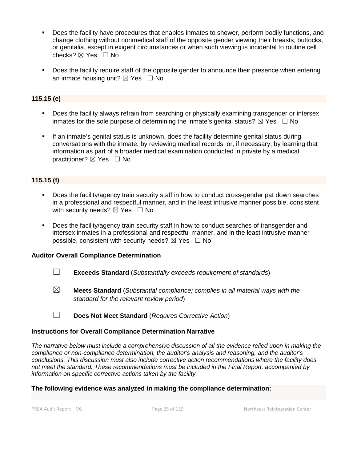- Does the facility have procedures that enables inmates to shower, perform bodily functions, and change clothing without nonmedical staff of the opposite gender viewing their breasts, buttocks, or genitalia, except in exigent circumstances or when such viewing is incidental to routine cell checks? ☒ Yes ☐ No
- Does the facility require staff of the opposite gender to announce their presence when entering an inmate housing unit?  $\boxtimes$  Yes  $\Box$  No

## **115.15 (e)**

- Does the facility always refrain from searching or physically examining transgender or intersex inmates for the sole purpose of determining the inmate's genital status?  $\boxtimes$  Yes  $\Box$  No
- If an inmate's genital status is unknown, does the facility determine genital status during conversations with the inmate, by reviewing medical records, or, if necessary, by learning that information as part of a broader medical examination conducted in private by a medical practitioner? ⊠ Yes □ No

## **115.15 (f)**

- Does the facility/agency train security staff in how to conduct cross-gender pat down searches in a professional and respectful manner, and in the least intrusive manner possible, consistent with security needs?  $\boxtimes$  Yes  $\Box$  No
- Does the facility/agency train security staff in how to conduct searches of transgender and intersex inmates in a professional and respectful manner, and in the least intrusive manner possible, consistent with security needs?  $\boxtimes$  Yes  $\Box$  No

#### **Auditor Overall Compliance Determination**

- ☐ **Exceeds Standard** (*Substantially exceeds requirement of standards*)
- ☒ **Meets Standard** (*Substantial compliance; complies in all material ways with the standard for the relevant review period*)

#### **Instructions for Overall Compliance Determination Narrative**

*The narrative below must include a comprehensive discussion of all the evidence relied upon in making the compliance or non-compliance determination, the auditor's analysis and reasoning, and the auditor's conclusions. This discussion must also include corrective action recommendations where the facility does not meet the standard. These recommendations must be included in the Final Report, accompanied by information on specific corrective actions taken by the facility.*

#### **The following evidence was analyzed in making the compliance determination:**

<sup>☐</sup> **Does Not Meet Standard** (*Requires Corrective Action*)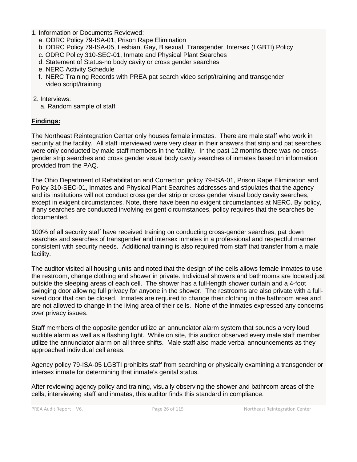- 1. Information or Documents Reviewed:
	- a. ODRC Policy 79-ISA-01, Prison Rape Elimination
	- b. ODRC Policy 79-ISA-05, Lesbian, Gay, Bisexual, Transgender, Intersex (LGBTI) Policy
	- c. ODRC Policy 310-SEC-01, Inmate and Physical Plant Searches
	- d. Statement of Status-no body cavity or cross gender searches
	- e. NERC Activity Schedule
	- f. NERC Training Records with PREA pat search video script/training and transgender video script/training
- 2. Interviews:
	- a. Random sample of staff

## **Findings:**

The Northeast Reintegration Center only houses female inmates. There are male staff who work in security at the facility. All staff interviewed were very clear in their answers that strip and pat searches were only conducted by male staff members in the facility. In the past 12 months there was no crossgender strip searches and cross gender visual body cavity searches of inmates based on information provided from the PAQ.

The Ohio Department of Rehabilitation and Correction policy 79-ISA-01, Prison Rape Elimination and Policy 310-SEC-01, Inmates and Physical Plant Searches addresses and stipulates that the agency and its institutions will not conduct cross gender strip or cross gender visual body cavity searches, except in exigent circumstances. Note, there have been no exigent circumstances at NERC. By policy, if any searches are conducted involving exigent circumstances, policy requires that the searches be documented.

100% of all security staff have received training on conducting cross-gender searches, pat down searches and searches of transgender and intersex inmates in a professional and respectful manner consistent with security needs. Additional training is also required from staff that transfer from a male facility.

The auditor visited all housing units and noted that the design of the cells allows female inmates to use the restroom, change clothing and shower in private. Individual showers and bathrooms are located just outside the sleeping areas of each cell. The shower has a full-length shower curtain and a 4-foot swinging door allowing full privacy for anyone in the shower. The restrooms are also private with a fullsized door that can be closed. Inmates are required to change their clothing in the bathroom area and are not allowed to change in the living area of their cells. None of the inmates expressed any concerns over privacy issues.

Staff members of the opposite gender utilize an annunciator alarm system that sounds a very loud audible alarm as well as a flashing light. While on site, this auditor observed every male staff member utilize the annunciator alarm on all three shifts. Male staff also made verbal announcements as they approached individual cell areas.

Agency policy 79-ISA-05 LGBTI prohibits staff from searching or physically examining a transgender or intersex inmate for determining that inmate's genital status.

After reviewing agency policy and training, visually observing the shower and bathroom areas of the cells, interviewing staff and inmates, this auditor finds this standard in compliance.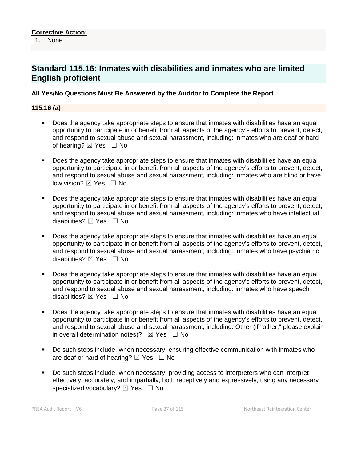## **Standard 115.16: Inmates with disabilities and inmates who are limited English proficient**

## **All Yes/No Questions Must Be Answered by the Auditor to Complete the Report**

#### **115.16 (a)**

- Does the agency take appropriate steps to ensure that inmates with disabilities have an equal opportunity to participate in or benefit from all aspects of the agency's efforts to prevent, detect, and respond to sexual abuse and sexual harassment, including: inmates who are deaf or hard of hearing?  $\boxtimes$  Yes  $\Box$  No
- Does the agency take appropriate steps to ensure that inmates with disabilities have an equal opportunity to participate in or benefit from all aspects of the agency's efforts to prevent, detect, and respond to sexual abuse and sexual harassment, including: inmates who are blind or have low vision?  $\boxtimes$  Yes  $\Box$  No
- Does the agency take appropriate steps to ensure that inmates with disabilities have an equal opportunity to participate in or benefit from all aspects of the agency's efforts to prevent, detect, and respond to sexual abuse and sexual harassment, including: inmates who have intellectual disabilities?  $\boxtimes$  Yes  $\Box$  No
- Does the agency take appropriate steps to ensure that inmates with disabilities have an equal opportunity to participate in or benefit from all aspects of the agency's efforts to prevent, detect, and respond to sexual abuse and sexual harassment, including: inmates who have psychiatric disabilities?  $\boxtimes$  Yes  $\Box$  No
- Does the agency take appropriate steps to ensure that inmates with disabilities have an equal opportunity to participate in or benefit from all aspects of the agency's efforts to prevent, detect, and respond to sexual abuse and sexual harassment, including: inmates who have speech disabilities?  $\boxtimes$  Yes  $\Box$  No
- Does the agency take appropriate steps to ensure that inmates with disabilities have an equal opportunity to participate in or benefit from all aspects of the agency's efforts to prevent, detect, and respond to sexual abuse and sexual harassment, including: Other (if "other," please explain in overall determination notes)?  $\boxtimes$  Yes  $\Box$  No
- Do such steps include, when necessary, ensuring effective communication with inmates who are deaf or hard of hearing?  $\boxtimes$  Yes  $\Box$  No
- Do such steps include, when necessary, providing access to interpreters who can interpret effectively, accurately, and impartially, both receptively and expressively, using any necessary specialized vocabulary?  $\boxtimes$  Yes  $\Box$  No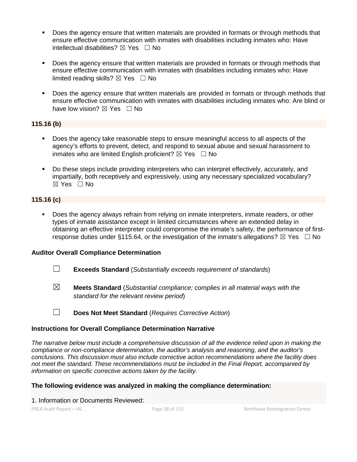- Does the agency ensure that written materials are provided in formats or through methods that ensure effective communication with inmates with disabilities including inmates who: Have intellectual disabilities?  $\boxtimes$  Yes  $\Box$  No
- Does the agency ensure that written materials are provided in formats or through methods that ensure effective communication with inmates with disabilities including inmates who: Have limited reading skills?  $\boxtimes$  Yes  $\Box$  No
- Does the agency ensure that written materials are provided in formats or through methods that ensure effective communication with inmates with disabilities including inmates who: Are blind or have low vision?  $\boxtimes$  Yes  $\Box$  No

## **115.16 (b)**

- Does the agency take reasonable steps to ensure meaningful access to all aspects of the agency's efforts to prevent, detect, and respond to sexual abuse and sexual harassment to inmates who are limited English proficient?  $\boxtimes$  Yes  $\Box$  No
- Do these steps include providing interpreters who can interpret effectively, accurately, and impartially, both receptively and expressively, using any necessary specialized vocabulary? ☒ Yes ☐ No

## **115.16 (c)**

 Does the agency always refrain from relying on inmate interpreters, inmate readers, or other types of inmate assistance except in limited circumstances where an extended delay in obtaining an effective interpreter could compromise the inmate's safety, the performance of firstresponse duties under §115.64, or the investigation of the inmate's allegations?  $\boxtimes$  Yes  $\Box$  No

## **Auditor Overall Compliance Determination**

- ☐ **Exceeds Standard** (*Substantially exceeds requirement of standards*)
- ☒ **Meets Standard** (*Substantial compliance; complies in all material ways with the standard for the relevant review period*)
- ☐ **Does Not Meet Standard** (*Requires Corrective Action*)

## **Instructions for Overall Compliance Determination Narrative**

*The narrative below must include a comprehensive discussion of all the evidence relied upon in making the compliance or non-compliance determination, the auditor's analysis and reasoning, and the auditor's conclusions. This discussion must also include corrective action recommendations where the facility does not meet the standard. These recommendations must be included in the Final Report, accompanied by information on specific corrective actions taken by the facility.*

## **The following evidence was analyzed in making the compliance determination:**

1. Information or Documents Reviewed: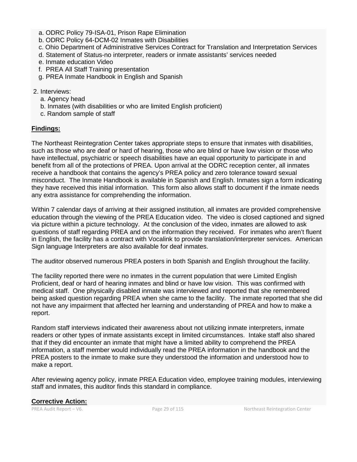- a. ODRC Policy 79-ISA-01, Prison Rape Elimination
- b. ODRC Policy 64-DCM-02 Inmates with Disabilities
- c. Ohio Department of Administrative Services Contract for Translation and Interpretation Services
- d. Statement of Status-no interpreter, readers or inmate assistants' services needed
- e. Inmate education Video
- f. PREA All Staff Training presentation
- g. PREA Inmate Handbook in English and Spanish

### 2. Interviews:

- a. Agency head
- b. Inmates (with disabilities or who are limited English proficient)
- c. Random sample of staff

## **Findings:**

The Northeast Reintegration Center takes appropriate steps to ensure that inmates with disabilities, such as those who are deaf or hard of hearing, those who are blind or have low vision or those who have intellectual, psychiatric or speech disabilities have an equal opportunity to participate in and benefit from all of the protections of PREA. Upon arrival at the ODRC reception center, all inmates receive a handbook that contains the agency's PREA policy and zero tolerance toward sexual misconduct. The Inmate Handbook is available in Spanish and English. Inmates sign a form indicating they have received this initial information. This form also allows staff to document if the inmate needs any extra assistance for comprehending the information.

Within 7 calendar days of arriving at their assigned institution, all inmates are provided comprehensive education through the viewing of the PREA Education video. The video is closed captioned and signed via picture within a picture technology. At the conclusion of the video, inmates are allowed to ask questions of staff regarding PREA and on the information they received. For inmates who aren't fluent in English, the facility has a contract with Vocalink to provide translation/interpreter services. American Sign language Interpreters are also available for deaf inmates.

The auditor observed numerous PREA posters in both Spanish and English throughout the facility.

The facility reported there were no inmates in the current population that were Limited English Proficient, deaf or hard of hearing inmates and blind or have low vision. This was confirmed with medical staff. One physically disabled inmate was interviewed and reported that she remembered being asked question regarding PREA when she came to the facility. The inmate reported that she did not have any impairment that affected her learning and understanding of PREA and how to make a report.

Random staff interviews indicated their awareness about not utilizing inmate interpreters, inmate readers or other types of inmate assistants except in limited circumstances. Intake staff also shared that if they did encounter an inmate that might have a limited ability to comprehend the PREA information, a staff member would individually read the PREA information in the handbook and the PREA posters to the inmate to make sure they understood the information and understood how to make a report.

After reviewing agency policy, inmate PREA Education video, employee training modules, interviewing staff and inmates, this auditor finds this standard in compliance.

## **Corrective Action:**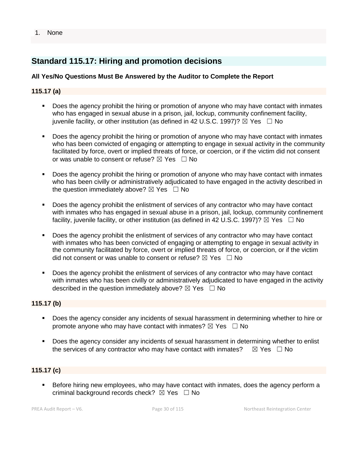#### 1. None

## **Standard 115.17: Hiring and promotion decisions**

## **All Yes/No Questions Must Be Answered by the Auditor to Complete the Report**

## **115.17 (a)**

- Does the agency prohibit the hiring or promotion of anyone who may have contact with inmates who has engaged in sexual abuse in a prison, jail, lockup, community confinement facility, juvenile facility, or other institution (as defined in 42 U.S.C. 1997)?  $\boxtimes$  Yes  $\Box$  No
- Does the agency prohibit the hiring or promotion of anyone who may have contact with inmates who has been convicted of engaging or attempting to engage in sexual activity in the community facilitated by force, overt or implied threats of force, or coercion, or if the victim did not consent or was unable to consent or refuse?  $\boxtimes$  Yes  $\Box$  No
- Does the agency prohibit the hiring or promotion of anyone who may have contact with inmates who has been civilly or administratively adjudicated to have engaged in the activity described in the question immediately above?  $\boxtimes$  Yes  $\Box$  No
- Does the agency prohibit the enlistment of services of any contractor who may have contact with inmates who has engaged in sexual abuse in a prison, jail, lockup, community confinement facility, juvenile facility, or other institution (as defined in 42 U.S.C. 1997)?  $\boxtimes$  Yes  $\Box$  No
- Does the agency prohibit the enlistment of services of any contractor who may have contact with inmates who has been convicted of engaging or attempting to engage in sexual activity in the community facilitated by force, overt or implied threats of force, or coercion, or if the victim did not consent or was unable to consent or refuse?  $\boxtimes$  Yes  $\Box$  No
- Does the agency prohibit the enlistment of services of any contractor who may have contact with inmates who has been civilly or administratively adjudicated to have engaged in the activity described in the question immediately above?  $\boxtimes$  Yes  $\Box$  No

## **115.17 (b)**

- Does the agency consider any incidents of sexual harassment in determining whether to hire or promote anyone who may have contact with inmates?  $\boxtimes$  Yes  $\Box$  No
- Does the agency consider any incidents of sexual harassment in determining whether to enlist the services of any contractor who may have contact with inmates?  $\boxtimes$  Yes  $\Box$  No

## **115.17 (c)**

 Before hiring new employees, who may have contact with inmates, does the agency perform a criminal background records check?  $\boxtimes$  Yes  $\Box$  No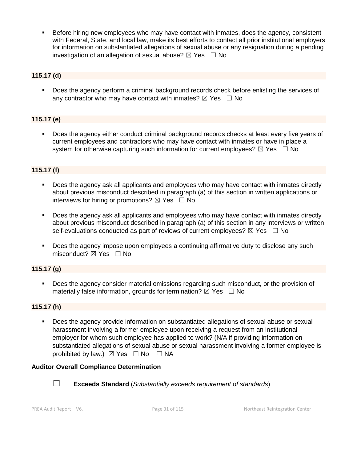Before hiring new employees who may have contact with inmates, does the agency, consistent with Federal, State, and local law, make its best efforts to contact all prior institutional employers for information on substantiated allegations of sexual abuse or any resignation during a pending investigation of an allegation of sexual abuse?  $\boxtimes$  Yes  $\Box$  No

## **115.17 (d)**

Does the agency perform a criminal background records check before enlisting the services of any contractor who may have contact with inmates?  $\boxtimes$  Yes  $\Box$  No

## **115.17 (e)**

 Does the agency either conduct criminal background records checks at least every five years of current employees and contractors who may have contact with inmates or have in place a system for otherwise capturing such information for current employees?  $\boxtimes$  Yes  $\Box$  No

## **115.17 (f)**

- Does the agency ask all applicants and employees who may have contact with inmates directly about previous misconduct described in paragraph (a) of this section in written applications or interviews for hiring or promotions?  $\boxtimes$  Yes  $\Box$  No
- Does the agency ask all applicants and employees who may have contact with inmates directly about previous misconduct described in paragraph (a) of this section in any interviews or written self-evaluations conducted as part of reviews of current employees?  $\boxtimes$  Yes  $\Box$  No
- Does the agency impose upon employees a continuing affirmative duty to disclose any such misconduct?  $\boxtimes$  Yes  $\Box$  No

## **115.17 (g)**

 Does the agency consider material omissions regarding such misconduct, or the provision of materially false information, grounds for termination?  $\boxtimes$  Yes  $\Box$  No

## **115.17 (h)**

 Does the agency provide information on substantiated allegations of sexual abuse or sexual harassment involving a former employee upon receiving a request from an institutional employer for whom such employee has applied to work? (N/A if providing information on substantiated allegations of sexual abuse or sexual harassment involving a former employee is prohibited by law.)  $\boxtimes$  Yes  $\Box$  No  $\Box$  NA

#### **Auditor Overall Compliance Determination**



☐ **Exceeds Standard** (*Substantially exceeds requirement of standards*)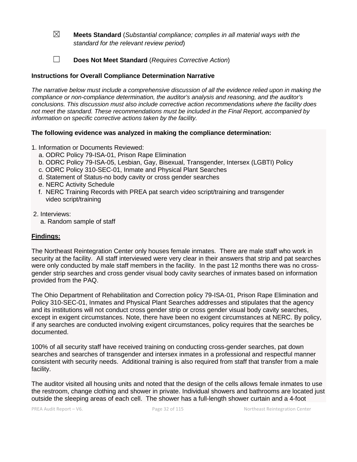- ☒ **Meets Standard** (*Substantial compliance; complies in all material ways with the standard for the relevant review period*)
- ☐ **Does Not Meet Standard** (*Requires Corrective Action*)

## **Instructions for Overall Compliance Determination Narrative**

*The narrative below must include a comprehensive discussion of all the evidence relied upon in making the compliance or non-compliance determination, the auditor's analysis and reasoning, and the auditor's conclusions. This discussion must also include corrective action recommendations where the facility does not meet the standard. These recommendations must be included in the Final Report, accompanied by information on specific corrective actions taken by the facility.*

## **The following evidence was analyzed in making the compliance determination:**

- 1. Information or Documents Reviewed:
	- a. ODRC Policy 79-ISA-01, Prison Rape Elimination
	- b. ODRC Policy 79-ISA-05, Lesbian, Gay, Bisexual, Transgender, Intersex (LGBTI) Policy
	- c. ODRC Policy 310-SEC-01, Inmate and Physical Plant Searches
	- d. Statement of Status-no body cavity or cross gender searches
	- e. NERC Activity Schedule
	- f. NERC Training Records with PREA pat search video script/training and transgender video script/training
- 2. Interviews:
	- a. Random sample of staff

## **Findings:**

The Northeast Reintegration Center only houses female inmates. There are male staff who work in security at the facility. All staff interviewed were very clear in their answers that strip and pat searches were only conducted by male staff members in the facility. In the past 12 months there was no crossgender strip searches and cross gender visual body cavity searches of inmates based on information provided from the PAQ.

The Ohio Department of Rehabilitation and Correction policy 79-ISA-01, Prison Rape Elimination and Policy 310-SEC-01, Inmates and Physical Plant Searches addresses and stipulates that the agency and its institutions will not conduct cross gender strip or cross gender visual body cavity searches, except in exigent circumstances. Note, there have been no exigent circumstances at NERC. By policy, if any searches are conducted involving exigent circumstances, policy requires that the searches be documented.

100% of all security staff have received training on conducting cross-gender searches, pat down searches and searches of transgender and intersex inmates in a professional and respectful manner consistent with security needs. Additional training is also required from staff that transfer from a male facility.

The auditor visited all housing units and noted that the design of the cells allows female inmates to use the restroom, change clothing and shower in private. Individual showers and bathrooms are located just outside the sleeping areas of each cell. The shower has a full-length shower curtain and a 4-foot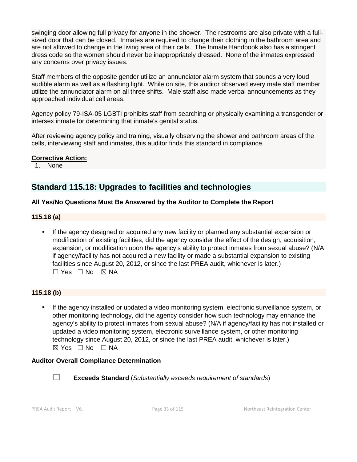swinging door allowing full privacy for anyone in the shower. The restrooms are also private with a fullsized door that can be closed. Inmates are required to change their clothing in the bathroom area and are not allowed to change in the living area of their cells. The Inmate Handbook also has a stringent dress code so the women should never be inappropriately dressed. None of the inmates expressed any concerns over privacy issues.

Staff members of the opposite gender utilize an annunciator alarm system that sounds a very loud audible alarm as well as a flashing light. While on site, this auditor observed every male staff member utilize the annunciator alarm on all three shifts. Male staff also made verbal announcements as they approached individual cell areas.

Agency policy 79-ISA-05 LGBTI prohibits staff from searching or physically examining a transgender or intersex inmate for determining that inmate's genital status.

After reviewing agency policy and training, visually observing the shower and bathroom areas of the cells, interviewing staff and inmates, this auditor finds this standard in compliance.

#### **Corrective Action:**

1. None

## **Standard 115.18: Upgrades to facilities and technologies**

## **All Yes/No Questions Must Be Answered by the Auditor to Complete the Report**

#### **115.18 (a)**

 If the agency designed or acquired any new facility or planned any substantial expansion or modification of existing facilities, did the agency consider the effect of the design, acquisition, expansion, or modification upon the agency's ability to protect inmates from sexual abuse? (N/A if agency/facility has not acquired a new facility or made a substantial expansion to existing facilities since August 20, 2012, or since the last PREA audit, whichever is later.)  $\square$  Yes  $\square$  No  $\square$  NA

## **115.18 (b)**

 If the agency installed or updated a video monitoring system, electronic surveillance system, or other monitoring technology, did the agency consider how such technology may enhance the agency's ability to protect inmates from sexual abuse? (N/A if agency/facility has not installed or updated a video monitoring system, electronic surveillance system, or other monitoring technology since August 20, 2012, or since the last PREA audit, whichever is later.)  $\boxtimes$  Yes  $\Box$  No  $\Box$  NA

#### **Auditor Overall Compliance Determination**



☐ **Exceeds Standard** (*Substantially exceeds requirement of standards*)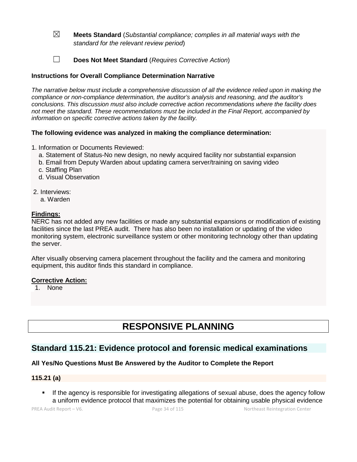- ☒ **Meets Standard** (*Substantial compliance; complies in all material ways with the standard for the relevant review period*)
- ☐ **Does Not Meet Standard** (*Requires Corrective Action*)

## **Instructions for Overall Compliance Determination Narrative**

*The narrative below must include a comprehensive discussion of all the evidence relied upon in making the compliance or non-compliance determination, the auditor's analysis and reasoning, and the auditor's conclusions. This discussion must also include corrective action recommendations where the facility does not meet the standard. These recommendations must be included in the Final Report, accompanied by information on specific corrective actions taken by the facility.*

## **The following evidence was analyzed in making the compliance determination:**

- 1. Information or Documents Reviewed:
	- a. Statement of Status-No new design, no newly acquired facility nor substantial expansion
	- b. Email from Deputy Warden about updating camera server/training on saving video
	- c. Staffing Plan
	- d. Visual Observation
- 2. Interviews:
	- a. Warden

## **Findings:**

NERC has not added any new facilities or made any substantial expansions or modification of existing facilities since the last PREA audit. There has also been no installation or updating of the video monitoring system, electronic surveillance system or other monitoring technology other than updating the server.

After visually observing camera placement throughout the facility and the camera and monitoring equipment, this auditor finds this standard in compliance.

#### **Corrective Action:**

1. None

# **RESPONSIVE PLANNING**

## **Standard 115.21: Evidence protocol and forensic medical examinations**

## **All Yes/No Questions Must Be Answered by the Auditor to Complete the Report**

#### **115.21 (a)**

 If the agency is responsible for investigating allegations of sexual abuse, does the agency follow a uniform evidence protocol that maximizes the potential for obtaining usable physical evidence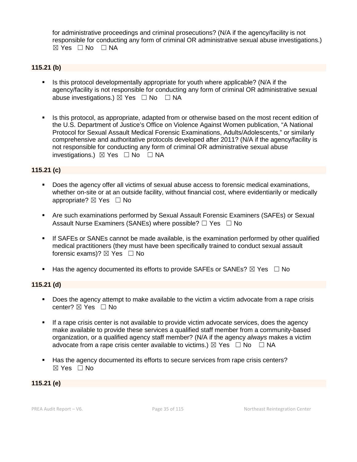for administrative proceedings and criminal prosecutions? (N/A if the agency/facility is not responsible for conducting any form of criminal OR administrative sexual abuse investigations.)  $\boxtimes$  Yes  $\Box$  No  $\Box$  NA

## **115.21 (b)**

- Is this protocol developmentally appropriate for youth where applicable? (N/A if the agency/facility is not responsible for conducting any form of criminal OR administrative sexual abuse investigations.)  $\boxtimes$  Yes  $\Box$  No  $\Box$  NA
- Is this protocol, as appropriate, adapted from or otherwise based on the most recent edition of the U.S. Department of Justice's Office on Violence Against Women publication, "A National Protocol for Sexual Assault Medical Forensic Examinations, Adults/Adolescents," or similarly comprehensive and authoritative protocols developed after 2011? (N/A if the agency/facility is not responsible for conducting any form of criminal OR administrative sexual abuse investigations.)  $\boxtimes$  Yes □ No □ NA

#### **115.21 (c)**

- Does the agency offer all victims of sexual abuse access to forensic medical examinations, whether on-site or at an outside facility, without financial cost, where evidentiarily or medically appropriate?  $\boxtimes$  Yes  $\Box$  No
- Are such examinations performed by Sexual Assault Forensic Examiners (SAFEs) or Sexual Assault Nurse Examiners (SANEs) where possible? □ Yes □ No
- If SAFEs or SANEs cannot be made available, is the examination performed by other qualified medical practitioners (they must have been specifically trained to conduct sexual assault forensic exams)?  $\boxtimes$  Yes  $\Box$  No
- Has the agency documented its efforts to provide SAFEs or SANEs?  $\boxtimes$  Yes  $\Box$  No

#### **115.21 (d)**

- Does the agency attempt to make available to the victim a victim advocate from a rape crisis center? ⊠ Yes □ No
- If a rape crisis center is not available to provide victim advocate services, does the agency make available to provide these services a qualified staff member from a community-based organization, or a qualified agency staff member? (N/A if the agency *always* makes a victim advocate from a rape crisis center available to victims.)  $\boxtimes$  Yes  $\Box$  No  $\Box$  NA
- Has the agency documented its efforts to secure services from rape crisis centers? ☒ Yes ☐ No

**115.21 (e)**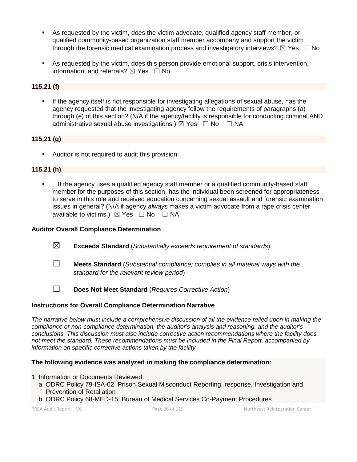- As requested by the victim, does the victim advocate, qualified agency staff member, or qualified community-based organization staff member accompany and support the victim through the forensic medical examination process and investigatory interviews?  $\boxtimes$  Yes  $\Box$  No
- As requested by the victim, does this person provide emotional support, crisis intervention, information, and referrals?  $\boxtimes$  Yes  $\Box$  No

## **115.21 (f)**

 If the agency itself is not responsible for investigating allegations of sexual abuse, has the agency requested that the investigating agency follow the requirements of paragraphs (a) through (e) of this section? (N/A if the agency/facility is responsible for conducting criminal AND administrative sexual abuse investigations.)  $\boxtimes$  Yes  $\Box$  No  $\Box$  NA

## **115.21 (g)**

Auditor is not required to audit this provision.

## **115.21 (h)**

 If the agency uses a qualified agency staff member or a qualified community-based staff member for the purposes of this section, has the individual been screened for appropriateness to serve in this role and received education concerning sexual assault and forensic examination issues in general? (N/A if agency *always* makes a victim advocate from a rape crisis center available to victims.)  $\boxtimes$  Yes  $\Box$  No  $\Box$  NA

## **Auditor Overall Compliance Determination**

- ☒ **Exceeds Standard** (*Substantially exceeds requirement of standards*)
- ☐ **Meets Standard** (*Substantial compliance; complies in all material ways with the standard for the relevant review period*)
- ☐ **Does Not Meet Standard** (*Requires Corrective Action*)

## **Instructions for Overall Compliance Determination Narrative**

*The narrative below must include a comprehensive discussion of all the evidence relied upon in making the compliance or non-compliance determination, the auditor's analysis and reasoning, and the auditor's conclusions. This discussion must also include corrective action recommendations where the facility does not meet the standard. These recommendations must be included in the Final Report, accompanied by information on specific corrective actions taken by the facility.*

## **The following evidence was analyzed in making the compliance determination:**

#### 1. Information or Documents Reviewed:

- a. ODRC Policy 79-ISA-02, Prison Sexual Misconduct Reporting, response, Investigation and Prevention of Retaliation
- b. ODRC Policy 68-MED-15, Bureau of Medical Services Co-Payment Procedures

PREA Audit Report – V6. Page 36 of 115 Northeast Reintegration Center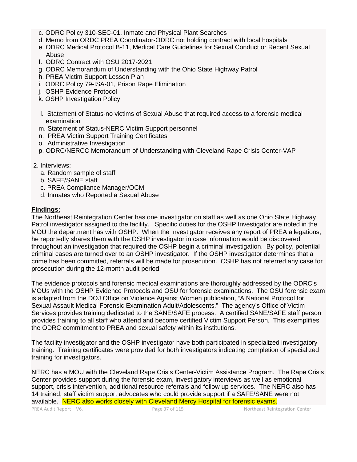- c. ODRC Policy 310-SEC-01, Inmate and Physical Plant Searches
- d. Memo from ORDC PREA Coordinator-ODRC not holding contract with local hospitals
- e. ODRC Medical Protocol B-11, Medical Care Guidelines for Sexual Conduct or Recent Sexual Abuse
- f. ODRC Contract with OSU 2017-2021
- g. ODRC Memorandum of Understanding with the Ohio State Highway Patrol
- h. PREA Victim Support Lesson Plan
- i. ODRC Policy 79-ISA-01, Prison Rape Elimination
- j. OSHP Evidence Protocol
- k. OSHP Investigation Policy
- l. Statement of Status-no victims of Sexual Abuse that required access to a forensic medical examination
- m. Statement of Status-NERC Victim Support personnel
- n. PREA Victim Support Training Certificates
- o. Administrative Investigation
- p. ODRC/NERCC Memorandum of Understanding with Cleveland Rape Crisis Center-VAP
- 2. Interviews:
	- a. Random sample of staff
	- b. SAFE/SANE staff
	- c. PREA Compliance Manager/OCM
	- d. Inmates who Reported a Sexual Abuse

#### **Findings:**

The Northeast Reintegration Center has one investigator on staff as well as one Ohio State Highway Patrol investigator assigned to the facility. Specific duties for the OSHP Investigator are noted in the MOU the department has with OSHP. When the Investigator receives any report of PREA allegations, he reportedly shares them with the OSHP investigator in case information would be discovered throughout an investigation that required the OSHP begin a criminal investigation. By policy, potential criminal cases are turned over to an OSHP investigator. If the OSHP investigator determines that a crime has been committed, referrals will be made for prosecution. OSHP has not referred any case for prosecution during the 12-month audit period.

The evidence protocols and forensic medical examinations are thoroughly addressed by the ODRC's MOUs with the OSHP Evidence Protocols and OSU for forensic examinations. The OSU forensic exam is adapted from the DOJ Office on Violence Against Women publication, "A National Protocol for Sexual Assault Medical Forensic Examination Adult/Adolescents." The agency's Office of Victim Services provides training dedicated to the SANE/SAFE process. A certified SANE/SAFE staff person provides training to all staff who attend and become certified Victim Support Person. This exemplifies the ODRC commitment to PREA and sexual safety within its institutions.

The facility investigator and the OSHP investigator have both participated in specialized investigatory training. Training certificates were provided for both investigators indicating completion of specialized training for investigators.

NERC has a MOU with the Cleveland Rape Crisis Center-Victim Assistance Program. The Rape Crisis Center provides support during the forensic exam, investigatory interviews as well as emotional support, crisis intervention, additional resource referrals and follow up services. The NERC also has 14 trained, staff victim support advocates who could provide support if a SAFE/SANE were not available. NERC also works closely with Cleveland Mercy Hospital for forensic exams.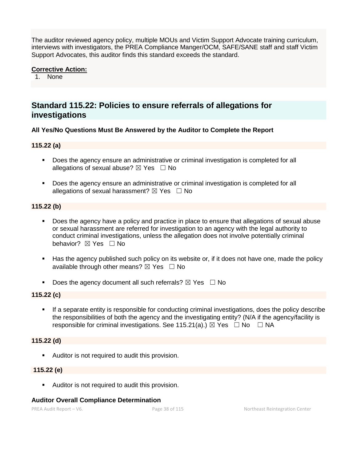The auditor reviewed agency policy, multiple MOUs and Victim Support Advocate training curriculum, interviews with investigators, the PREA Compliance Manger/OCM, SAFE/SANE staff and staff Victim Support Advocates, this auditor finds this standard exceeds the standard.

#### **Corrective Action:**

1. None

# **Standard 115.22: Policies to ensure referrals of allegations for investigations**

#### **All Yes/No Questions Must Be Answered by the Auditor to Complete the Report**

# **115.22 (a)**

- **Does the agency ensure an administrative or criminal investigation is completed for all** allegations of sexual abuse?  $\boxtimes$  Yes  $\Box$  No
- Does the agency ensure an administrative or criminal investigation is completed for all allegations of sexual harassment?  $\boxtimes$  Yes  $\Box$  No

#### **115.22 (b)**

- Does the agency have a policy and practice in place to ensure that allegations of sexual abuse or sexual harassment are referred for investigation to an agency with the legal authority to conduct criminal investigations, unless the allegation does not involve potentially criminal behavior? **⊠** Yes □ No
- Has the agency published such policy on its website or, if it does not have one, made the policy available through other means?  $\boxtimes$  Yes  $\Box$  No
- Does the agency document all such referrals?  $\boxtimes$  Yes  $\Box$  No

#### **115.22 (c)**

 If a separate entity is responsible for conducting criminal investigations, does the policy describe the responsibilities of both the agency and the investigating entity? (N/A if the agency/facility is responsible for criminal investigations. See 115.21(a).)  $\boxtimes$  Yes  $\Box$  No  $\Box$  NA

# **115.22 (d)**

Auditor is not required to audit this provision.

#### **115.22 (e)**

**Auditor is not required to audit this provision.** 

#### **Auditor Overall Compliance Determination**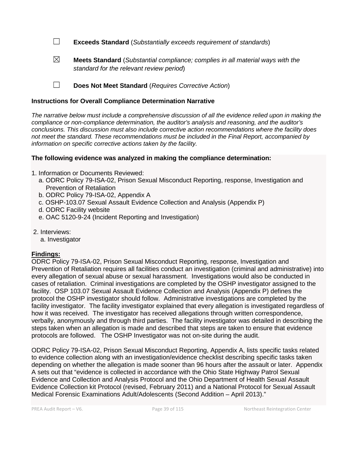☐ **Exceeds Standard** (*Substantially exceeds requirement of standards*)

☒ **Meets Standard** (*Substantial compliance; complies in all material ways with the standard for the relevant review period*)

☐ **Does Not Meet Standard** (*Requires Corrective Action*)

# **Instructions for Overall Compliance Determination Narrative**

*The narrative below must include a comprehensive discussion of all the evidence relied upon in making the compliance or non-compliance determination, the auditor's analysis and reasoning, and the auditor's conclusions. This discussion must also include corrective action recommendations where the facility does not meet the standard. These recommendations must be included in the Final Report, accompanied by information on specific corrective actions taken by the facility.*

# **The following evidence was analyzed in making the compliance determination:**

- 1. Information or Documents Reviewed:
	- a. ODRC Policy 79-ISA-02, Prison Sexual Misconduct Reporting, response, Investigation and Prevention of Retaliation
	- b. ODRC Policy 79-ISA-02, Appendix A
	- c. OSHP-103.07 Sexual Assault Evidence Collection and Analysis (Appendix P)
	- d. ODRC Facility website
	- e. OAC 5120-9-24 (Incident Reporting and Investigation)
- 2. Interviews:
	- a. Investigator

# **Findings:**

ODRC Policy 79-ISA-02, Prison Sexual Misconduct Reporting, response, Investigation and Prevention of Retaliation requires all facilities conduct an investigation (criminal and administrative) into every allegation of sexual abuse or sexual harassment. Investigations would also be conducted in cases of retaliation. Criminal investigations are completed by the OSHP investigator assigned to the facility. OSP 103.07 Sexual Assault Evidence Collection and Analysis (Appendix P) defines the protocol the OSHP investigator should follow. Administrative investigations are completed by the facility investigator. The facility investigator explained that every allegation is investigated regardless of how it was received. The investigator has received allegations through written correspondence, verbally, anonymously and through third parties. The facility investigator was detailed in describing the steps taken when an allegation is made and described that steps are taken to ensure that evidence protocols are followed. The OSHP Investigator was not on-site during the audit.

ODRC Policy 79-ISA-02, Prison Sexual Misconduct Reporting, Appendix A, lists specific tasks related to evidence collection along with an investigation/evidence checklist describing specific tasks taken depending on whether the allegation is made sooner than 96 hours after the assault or later. Appendix A sets out that "evidence is collected in accordance with the Ohio State Highway Patrol Sexual Evidence and Collection and Analysis Protocol and the Ohio Department of Health Sexual Assault Evidence Collection kit Protocol (revised, February 2011) and a National Protocol for Sexual Assault Medical Forensic Examinations Adult/Adolescents (Second Addition – April 2013)."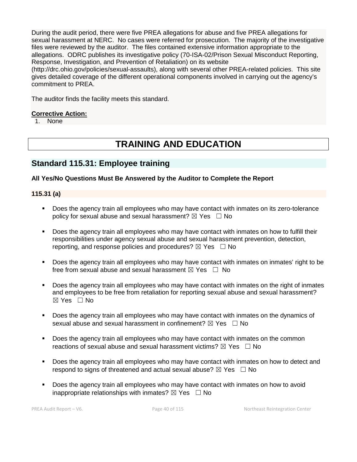During the audit period, there were five PREA allegations for abuse and five PREA allegations for sexual harassment at NERC. No cases were referred for prosecution. The majority of the investigative files were reviewed by the auditor. The files contained extensive information appropriate to the allegations. ODRC publishes its investigative policy (70-ISA-02/Prison Sexual Misconduct Reporting, Response, Investigation, and Prevention of Retaliation) on its website

(http://drc.ohio.gov/policies/sexual-assaults), along with several other PREA-related policies. This site gives detailed coverage of the different operational components involved in carrying out the agency's commitment to PREA.

The auditor finds the facility meets this standard.

# **Corrective Action:**

1. None

# **TRAINING AND EDUCATION**

# **Standard 115.31: Employee training**

# **All Yes/No Questions Must Be Answered by the Auditor to Complete the Report**

# **115.31 (a)**

- **Does the agency train all employees who may have contact with inmates on its zero-tolerance** policy for sexual abuse and sexual harassment?  $\boxtimes$  Yes  $\Box$  No
- Does the agency train all employees who may have contact with inmates on how to fulfill their responsibilities under agency sexual abuse and sexual harassment prevention, detection, reporting, and response policies and procedures?  $\boxtimes$  Yes  $\Box$  No
- Does the agency train all employees who may have contact with inmates on inmates' right to be free from sexual abuse and sexual harassment  $\boxtimes$  Yes  $\Box$  No
- Does the agency train all employees who may have contact with inmates on the right of inmates and employees to be free from retaliation for reporting sexual abuse and sexual harassment? ☒ Yes ☐ No
- Does the agency train all employees who may have contact with inmates on the dynamics of sexual abuse and sexual harassment in confinement?  $\boxtimes$  Yes  $\Box$  No
- Does the agency train all employees who may have contact with inmates on the common reactions of sexual abuse and sexual harassment victims?  $\boxtimes$  Yes  $\Box$  No
- Does the agency train all employees who may have contact with inmates on how to detect and respond to signs of threatened and actual sexual abuse?  $\boxtimes$  Yes  $\Box$  No
- Does the agency train all employees who may have contact with inmates on how to avoid inappropriate relationships with inmates?  $\boxtimes$  Yes  $\Box$  No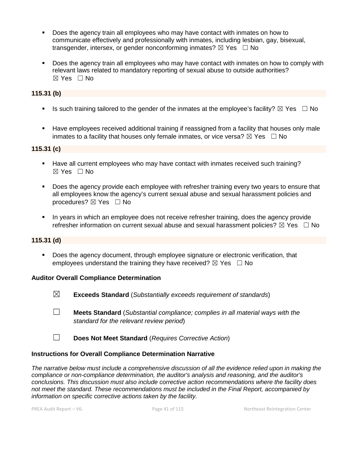- Does the agency train all employees who may have contact with inmates on how to communicate effectively and professionally with inmates, including lesbian, gay, bisexual, transgender, intersex, or gender nonconforming inmates?  $\boxtimes$  Yes  $\Box$  No
- Does the agency train all employees who may have contact with inmates on how to comply with relevant laws related to mandatory reporting of sexual abuse to outside authorities?  $\boxtimes$  Yes  $\Box$  No

# **115.31 (b)**

- Is such training tailored to the gender of the inmates at the employee's facility?  $\boxtimes$  Yes  $\Box$  No
- Have employees received additional training if reassigned from a facility that houses only male inmates to a facility that houses only female inmates, or vice versa?  $\boxtimes$  Yes  $\Box$  No

#### **115.31 (c)**

- Have all current employees who may have contact with inmates received such training?  $\boxtimes$  Yes  $\Box$  No
- Does the agency provide each employee with refresher training every two years to ensure that all employees know the agency's current sexual abuse and sexual harassment policies and procedures?  $\boxtimes$  Yes  $\Box$  No
- In years in which an employee does not receive refresher training, does the agency provide refresher information on current sexual abuse and sexual harassment policies?  $\boxtimes$  Yes  $\Box$  No

# **115.31 (d)**

 Does the agency document, through employee signature or electronic verification, that employees understand the training they have received?  $\boxtimes$  Yes  $\Box$  No

#### **Auditor Overall Compliance Determination**

- ☒ **Exceeds Standard** (*Substantially exceeds requirement of standards*)
- ☐ **Meets Standard** (*Substantial compliance; complies in all material ways with the standard for the relevant review period*)
- ☐ **Does Not Meet Standard** (*Requires Corrective Action*)

# **Instructions for Overall Compliance Determination Narrative**

*The narrative below must include a comprehensive discussion of all the evidence relied upon in making the compliance or non-compliance determination, the auditor's analysis and reasoning, and the auditor's conclusions. This discussion must also include corrective action recommendations where the facility does not meet the standard. These recommendations must be included in the Final Report, accompanied by information on specific corrective actions taken by the facility.*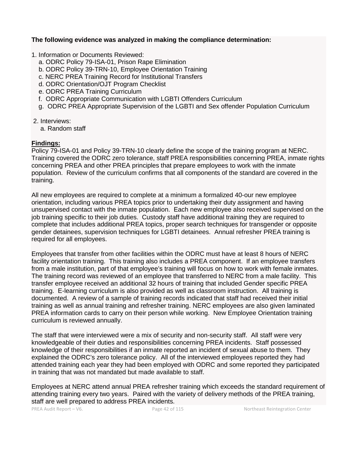#### **The following evidence was analyzed in making the compliance determination:**

- 1. Information or Documents Reviewed:
	- a. ODRC Policy 79-ISA-01, Prison Rape Elimination
	- b. ODRC Policy 39-TRN-10, Employee Orientation Training
	- c. NERC PREA Training Record for Institutional Transfers
	- d. ODRC Orientation/OJT Program Checklist
	- e. ODRC PREA Training Curriculum
	- f. ODRC Appropriate Communication with LGBTI Offenders Curriculum
	- g. ODRC PREA Appropriate Supervision of the LGBTI and Sex offender Population Curriculum
- 2. Interviews:
	- a. Random staff

# **Findings:**

Policy 79-ISA-01 and Policy 39-TRN-10 clearly define the scope of the training program at NERC. Training covered the ODRC zero tolerance, staff PREA responsibilities concerning PREA, inmate rights concerning PREA and other PREA principles that prepare employees to work with the inmate population. Review of the curriculum confirms that all components of the standard are covered in the training.

All new employees are required to complete at a minimum a formalized 40-our new employee orientation, including various PREA topics prior to undertaking their duty assignment and having unsupervised contact with the inmate population. Each new employee also received supervised on the job training specific to their job duties. Custody staff have additional training they are required to complete that includes additional PREA topics, proper search techniques for transgender or opposite gender detainees, supervision techniques for LGBTI detainees. Annual refresher PREA training is required for all employees.

Employees that transfer from other facilities within the ODRC must have at least 8 hours of NERC facility orientation training. This training also includes a PREA component. If an employee transfers from a male institution, part of that employee's training will focus on how to work with female inmates. The training record was reviewed of an employee that transferred to NERC from a male facility. This transfer employee received an additional 32 hours of training that included Gender specific PREA training. E-learning curriculum is also provided as well as classroom instruction. All training is documented. A review of a sample of training records indicated that staff had received their initial training as well as annual training and refresher training. NERC employees are also given laminated PREA information cards to carry on their person while working. New Employee Orientation training curriculum is reviewed annually.

The staff that were interviewed were a mix of security and non-security staff. All staff were very knowledgeable of their duties and responsibilities concerning PREA incidents. Staff possessed knowledge of their responsibilities if an inmate reported an incident of sexual abuse to them. They explained the ODRC's zero tolerance policy. All of the interviewed employees reported they had attended training each year they had been employed with ODRC and some reported they participated in training that was not mandated but made available to staff.

Employees at NERC attend annual PREA refresher training which exceeds the standard requirement of attending training every two years. Paired with the variety of delivery methods of the PREA training, staff are well prepared to address PREA incidents.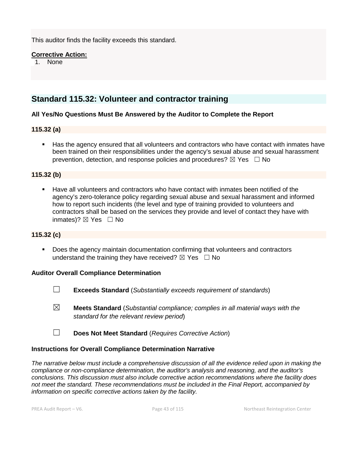This auditor finds the facility exceeds this standard.

#### **Corrective Action:**

1. None

# **Standard 115.32: Volunteer and contractor training**

# **All Yes/No Questions Must Be Answered by the Auditor to Complete the Report**

#### **115.32 (a)**

 Has the agency ensured that all volunteers and contractors who have contact with inmates have been trained on their responsibilities under the agency's sexual abuse and sexual harassment prevention, detection, and response policies and procedures?  $\boxtimes$  Yes  $\Box$  No

# **115.32 (b)**

 Have all volunteers and contractors who have contact with inmates been notified of the agency's zero-tolerance policy regarding sexual abuse and sexual harassment and informed how to report such incidents (the level and type of training provided to volunteers and contractors shall be based on the services they provide and level of contact they have with inmates)?  $\boxtimes$  Yes  $\Box$  No

#### **115.32 (c)**

**Does the agency maintain documentation confirming that volunteers and contractors** understand the training they have received?  $\boxtimes$  Yes  $\Box$  No

#### **Auditor Overall Compliance Determination**

- ☐ **Exceeds Standard** (*Substantially exceeds requirement of standards*)
- ☒ **Meets Standard** (*Substantial compliance; complies in all material ways with the standard for the relevant review period*)
- ☐ **Does Not Meet Standard** (*Requires Corrective Action*)

#### **Instructions for Overall Compliance Determination Narrative**

*The narrative below must include a comprehensive discussion of all the evidence relied upon in making the compliance or non-compliance determination, the auditor's analysis and reasoning, and the auditor's conclusions. This discussion must also include corrective action recommendations where the facility does not meet the standard. These recommendations must be included in the Final Report, accompanied by information on specific corrective actions taken by the facility.*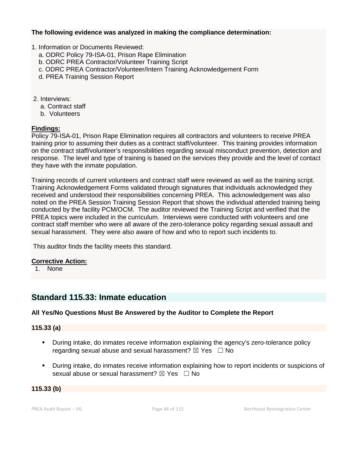## **The following evidence was analyzed in making the compliance determination:**

#### 1. Information or Documents Reviewed:

- a. ODRC Policy 79-ISA-01, Prison Rape Elimination
- b. ODRC PREA Contractor/Volunteer Training Script
- c. ODRC PREA Contractor/Volunteer/Intern Training Acknowledgement Form
- d. PREA Training Session Report
- 2. Interviews:
	- a. Contract staff
	- b. Volunteers

# **Findings:**

Policy 79-ISA-01, Prison Rape Elimination requires all contractors and volunteers to receive PREA training prior to assuming their duties as a contract staff/volunteer. This training provides information on the contract staff/volunteer's responsibilities regarding sexual misconduct prevention, detection and response. The level and type of training is based on the services they provide and the level of contact they have with the inmate population.

Training records of current volunteers and contract staff were reviewed as well as the training script. Training Acknowledgement Forms validated through signatures that individuals acknowledged they received and understood their responsibilities concerning PREA. This acknowledgement was also noted on the PREA Session Training Session Report that shows the individual attended training being conducted by the facility PCM/OCM. The auditor reviewed the Training Script and verified that the PREA topics were included in the curriculum. Interviews were conducted with volunteers and one contract staff member who were all aware of the zero-tolerance policy regarding sexual assault and sexual harassment. They were also aware of how and who to report such incidents to.

This auditor finds the facility meets this standard.

# **Corrective Action:**

1. None

# **Standard 115.33: Inmate education**

# **All Yes/No Questions Must Be Answered by the Auditor to Complete the Report**

**115.33 (a)**

- During intake, do inmates receive information explaining the agency's zero-tolerance policy regarding sexual abuse and sexual harassment?  $\boxtimes$  Yes  $\Box$  No
- During intake, do inmates receive information explaining how to report incidents or suspicions of sexual abuse or sexual harassment?  $\boxtimes$  Yes  $\Box$  No

#### **115.33 (b)**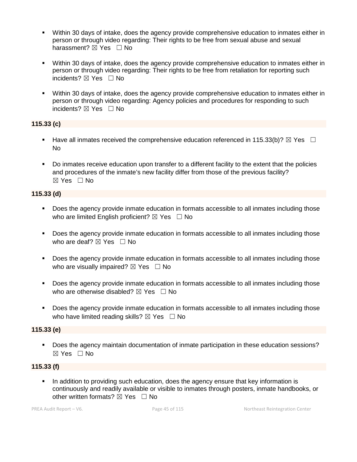- Within 30 days of intake, does the agency provide comprehensive education to inmates either in person or through video regarding: Their rights to be free from sexual abuse and sexual harassment? **⊠** Yes □ No
- Within 30 days of intake, does the agency provide comprehensive education to inmates either in person or through video regarding: Their rights to be free from retaliation for reporting such incidents? ☒ Yes ☐ No
- Within 30 days of intake, does the agency provide comprehensive education to inmates either in person or through video regarding: Agency policies and procedures for responding to such incidents? ⊠ Yes □ No

# **115.33 (c)**

- Have all inmates received the comprehensive education referenced in 115.33(b)?  $\boxtimes$  Yes  $\Box$ No
- Do inmates receive education upon transfer to a different facility to the extent that the policies and procedures of the inmate's new facility differ from those of the previous facility? ☒ Yes ☐ No

# **115.33 (d)**

- **Does the agency provide inmate education in formats accessible to all inmates including those** who are limited English proficient?  $\boxtimes$  Yes  $\Box$  No
- Does the agency provide inmate education in formats accessible to all inmates including those who are deaf?  $\boxtimes$  Yes  $\Box$  No
- Does the agency provide inmate education in formats accessible to all inmates including those who are visually impaired?  $\boxtimes$  Yes  $\Box$  No
- Does the agency provide inmate education in formats accessible to all inmates including those who are otherwise disabled?  $\boxtimes$  Yes  $\Box$  No
- **Does the agency provide inmate education in formats accessible to all inmates including those** who have limited reading skills?  $\boxtimes$  Yes  $\Box$  No

# **115.33 (e)**

 Does the agency maintain documentation of inmate participation in these education sessions? ☒ Yes ☐ No

# **115.33 (f)**

In addition to providing such education, does the agency ensure that key information is continuously and readily available or visible to inmates through posters, inmate handbooks, or other written formats?  $\boxtimes$  Yes  $\Box$  No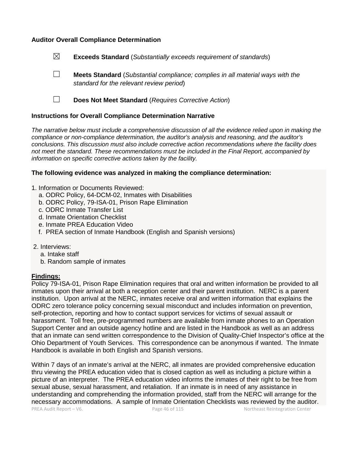#### **Auditor Overall Compliance Determination**

- ☒ **Exceeds Standard** (*Substantially exceeds requirement of standards*)
- ☐ **Meets Standard** (*Substantial compliance; complies in all material ways with the standard for the relevant review period*)
- ☐ **Does Not Meet Standard** (*Requires Corrective Action*)

#### **Instructions for Overall Compliance Determination Narrative**

*The narrative below must include a comprehensive discussion of all the evidence relied upon in making the compliance or non-compliance determination, the auditor's analysis and reasoning, and the auditor's conclusions. This discussion must also include corrective action recommendations where the facility does not meet the standard. These recommendations must be included in the Final Report, accompanied by information on specific corrective actions taken by the facility.*

#### **The following evidence was analyzed in making the compliance determination:**

- 1. Information or Documents Reviewed:
	- a. ODRC Policy, 64-DCM-02, Inmates with Disabilities
	- b. ODRC Policy, 79-ISA-01, Prison Rape Elimination
	- c. ODRC Inmate Transfer List
	- d. Inmate Orientation Checklist
	- e. Inmate PREA Education Video
	- f. PREA section of Inmate Handbook (English and Spanish versions)
- 2. Interviews:
	- a. Intake staff
	- b. Random sample of inmates

#### **Findings:**

Policy 79-ISA-01, Prison Rape Elimination requires that oral and written information be provided to all inmates upon their arrival at both a reception center and their parent institution. NERC is a parent institution. Upon arrival at the NERC, inmates receive oral and written information that explains the ODRC zero tolerance policy concerning sexual misconduct and includes information on prevention, self-protection, reporting and how to contact support services for victims of sexual assault or harassment. Toll free, pre-programmed numbers are available from inmate phones to an Operation Support Center and an outside agency hotline and are listed in the Handbook as well as an address that an inmate can send written correspondence to the Division of Quality-Chief Inspector's office at the Ohio Department of Youth Services. This correspondence can be anonymous if wanted. The Inmate Handbook is available in both English and Spanish versions.

Within 7 days of an inmate's arrival at the NERC, all inmates are provided comprehensive education thru viewing the PREA education video that is closed caption as well as including a picture within a picture of an interpreter. The PREA education video informs the inmates of their right to be free from sexual abuse, sexual harassment, and retaliation. If an inmate is in need of any assistance in understanding and comprehending the information provided, staff from the NERC will arrange for the necessary accommodations. A sample of Inmate Orientation Checklists was reviewed by the auditor.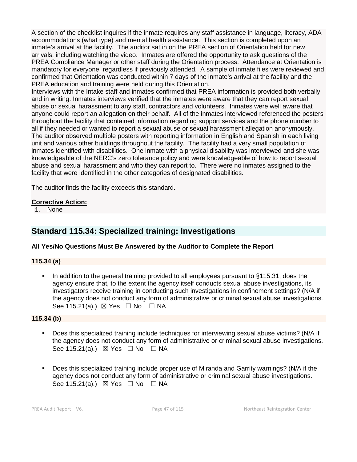A section of the checklist inquires if the inmate requires any staff assistance in language, literacy, ADA accommodations (what type) and mental health assistance. This section is completed upon an inmate's arrival at the facility. The auditor sat in on the PREA section of Orientation held for new arrivals, including watching the video. Inmates are offered the opportunity to ask questions of the PREA Compliance Manager or other staff during the Orientation process. Attendance at Orientation is mandatory for everyone, regardless if previously attended. A sample of inmate files were reviewed and confirmed that Orientation was conducted within 7 days of the inmate's arrival at the facility and the PREA education and training were held during this Orientation.

Interviews with the Intake staff and inmates confirmed that PREA information is provided both verbally and in writing. Inmates interviews verified that the inmates were aware that they can report sexual abuse or sexual harassment to any staff, contractors and volunteers. Inmates were well aware that anyone could report an allegation on their behalf. All of the inmates interviewed referenced the posters throughout the facility that contained information regarding support services and the phone number to all if they needed or wanted to report a sexual abuse or sexual harassment allegation anonymously. The auditor observed multiple posters with reporting information in English and Spanish in each living unit and various other buildings throughout the facility. The facility had a very small population of inmates identified with disabilities. One inmate with a physical disability was interviewed and she was knowledgeable of the NERC's zero tolerance policy and were knowledgeable of how to report sexual abuse and sexual harassment and who they can report to. There were no inmates assigned to the facility that were identified in the other categories of designated disabilities.

The auditor finds the facility exceeds this standard.

#### **Corrective Action:**

1. None

# **Standard 115.34: Specialized training: Investigations**

# **All Yes/No Questions Must Be Answered by the Auditor to Complete the Report**

# **115.34 (a)**

 In addition to the general training provided to all employees pursuant to §115.31, does the agency ensure that, to the extent the agency itself conducts sexual abuse investigations, its investigators receive training in conducting such investigations in confinement settings? (N/A if the agency does not conduct any form of administrative or criminal sexual abuse investigations. See 115.21(a).)  $\boxtimes$  Yes  $\Box$  No  $\Box$  NA

# **115.34 (b)**

- Does this specialized training include techniques for interviewing sexual abuse victims? (N/A if the agency does not conduct any form of administrative or criminal sexual abuse investigations. See 115.21(a).)  $\boxtimes$  Yes  $\Box$  No  $\Box$  NA
- Does this specialized training include proper use of Miranda and Garrity warnings? (N/A if the agency does not conduct any form of administrative or criminal sexual abuse investigations. See 115.21(a).)  $\boxtimes$  Yes  $\Box$  No  $\Box$  NA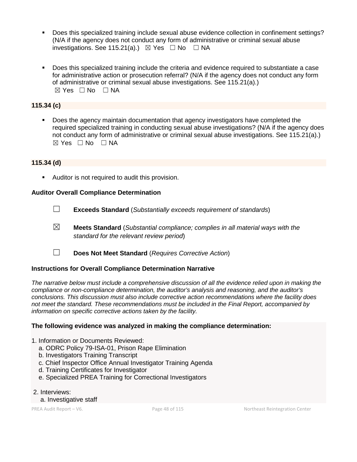- Does this specialized training include sexual abuse evidence collection in confinement settings? (N/A if the agency does not conduct any form of administrative or criminal sexual abuse investigations. See 115.21(a).)  $\boxtimes$  Yes  $\Box$  No  $\Box$  NA
- Does this specialized training include the criteria and evidence required to substantiate a case for administrative action or prosecution referral? (N/A if the agency does not conduct any form of administrative or criminal sexual abuse investigations. See 115.21(a).) ☒ Yes ☐ No ☐ NA

# **115.34 (c)**

 Does the agency maintain documentation that agency investigators have completed the required specialized training in conducting sexual abuse investigations? (N/A if the agency does not conduct any form of administrative or criminal sexual abuse investigations. See 115.21(a).)  $\boxtimes$  Yes  $\Box$  No  $\Box$  NA

#### **115.34 (d)**

**Auditor is not required to audit this provision.** 

#### **Auditor Overall Compliance Determination**

- ☐ **Exceeds Standard** (*Substantially exceeds requirement of standards*)
- ☒ **Meets Standard** (*Substantial compliance; complies in all material ways with the standard for the relevant review period*)
- ☐ **Does Not Meet Standard** (*Requires Corrective Action*)

#### **Instructions for Overall Compliance Determination Narrative**

*The narrative below must include a comprehensive discussion of all the evidence relied upon in making the compliance or non-compliance determination, the auditor's analysis and reasoning, and the auditor's conclusions. This discussion must also include corrective action recommendations where the facility does not meet the standard. These recommendations must be included in the Final Report, accompanied by information on specific corrective actions taken by the facility.*

#### **The following evidence was analyzed in making the compliance determination:**

- 1. Information or Documents Reviewed:
	- a. ODRC Policy 79-ISA-01, Prison Rape Elimination
	- b. Investigators Training Transcript
	- c. Chief Inspector Office Annual Investigator Training Agenda
	- d. Training Certificates for Investigator
	- e. Specialized PREA Training for Correctional Investigators
- 2. Interviews:
	- a. Investigative staff

PREA Audit Report – V6. Page 48 of 115 Northeast Reintegration Center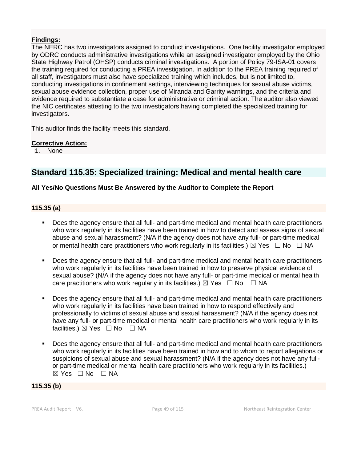# **Findings:**

The NERC has two investigators assigned to conduct investigations. One facility investigator employed by ODRC conducts administrative investigations while an assigned investigator employed by the Ohio State Highway Patrol (OHSP) conducts criminal investigations. A portion of Policy 79-ISA-01 covers the training required for conducting a PREA investigation. In addition to the PREA training required of all staff, investigators must also have specialized training which includes, but is not limited to, conducting investigations in confinement settings, interviewing techniques for sexual abuse victims, sexual abuse evidence collection, proper use of Miranda and Garrity warnings, and the criteria and evidence required to substantiate a case for administrative or criminal action. The auditor also viewed the NIC certificates attesting to the two investigators having completed the specialized training for investigators.

This auditor finds the facility meets this standard.

# **Corrective Action:**

1. None

# **Standard 115.35: Specialized training: Medical and mental health care**

# **All Yes/No Questions Must Be Answered by the Auditor to Complete the Report**

# **115.35 (a)**

- Does the agency ensure that all full- and part-time medical and mental health care practitioners who work regularly in its facilities have been trained in how to detect and assess signs of sexual abuse and sexual harassment? (N/A if the agency does not have any full- or part-time medical or mental health care practitioners who work regularly in its facilities.)  $\boxtimes$  Yes  $\Box$  No  $\Box$  NA
- Does the agency ensure that all full- and part-time medical and mental health care practitioners who work regularly in its facilities have been trained in how to preserve physical evidence of sexual abuse? (N/A if the agency does not have any full- or part-time medical or mental health care practitioners who work regularly in its facilities.)  $\boxtimes$  Yes  $\Box$  No  $\Box$  NA
- Does the agency ensure that all full- and part-time medical and mental health care practitioners who work regularly in its facilities have been trained in how to respond effectively and professionally to victims of sexual abuse and sexual harassment? (N/A if the agency does not have any full- or part-time medical or mental health care practitioners who work regularly in its facilities.) ⊠ Yes □ No □ NA
- Does the agency ensure that all full- and part-time medical and mental health care practitioners who work regularly in its facilities have been trained in how and to whom to report allegations or suspicions of sexual abuse and sexual harassment? (N/A if the agency does not have any fullor part-time medical or mental health care practitioners who work regularly in its facilities.)  $\boxtimes$  Yes  $\Box$  No  $\Box$  NA

#### **115.35 (b)**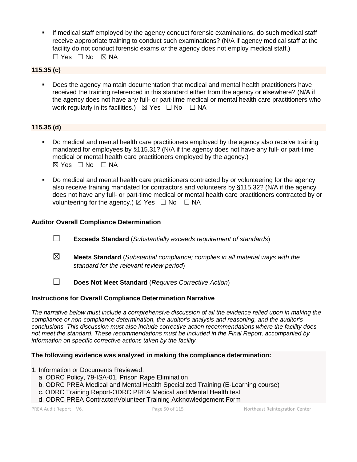If medical staff employed by the agency conduct forensic examinations, do such medical staff receive appropriate training to conduct such examinations? (N/A if agency medical staff at the facility do not conduct forensic exams *or* the agency does not employ medical staff.) ☐ Yes ☐ No ☒ NA

# **115.35 (c)**

 Does the agency maintain documentation that medical and mental health practitioners have received the training referenced in this standard either from the agency or elsewhere? (N/A if the agency does not have any full- or part-time medical or mental health care practitioners who work regularly in its facilities.)  $\boxtimes$  Yes  $\Box$  No  $\Box$  NA

#### **115.35 (d)**

- Do medical and mental health care practitioners employed by the agency also receive training mandated for employees by §115.31? (N/A if the agency does not have any full- or part-time medical or mental health care practitioners employed by the agency.)  $\boxtimes$  Yes  $\Box$  No  $\Box$  NA
- Do medical and mental health care practitioners contracted by or volunteering for the agency also receive training mandated for contractors and volunteers by §115.32? (N/A if the agency does not have any full- or part-time medical or mental health care practitioners contracted by or volunteering for the agency.)  $\boxtimes$  Yes  $\Box$  No  $\Box$  NA

#### **Auditor Overall Compliance Determination**

- ☐ **Exceeds Standard** (*Substantially exceeds requirement of standards*)
- ☒ **Meets Standard** (*Substantial compliance; complies in all material ways with the standard for the relevant review period*)
- ☐ **Does Not Meet Standard** (*Requires Corrective Action*)

#### **Instructions for Overall Compliance Determination Narrative**

*The narrative below must include a comprehensive discussion of all the evidence relied upon in making the compliance or non-compliance determination, the auditor's analysis and reasoning, and the auditor's conclusions. This discussion must also include corrective action recommendations where the facility does not meet the standard. These recommendations must be included in the Final Report, accompanied by information on specific corrective actions taken by the facility.*

#### **The following evidence was analyzed in making the compliance determination:**

- 1. Information or Documents Reviewed:
	- a. ODRC Policy, 79-ISA-01, Prison Rape Elimination
	- b. ODRC PREA Medical and Mental Health Specialized Training (E-Learning course)
	- c. ODRC Training Report-ODRC PREA Medical and Mental Health test
	- d. ODRC PREA Contractor/Volunteer Training Acknowledgement Form

PREA Audit Report – V6. Page 50 of 115 Northeast Reintegration Center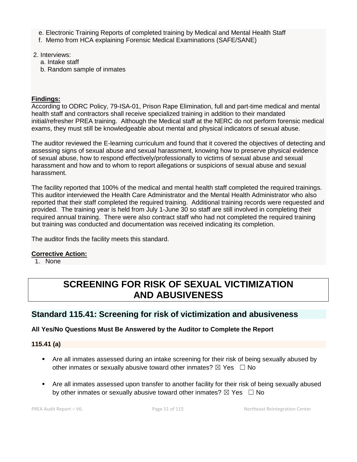- e. Electronic Training Reports of completed training by Medical and Mental Health Staff
- f. Memo from HCA explaining Forensic Medical Examinations (SAFE/SANE)
- 2. Interviews:
	- a. Intake staff
	- b. Random sample of inmates

# **Findings:**

According to ODRC Policy, 79-ISA-01, Prison Rape Elimination, full and part-time medical and mental health staff and contractors shall receive specialized training in addition to their mandated initial/refresher PREA training. Although the Medical staff at the NERC do not perform forensic medical exams, they must still be knowledgeable about mental and physical indicators of sexual abuse.

The auditor reviewed the E-learning curriculum and found that it covered the objectives of detecting and assessing signs of sexual abuse and sexual harassment, knowing how to preserve physical evidence of sexual abuse, how to respond effectively/professionally to victims of sexual abuse and sexual harassment and how and to whom to report allegations or suspicions of sexual abuse and sexual harassment.

The facility reported that 100% of the medical and mental health staff completed the required trainings. This auditor interviewed the Health Care Administrator and the Mental Health Administrator who also reported that their staff completed the required training. Additional training records were requested and provided. The training year is held from July 1-June 30 so staff are still involved in completing their required annual training. There were also contract staff who had not completed the required training but training was conducted and documentation was received indicating its completion.

The auditor finds the facility meets this standard.

# **Corrective Action:**

1. None

# **SCREENING FOR RISK OF SEXUAL VICTIMIZATION AND ABUSIVENESS**

# **Standard 115.41: Screening for risk of victimization and abusiveness**

# **All Yes/No Questions Must Be Answered by the Auditor to Complete the Report**

**115.41 (a)**

- Are all inmates assessed during an intake screening for their risk of being sexually abused by other inmates or sexually abusive toward other inmates?  $\boxtimes$  Yes  $\Box$  No
- Are all inmates assessed upon transfer to another facility for their risk of being sexually abused by other inmates or sexually abusive toward other inmates?  $\boxtimes$  Yes  $\Box$  No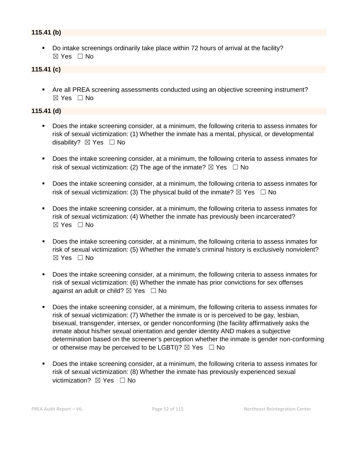# **115.41 (b)**

 Do intake screenings ordinarily take place within 72 hours of arrival at the facility? ☒ Yes ☐ No

#### **115.41 (c)**

 Are all PREA screening assessments conducted using an objective screening instrument? ☒ Yes ☐ No

#### **115.41 (d)**

- Does the intake screening consider, at a minimum, the following criteria to assess inmates for risk of sexual victimization: (1) Whether the inmate has a mental, physical, or developmental disability? **⊠** Yes □ No
- Does the intake screening consider, at a minimum, the following criteria to assess inmates for risk of sexual victimization: (2) The age of the inmate?  $\boxtimes$  Yes  $\Box$  No
- Does the intake screening consider, at a minimum, the following criteria to assess inmates for risk of sexual victimization: (3) The physical build of the inmate?  $\boxtimes$  Yes  $\Box$  No
- **Does the intake screening consider, at a minimum, the following criteria to assess inmates for** risk of sexual victimization: (4) Whether the inmate has previously been incarcerated? ☒ Yes ☐ No
- Does the intake screening consider, at a minimum, the following criteria to assess inmates for risk of sexual victimization: (5) Whether the inmate's criminal history is exclusively nonviolent? ☒ Yes ☐ No
- Does the intake screening consider, at a minimum, the following criteria to assess inmates for risk of sexual victimization: (6) Whether the inmate has prior convictions for sex offenses against an adult or child?  $\boxtimes$  Yes  $\Box$  No
- Does the intake screening consider, at a minimum, the following criteria to assess inmates for risk of sexual victimization: (7) Whether the inmate is or is perceived to be gay, lesbian, bisexual, transgender, intersex, or gender nonconforming (the facility affirmatively asks the inmate about his/her sexual orientation and gender identity AND makes a subjective determination based on the screener's perception whether the inmate is gender non-conforming or otherwise may be perceived to be LGBTI)?  $\boxtimes$  Yes  $\Box$  No
- Does the intake screening consider, at a minimum, the following criteria to assess inmates for risk of sexual victimization: (8) Whether the inmate has previously experienced sexual victimization? **⊠** Yes □ No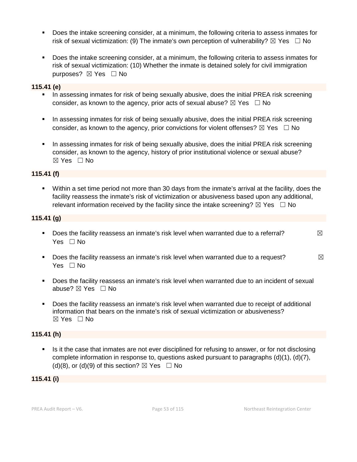- Does the intake screening consider, at a minimum, the following criteria to assess inmates for risk of sexual victimization: (9) The inmate's own perception of vulnerability?  $\boxtimes$  Yes  $\Box$  No
- Does the intake screening consider, at a minimum, the following criteria to assess inmates for risk of sexual victimization: (10) Whether the inmate is detained solely for civil immigration purposes? ⊠ Yes □ No

#### **115.41 (e)**

- In assessing inmates for risk of being sexually abusive, does the initial PREA risk screening consider, as known to the agency, prior acts of sexual abuse?  $\boxtimes$  Yes  $\Box$  No
- In assessing inmates for risk of being sexually abusive, does the initial PREA risk screening consider, as known to the agency, prior convictions for violent offenses?  $\boxtimes$  Yes  $\Box$  No
- In assessing inmates for risk of being sexually abusive, does the initial PREA risk screening consider, as known to the agency, history of prior institutional violence or sexual abuse? ☒ Yes ☐ No

# **115.41 (f)**

 Within a set time period not more than 30 days from the inmate's arrival at the facility, does the facility reassess the inmate's risk of victimization or abusiveness based upon any additional, relevant information received by the facility since the intake screening?  $\boxtimes$  Yes  $\Box$  No

# **115.41 (g)**

- Does the facility reassess an inmate's risk level when warranted due to a referral?  $\boxtimes$ Yes □ No
- Does the facility reassess an inmate's risk level when warranted due to a request?  $\boxtimes$ Yes □ No
- Does the facility reassess an inmate's risk level when warranted due to an incident of sexual abuse? ⊠ Yes □ No
- Does the facility reassess an inmate's risk level when warranted due to receipt of additional information that bears on the inmate's risk of sexual victimization or abusiveness? ☒ Yes ☐ No

#### **115.41 (h)**

 Is it the case that inmates are not ever disciplined for refusing to answer, or for not disclosing complete information in response to, questions asked pursuant to paragraphs (d)(1), (d)(7), (d)(8), or (d)(9) of this section?  $\boxtimes$  Yes  $\Box$  No

# **115.41 (i)**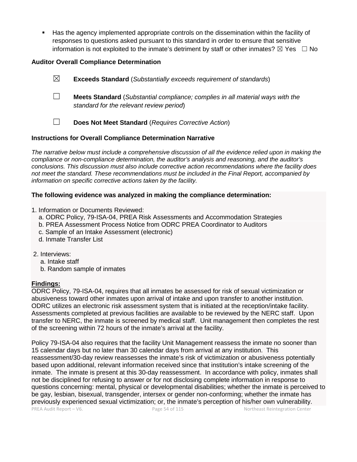Has the agency implemented appropriate controls on the dissemination within the facility of responses to questions asked pursuant to this standard in order to ensure that sensitive information is not exploited to the inmate's detriment by staff or other inmates?  $\boxtimes$  Yes  $\Box$  No

# **Auditor Overall Compliance Determination**

- ☒ **Exceeds Standard** (*Substantially exceeds requirement of standards*)
- ☐ **Meets Standard** (*Substantial compliance; complies in all material ways with the standard for the relevant review period*)
- ☐ **Does Not Meet Standard** (*Requires Corrective Action*)

# **Instructions for Overall Compliance Determination Narrative**

*The narrative below must include a comprehensive discussion of all the evidence relied upon in making the compliance or non-compliance determination, the auditor's analysis and reasoning, and the auditor's conclusions. This discussion must also include corrective action recommendations where the facility does not meet the standard. These recommendations must be included in the Final Report, accompanied by information on specific corrective actions taken by the facility.*

#### **The following evidence was analyzed in making the compliance determination:**

- 1. Information or Documents Reviewed:
	- a. ODRC Policy, 79-ISA-04, PREA Risk Assessments and Accommodation Strategies
	- b. PREA Assessment Process Notice from ODRC PREA Coordinator to Auditors
	- c. Sample of an Intake Assessment (electronic)
	- d. Inmate Transfer List
- 2. Interviews:
	- a. Intake staff
	- b. Random sample of inmates

# **Findings:**

ODRC Policy, 79-ISA-04, requires that all inmates be assessed for risk of sexual victimization or abusiveness toward other inmates upon arrival of intake and upon transfer to another institution. ODRC utilizes an electronic risk assessment system that is initiated at the reception/intake facility. Assessments completed at previous facilities are available to be reviewed by the NERC staff. Upon transfer to NERC, the inmate is screened by medical staff. Unit management then completes the rest of the screening within 72 hours of the inmate's arrival at the facility.

PREA Audit Report – V6. Page 54 of 115 Northeast Reintegration Center Policy 79-ISA-04 also requires that the facility Unit Management reassess the inmate no sooner than 15 calendar days but no later than 30 calendar days from arrival at any institution. This reassessment/30-day review reassesses the inmate's risk of victimization or abusiveness potentially based upon additional, relevant information received since that institution's intake screening of the inmate. The inmate is present at this 30-day reassessment. In accordance with policy, inmates shall not be disciplined for refusing to answer or for not disclosing complete information in response to questions concerning: mental, physical or developmental disabilities; whether the inmate is perceived to be gay, lesbian, bisexual, transgender, intersex or gender non-conforming; whether the inmate has previously experienced sexual victimization; or, the inmate's perception of his/her own vulnerability.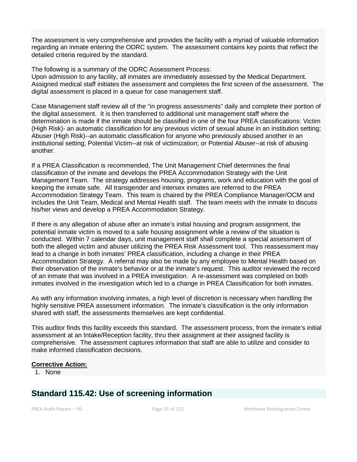The assessment is very comprehensive and provides the facility with a myriad of valuable information regarding an inmate entering the ODRC system. The assessment contains key points that reflect the detailed criteria required by the standard.

The following is a summary of the ODRC Assessment Process:

Upon admission to any facility, all inmates are immediately assessed by the Medical Department. Assigned medical staff initiates the assessment and completes the first screen of the assessment. The digital assessment is placed in a queue for case management staff.

Case Management staff review all of the "in progress assessments" daily and complete their portion of the digital assessment. It is then transferred to additional unit management staff where the determination is made if the inmate should be classified in one of the four PREA classifications: Victim (High Risk)- an automatic classification for any previous victim of sexual abuse in an institution setting; Abuser (High Risk)--an automatic classification for anyone who previously abused another in an institutional setting; Potential Victim--at risk of victimization; or Potential Abuser--at risk of abusing another.

If a PREA Classification is recommended, The Unit Management Chief determines the final classification of the inmate and develops the PREA Accommodation Strategy with the Unit Management Team. The strategy addresses housing, programs, work and education with the goal of keeping the inmate safe. All transgender and intersex inmates are referred to the PREA Accommodation Strategy Team. This team is chaired by the PREA Compliance Manager/OCM and includes the Unit Team, Medical and Mental Health staff. The team meets with the inmate to discuss his/her views and develop a PREA Accommodation Strategy.

If there is any allegation of abuse after an inmate's initial housing and program assignment, the potential inmate victim is moved to a safe housing assignment while a review of the situation is conducted. Within 7 calendar days, unit management staff shall complete a special assessment of both the alleged victim and abuser utilizing the PREA Risk Assessment tool. This reassessment may lead to a change in both inmates' PREA classification, including a change in their PREA Accommodation Strategy. A referral may also be made by any employee to Mental Health based on their observation of the inmate's behavior or at the inmate's request. This auditor reviewed the record of an inmate that was involved in a PREA investigation. A re-assessment was completed on both inmates involved in the investigation which led to a change in PREA Classification for both inmates.

As with any information involving inmates, a high level of discretion is necessary when handling the highly sensitive PREA assessment information. The inmate's classification is the only information shared with staff, the assessments themselves are kept confidential.

This auditor finds this facility exceeds this standard. The assessment process, from the inmate's initial assessment at an Intake/Reception facility, thru their assignment at their assigned facility is comprehensive. The assessment captures information that staff are able to utilize and consider to make informed classification decisions.

# **Corrective Action:**

1. None

# **Standard 115.42: Use of screening information**

PREA Audit Report – V6. Page 55 of 115 Northeast Reintegration Center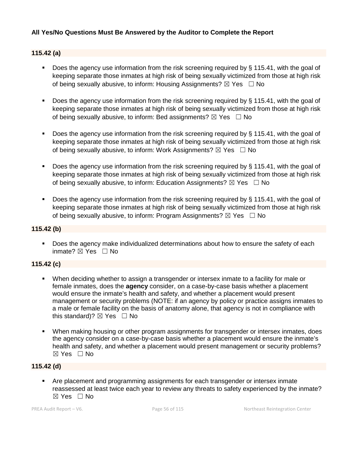# **All Yes/No Questions Must Be Answered by the Auditor to Complete the Report**

# **115.42 (a)**

- Does the agency use information from the risk screening required by § 115.41, with the goal of keeping separate those inmates at high risk of being sexually victimized from those at high risk of being sexually abusive, to inform: Housing Assignments?  $\boxtimes$  Yes  $\Box$  No
- Does the agency use information from the risk screening required by § 115.41, with the goal of keeping separate those inmates at high risk of being sexually victimized from those at high risk of being sexually abusive, to inform: Bed assignments?  $\boxtimes$  Yes  $\Box$  No
- Does the agency use information from the risk screening required by § 115.41, with the goal of keeping separate those inmates at high risk of being sexually victimized from those at high risk of being sexually abusive, to inform: Work Assignments?  $\boxtimes$  Yes  $\Box$  No
- Does the agency use information from the risk screening required by § 115.41, with the goal of keeping separate those inmates at high risk of being sexually victimized from those at high risk of being sexually abusive, to inform: Education Assignments?  $\boxtimes$  Yes  $\Box$  No
- Does the agency use information from the risk screening required by  $\S$  115.41, with the goal of keeping separate those inmates at high risk of being sexually victimized from those at high risk of being sexually abusive, to inform: Program Assignments?  $\boxtimes$  Yes  $\Box$  No

#### **115.42 (b)**

 Does the agency make individualized determinations about how to ensure the safety of each inmate? ☒ Yes ☐ No

# **115.42 (c)**

- When deciding whether to assign a transgender or intersex inmate to a facility for male or female inmates, does the **agency** consider, on a case-by-case basis whether a placement would ensure the inmate's health and safety, and whether a placement would present management or security problems (NOTE: if an agency by policy or practice assigns inmates to a male or female facility on the basis of anatomy alone, that agency is not in compliance with this standard)?  $\boxtimes$  Yes  $\Box$  No
- When making housing or other program assignments for transgender or intersex inmates, does the agency consider on a case-by-case basis whether a placement would ensure the inmate's health and safety, and whether a placement would present management or security problems? ☒ Yes ☐ No

# **115.42 (d)**

 Are placement and programming assignments for each transgender or intersex inmate reassessed at least twice each year to review any threats to safety experienced by the inmate?  $\boxtimes$  Yes  $\Box$  No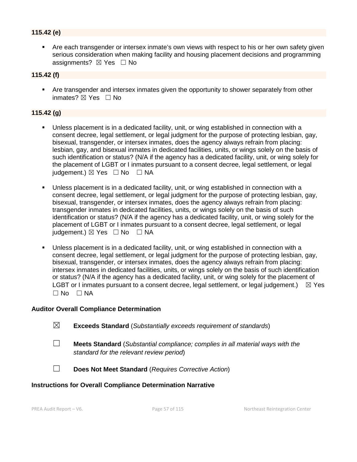# **115.42 (e)**

 Are each transgender or intersex inmate's own views with respect to his or her own safety given serious consideration when making facility and housing placement decisions and programming assignments?  $\boxtimes$  Yes  $\Box$  No

#### **115.42 (f)**

 Are transgender and intersex inmates given the opportunity to shower separately from other inmates? ⊠ Yes □ No

#### **115.42 (g)**

- Unless placement is in a dedicated facility, unit, or wing established in connection with a consent decree, legal settlement, or legal judgment for the purpose of protecting lesbian, gay, bisexual, transgender, or intersex inmates, does the agency always refrain from placing: lesbian, gay, and bisexual inmates in dedicated facilities, units, or wings solely on the basis of such identification or status? (N/A if the agency has a dedicated facility, unit, or wing solely for the placement of LGBT or I inmates pursuant to a consent decree, legal settlement, or legal judgement.)  $\boxtimes$  Yes  $\Box$  No  $\Box$  NA
- Unless placement is in a dedicated facility, unit, or wing established in connection with a consent decree, legal settlement, or legal judgment for the purpose of protecting lesbian, gay, bisexual, transgender, or intersex inmates, does the agency always refrain from placing: transgender inmates in dedicated facilities, units, or wings solely on the basis of such identification or status? (N/A if the agency has a dedicated facility, unit, or wing solely for the placement of LGBT or I inmates pursuant to a consent decree, legal settlement, or legal  $judoement.) \boxtimes Yes \square No \square NA$
- Unless placement is in a dedicated facility, unit, or wing established in connection with a consent decree, legal settlement, or legal judgment for the purpose of protecting lesbian, gay, bisexual, transgender, or intersex inmates, does the agency always refrain from placing: intersex inmates in dedicated facilities, units, or wings solely on the basis of such identification or status? (N/A if the agency has a dedicated facility, unit, or wing solely for the placement of LGBT or I inmates pursuant to a consent decree, legal settlement, or legal judgement.)  $\boxtimes$  Yes  $\Box$  No  $\Box$  NA

#### **Auditor Overall Compliance Determination**

| $\boxtimes$ | <b>Exceeds Standard</b> (Substantially exceeds requirement of standards) |
|-------------|--------------------------------------------------------------------------|
|             |                                                                          |

- ☐ **Meets Standard** (*Substantial compliance; complies in all material ways with the standard for the relevant review period*)
- ☐ **Does Not Meet Standard** (*Requires Corrective Action*)

#### **Instructions for Overall Compliance Determination Narrative**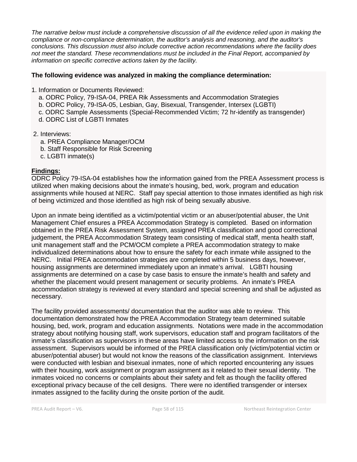*The narrative below must include a comprehensive discussion of all the evidence relied upon in making the compliance or non-compliance determination, the auditor's analysis and reasoning, and the auditor's conclusions. This discussion must also include corrective action recommendations where the facility does not meet the standard. These recommendations must be included in the Final Report, accompanied by information on specific corrective actions taken by the facility.*

#### **The following evidence was analyzed in making the compliance determination:**

- 1. Information or Documents Reviewed:
	- a. ODRC Policy, 79-ISA-04, PREA Rik Assessments and Accommodation Strategies
	- b. ODRC Policy, 79-ISA-05, Lesbian, Gay, Bisexual, Transgender, Intersex (LGBTI)
	- c. ODRC Sample Assessments (Special-Recommended Victim; 72 hr-identify as transgender)
	- d. ODRC List of LGBTI Inmates
- 2. Interviews:
	- a. PREA Compliance Manager/OCM
	- b. Staff Responsible for Risk Screening
	- c. LGBTI inmate(s)

# **Findings:**

ODRC Policy 79-ISA-04 establishes how the information gained from the PREA Assessment process is utilized when making decisions about the inmate's housing, bed, work, program and education assignments while housed at NERC. Staff pay special attention to those inmates identified as high risk of being victimized and those identified as high risk of being sexually abusive.

Upon an inmate being identified as a victim/potential victim or an abuser/potential abuser, the Unit Management Chief ensures a PREA Accommodation Strategy is completed. Based on information obtained in the PREA Risk Assessment System, assigned PREA classification and good correctional judgement, the PREA Accommodation Strategy team consisting of medical staff, menta health staff, unit management staff and the PCM/OCM complete a PREA accommodation strategy to make individualized determinations about how to ensure the safety for each inmate while assigned to the NERC. Initial PREA accommodation strategies are completed within 5 business days, however, housing assignments are determined immediately upon an inmate's arrival. LGBTI housing assignments are determined on a case by case basis to ensure the inmate's health and safety and whether the placement would present management or security problems. An inmate's PREA accommodation strategy is reviewed at every standard and special screening and shall be adjusted as necessary.

The facility provided assessments/ documentation that the auditor was able to review. This documentation demonstrated how the PREA Accommodation Strategy team determined suitable housing, bed, work, program and education assignments. Notations were made in the accommodation strategy about notifying housing staff, work supervisors, education staff and program facilitators of the inmate's classification as supervisors in these areas have limited access to the information on the risk assessment. Supervisors would be informed of the PREA classification only (victim/potential victim or abuser/potential abuser) but would not know the reasons of the classification assignment. Interviews were conducted with lesbian and bisexual inmates, none of which reported encountering any issues with their housing, work assignment or program assignment as it related to their sexual identity. The inmates voiced no concerns or complaints about their safety and felt as though the facility offered exceptional privacy because of the cell designs. There were no identified transgender or intersex inmates assigned to the facility during the onsite portion of the audit.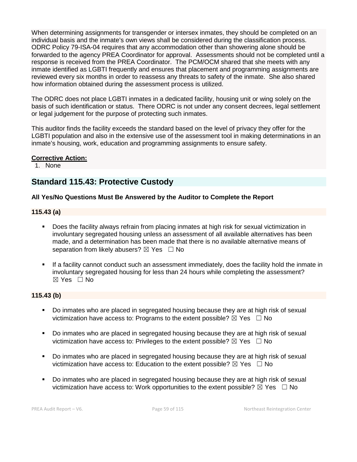When determining assignments for transgender or intersex inmates, they should be completed on an individual basis and the inmate's own views shall be considered during the classification process. ODRC Policy 79-ISA-04 requires that any accommodation other than showering alone should be forwarded to the agency PREA Coordinator for approval. Assessments should not be completed until a response is received from the PREA Coordinator. The PCM/OCM shared that she meets with any inmate identified as LGBTI frequently and ensures that placement and programming assignments are reviewed every six months in order to reassess any threats to safety of the inmate. She also shared how information obtained during the assessment process is utilized.

The ODRC does not place LGBTI inmates in a dedicated facility, housing unit or wing solely on the basis of such identification or status. There ODRC is not under any consent decrees, legal settlement or legal judgement for the purpose of protecting such inmates.

This auditor finds the facility exceeds the standard based on the level of privacy they offer for the LGBTI population and also in the extensive use of the assessment tool in making determinations in an inmate's housing, work, education and programming assignments to ensure safety.

# **Corrective Action:**

1. None

# **Standard 115.43: Protective Custody**

# **All Yes/No Questions Must Be Answered by the Auditor to Complete the Report**

# **115.43 (a)**

- Does the facility always refrain from placing inmates at high risk for sexual victimization in involuntary segregated housing unless an assessment of all available alternatives has been made, and a determination has been made that there is no available alternative means of separation from likely abusers?  $\boxtimes$  Yes  $\Box$  No
- If a facility cannot conduct such an assessment immediately, does the facility hold the inmate in involuntary segregated housing for less than 24 hours while completing the assessment? ☒ Yes ☐ No

# **115.43 (b)**

- Do inmates who are placed in segregated housing because they are at high risk of sexual victimization have access to: Programs to the extent possible?  $\boxtimes$  Yes  $\Box$  No
- Do inmates who are placed in segregated housing because they are at high risk of sexual victimization have access to: Privileges to the extent possible?  $\boxtimes$  Yes  $\Box$  No
- Do inmates who are placed in segregated housing because they are at high risk of sexual victimization have access to: Education to the extent possible?  $\boxtimes$  Yes  $\Box$  No
- Do inmates who are placed in segregated housing because they are at high risk of sexual victimization have access to: Work opportunities to the extent possible?  $\boxtimes$  Yes  $\Box$  No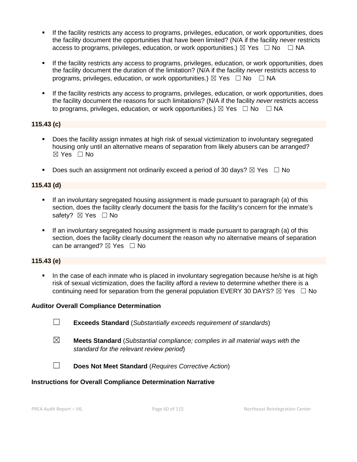- If the facility restricts any access to programs, privileges, education, or work opportunities, does the facility document the opportunities that have been limited? (N/A if the facility *never* restricts access to programs, privileges, education, or work opportunities.)  $\boxtimes$  Yes  $\Box$  No  $\Box$  NA
- If the facility restricts any access to programs, privileges, education, or work opportunities, does the facility document the duration of the limitation? (N/A if the facility *never* restricts access to programs, privileges, education, or work opportunities.)  $\boxtimes$  Yes  $\Box$  No  $\Box$  NA
- If the facility restricts any access to programs, privileges, education, or work opportunities, does the facility document the reasons for such limitations? (N/A if the facility *never* restricts access to programs, privileges, education, or work opportunities.)  $\boxtimes$  Yes  $\Box$  No  $\Box$  NA

# **115.43 (c)**

- Does the facility assign inmates at high risk of sexual victimization to involuntary segregated housing only until an alternative means of separation from likely abusers can be arranged? ☒ Yes ☐ No
- Does such an assignment not ordinarily exceed a period of 30 days?  $\boxtimes$  Yes  $\Box$  No

# **115.43 (d)**

- If an involuntary segregated housing assignment is made pursuant to paragraph (a) of this section, does the facility clearly document the basis for the facility's concern for the inmate's safety? ⊠ Yes □ No
- If an involuntary segregated housing assignment is made pursuant to paragraph (a) of this section, does the facility clearly document the reason why no alternative means of separation can be arranged?  $\boxtimes$  Yes  $\Box$  No

# **115.43 (e)**

 In the case of each inmate who is placed in involuntary segregation because he/she is at high risk of sexual victimization, does the facility afford a review to determine whether there is a continuing need for separation from the general population EVERY 30 DAYS?  $\boxtimes$  Yes  $\Box$  No

# **Auditor Overall Compliance Determination**

- ☐ **Exceeds Standard** (*Substantially exceeds requirement of standards*)
- ☒ **Meets Standard** (*Substantial compliance; complies in all material ways with the standard for the relevant review period*)
- ☐ **Does Not Meet Standard** (*Requires Corrective Action*)

# **Instructions for Overall Compliance Determination Narrative**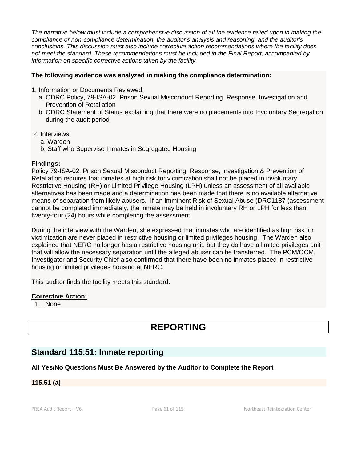*The narrative below must include a comprehensive discussion of all the evidence relied upon in making the compliance or non-compliance determination, the auditor's analysis and reasoning, and the auditor's conclusions. This discussion must also include corrective action recommendations where the facility does not meet the standard. These recommendations must be included in the Final Report, accompanied by information on specific corrective actions taken by the facility.*

# **The following evidence was analyzed in making the compliance determination:**

- 1. Information or Documents Reviewed:
	- a. ODRC Policy, 79-ISA-02, Prison Sexual Misconduct Reporting. Response, Investigation and Prevention of Retaliation
	- b. ODRC Statement of Status explaining that there were no placements into Involuntary Segregation during the audit period
- 2. Interviews:
	- a. Warden
	- b. Staff who Supervise Inmates in Segregated Housing

#### **Findings:**

Policy 79-ISA-02, Prison Sexual Misconduct Reporting, Response, Investigation & Prevention of Retaliation requires that inmates at high risk for victimization shall not be placed in involuntary Restrictive Housing (RH) or Limited Privilege Housing (LPH) unless an assessment of all available alternatives has been made and a determination has been made that there is no available alternative means of separation from likely abusers. If an Imminent Risk of Sexual Abuse (DRC1187 (assessment cannot be completed immediately, the inmate may be held in involuntary RH or LPH for less than twenty-four (24) hours while completing the assessment.

During the interview with the Warden, she expressed that inmates who are identified as high risk for victimization are never placed in restrictive housing or limited privileges housing. The Warden also explained that NERC no longer has a restrictive housing unit, but they do have a limited privileges unit that will allow the necessary separation until the alleged abuser can be transferred. The PCM/OCM, Investigator and Security Chief also confirmed that there have been no inmates placed in restrictive housing or limited privileges housing at NERC.

This auditor finds the facility meets this standard.

# **Corrective Action:**

1. None

# **REPORTING**

# **Standard 115.51: Inmate reporting**

# **All Yes/No Questions Must Be Answered by the Auditor to Complete the Report**

#### **115.51 (a)**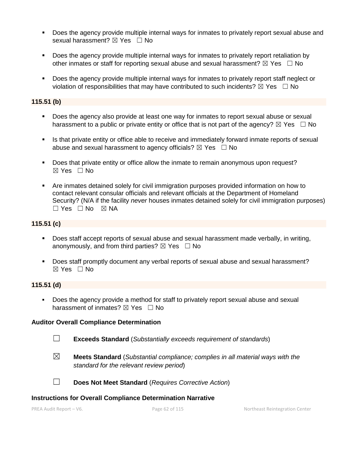- **Does the agency provide multiple internal ways for inmates to privately report sexual abuse and** sexual harassment?  $\boxtimes$  Yes  $\Box$  No
- Does the agency provide multiple internal ways for inmates to privately report retaliation by other inmates or staff for reporting sexual abuse and sexual harassment?  $\boxtimes$  Yes  $\Box$  No
- Does the agency provide multiple internal ways for inmates to privately report staff neglect or violation of responsibilities that may have contributed to such incidents?  $\boxtimes$  Yes  $\Box$  No

#### **115.51 (b)**

- Does the agency also provide at least one way for inmates to report sexual abuse or sexual harassment to a public or private entity or office that is not part of the agency?  $\boxtimes$  Yes  $\Box$  No
- Is that private entity or office able to receive and immediately forward inmate reports of sexual abuse and sexual harassment to agency officials?  $\boxtimes$  Yes  $\Box$  No
- Does that private entity or office allow the inmate to remain anonymous upon request? ☒ Yes ☐ No
- Are inmates detained solely for civil immigration purposes provided information on how to contact relevant consular officials and relevant officials at the Department of Homeland Security? (N/A if the facility *never* houses inmates detained solely for civil immigration purposes)  $\Box$  Yes  $\Box$  No  $\boxtimes$  NA

#### **115.51 (c)**

- Does staff accept reports of sexual abuse and sexual harassment made verbally, in writing, anonymously, and from third parties?  $\boxtimes$  Yes  $\Box$  No
- Does staff promptly document any verbal reports of sexual abuse and sexual harassment? ☒ Yes ☐ No

#### **115.51 (d)**

 Does the agency provide a method for staff to privately report sexual abuse and sexual harassment of inmates?  $\boxtimes$  Yes  $\Box$  No

#### **Auditor Overall Compliance Determination**

- ☐ **Exceeds Standard** (*Substantially exceeds requirement of standards*)
- ☒ **Meets Standard** (*Substantial compliance; complies in all material ways with the standard for the relevant review period*)



☐ **Does Not Meet Standard** (*Requires Corrective Action*)

#### **Instructions for Overall Compliance Determination Narrative**

PREA Audit Report – V6. Page 62 of 115 Northeast Reintegration Center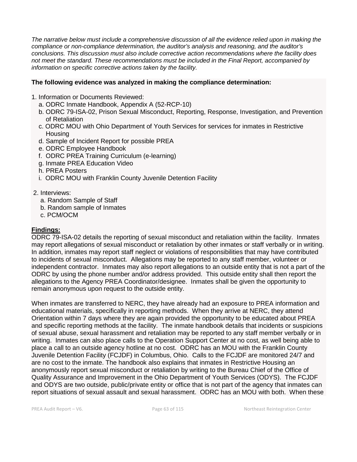*The narrative below must include a comprehensive discussion of all the evidence relied upon in making the compliance or non-compliance determination, the auditor's analysis and reasoning, and the auditor's conclusions. This discussion must also include corrective action recommendations where the facility does not meet the standard. These recommendations must be included in the Final Report, accompanied by information on specific corrective actions taken by the facility.*

# **The following evidence was analyzed in making the compliance determination:**

- 1. Information or Documents Reviewed:
	- a. ODRC Inmate Handbook, Appendix A (52-RCP-10)
	- b. ODRC 79-ISA-02, Prison Sexual Misconduct, Reporting, Response, Investigation, and Prevention of Retaliation
	- c. ODRC MOU with Ohio Department of Youth Services for services for inmates in Restrictive **Housing**
	- d. Sample of Incident Report for possible PREA
	- e. ODRC Employee Handbook
	- f. ODRC PREA Training Curriculum (e-learning)
	- g. Inmate PREA Education Video
	- h. PREA Posters
	- i. ODRC MOU with Franklin County Juvenile Detention Facility
- 2. Interviews:
	- a. Random Sample of Staff
	- b. Random sample of Inmates
	- c. PCM/OCM

# **Findings:**

ODRC 79-ISA-02 details the reporting of sexual misconduct and retaliation within the facility. Inmates may report allegations of sexual misconduct or retaliation by other inmates or staff verbally or in writing. In addition, inmates may report staff neglect or violations of responsibilities that may have contributed to incidents of sexual misconduct. Allegations may be reported to any staff member, volunteer or independent contractor. Inmates may also report allegations to an outside entity that is not a part of the ODRC by using the phone number and/or address provided. This outside entity shall then report the allegations to the Agency PREA Coordinator/designee. Inmates shall be given the opportunity to remain anonymous upon request to the outside entity.

When inmates are transferred to NERC, they have already had an exposure to PREA information and educational materials, specifically in reporting methods. When they arrive at NERC, they attend Orientation within 7 days where they are again provided the opportunity to be educated about PREA and specific reporting methods at the facility. The inmate handbook details that incidents or suspicions of sexual abuse, sexual harassment and retaliation may be reported to any staff member verbally or in writing. Inmates can also place calls to the Operation Support Center at no cost, as well being able to place a call to an outside agency hotline at no cost. ODRC has an MOU with the Franklin County Juvenile Detention Facility (FCJDF) in Columbus, Ohio. Calls to the FCJDF are monitored 24/7 and are no cost to the inmate. The handbook also explains that inmates in Restrictive Housing an anonymously report sexual misconduct or retaliation by writing to the Bureau Chief of the Office of Quality Assurance and Improvement in the Ohio Department of Youth Services (ODYS). The FCJDF and ODYS are two outside, public/private entity or office that is not part of the agency that inmates can report situations of sexual assault and sexual harassment. ODRC has an MOU with both. When these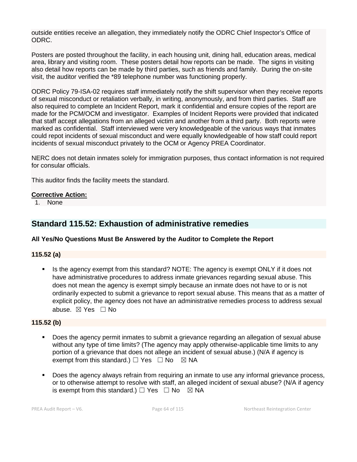outside entities receive an allegation, they immediately notify the ODRC Chief Inspector's Office of ODRC.

Posters are posted throughout the facility, in each housing unit, dining hall, education areas, medical area, library and visiting room. These posters detail how reports can be made. The signs in visiting also detail how reports can be made by third parties, such as friends and family. During the on-site visit, the auditor verified the \*89 telephone number was functioning properly.

ODRC Policy 79-ISA-02 requires staff immediately notify the shift supervisor when they receive reports of sexual misconduct or retaliation verbally, in writing, anonymously, and from third parties. Staff are also required to complete an Incident Report, mark it confidential and ensure copies of the report are made for the PCM/OCM and investigator. Examples of Incident Reports were provided that indicated that staff accept allegations from an alleged victim and another from a third party. Both reports were marked as confidential. Staff interviewed were very knowledgeable of the various ways that inmates could repot incidents of sexual misconduct and were equally knowledgeable of how staff could report incidents of sexual misconduct privately to the OCM or Agency PREA Coordinator.

NERC does not detain inmates solely for immigration purposes, thus contact information is not required for consular officials.

This auditor finds the facility meets the standard.

# **Corrective Action:**

1. None

# **Standard 115.52: Exhaustion of administrative remedies**

# **All Yes/No Questions Must Be Answered by the Auditor to Complete the Report**

# **115.52 (a)**

 Is the agency exempt from this standard? NOTE: The agency is exempt ONLY if it does not have administrative procedures to address inmate grievances regarding sexual abuse. This does not mean the agency is exempt simply because an inmate does not have to or is not ordinarily expected to submit a grievance to report sexual abuse. This means that as a matter of explicit policy, the agency does not have an administrative remedies process to address sexual abuse. ⊠ Yes □ No

# **115.52 (b)**

- Does the agency permit inmates to submit a grievance regarding an allegation of sexual abuse without any type of time limits? (The agency may apply otherwise-applicable time limits to any portion of a grievance that does not allege an incident of sexual abuse.) (N/A if agency is exempt from this standard.)  $\Box$  Yes  $\Box$  No  $\boxtimes$  NA
- Does the agency always refrain from requiring an inmate to use any informal grievance process, or to otherwise attempt to resolve with staff, an alleged incident of sexual abuse? (N/A if agency is exempt from this standard.)  $\Box$  Yes  $\Box$  No  $\boxtimes$  NA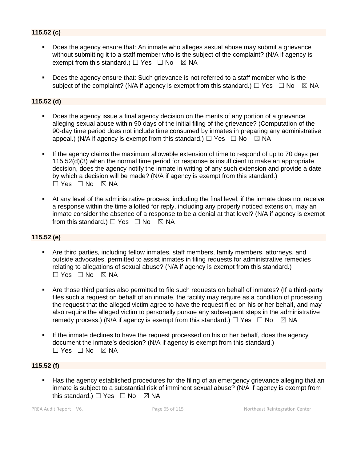# **115.52 (c)**

- Does the agency ensure that: An inmate who alleges sexual abuse may submit a grievance without submitting it to a staff member who is the subject of the complaint? (N/A if agency is exempt from this standard.)  $\Box$  Yes  $\Box$  No  $\boxtimes$  NA
- Does the agency ensure that: Such grievance is not referred to a staff member who is the subject of the complaint? (N/A if agency is exempt from this standard.)  $\Box$  Yes  $\Box$  No  $\boxtimes$  NA

# **115.52 (d)**

- Does the agency issue a final agency decision on the merits of any portion of a grievance alleging sexual abuse within 90 days of the initial filing of the grievance? (Computation of the 90-day time period does not include time consumed by inmates in preparing any administrative appeal.) (N/A if agency is exempt from this standard.)  $\Box$  Yes  $\Box$  No  $\boxtimes$  NA
- If the agency claims the maximum allowable extension of time to respond of up to 70 days per 115.52(d)(3) when the normal time period for response is insufficient to make an appropriate decision, does the agency notify the inmate in writing of any such extension and provide a date by which a decision will be made? (N/A if agency is exempt from this standard.)  $\Box$  Yes  $\Box$  No  $\boxtimes$  NA
- At any level of the administrative process, including the final level, if the inmate does not receive a response within the time allotted for reply, including any properly noticed extension, may an inmate consider the absence of a response to be a denial at that level? (N/A if agency is exempt from this standard.)  $\Box$  Yes  $\Box$  No  $\boxtimes$  NA

#### **115.52 (e)**

- Are third parties, including fellow inmates, staff members, family members, attorneys, and outside advocates, permitted to assist inmates in filing requests for administrative remedies relating to allegations of sexual abuse? (N/A if agency is exempt from this standard.)  $\Box$  Yes  $\Box$  No  $\boxtimes$  NA
- Are those third parties also permitted to file such requests on behalf of inmates? (If a third-party files such a request on behalf of an inmate, the facility may require as a condition of processing the request that the alleged victim agree to have the request filed on his or her behalf, and may also require the alleged victim to personally pursue any subsequent steps in the administrative remedy process.) (N/A if agency is exempt from this standard.)  $\Box$  Yes  $\Box$  No  $\boxtimes$  NA
- If the inmate declines to have the request processed on his or her behalf, does the agency document the inmate's decision? (N/A if agency is exempt from this standard.)  $\Box$  Yes  $\Box$  No  $\boxtimes$  NA

#### **115.52 (f)**

 Has the agency established procedures for the filing of an emergency grievance alleging that an inmate is subject to a substantial risk of imminent sexual abuse? (N/A if agency is exempt from this standard.)  $\Box$  Yes  $\Box$  No  $\boxtimes$  NA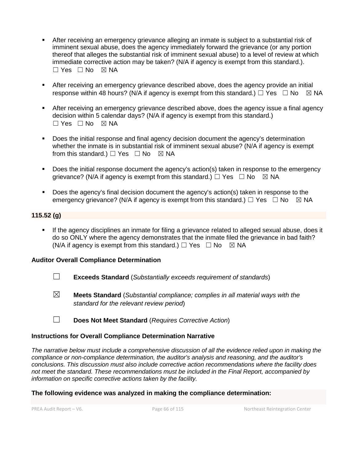- After receiving an emergency grievance alleging an inmate is subject to a substantial risk of imminent sexual abuse, does the agency immediately forward the grievance (or any portion thereof that alleges the substantial risk of imminent sexual abuse) to a level of review at which immediate corrective action may be taken? (N/A if agency is exempt from this standard.).  $\Box$  Yes  $\Box$  No  $\boxtimes$  NA
- After receiving an emergency grievance described above, does the agency provide an initial response within 48 hours? (N/A if agency is exempt from this standard.)  $\Box$  Yes  $\Box$  No  $\boxtimes$  NA
- After receiving an emergency grievance described above, does the agency issue a final agency decision within 5 calendar days? (N/A if agency is exempt from this standard.)  $\Box$  Yes  $\Box$  No  $\boxtimes$  NA
- Does the initial response and final agency decision document the agency's determination whether the inmate is in substantial risk of imminent sexual abuse? (N/A if agency is exempt from this standard.)  $\Box$  Yes  $\Box$  No  $\boxtimes$  NA
- Does the initial response document the agency's action(s) taken in response to the emergency grievance? (N/A if agency is exempt from this standard.)  $\Box$  Yes  $\Box$  No  $\boxtimes$  NA
- Does the agency's final decision document the agency's action(s) taken in response to the emergency grievance? (N/A if agency is exempt from this standard.)  $\Box$  Yes  $\Box$  No  $\boxtimes$  NA

# **115.52 (g)**

 If the agency disciplines an inmate for filing a grievance related to alleged sexual abuse, does it do so ONLY where the agency demonstrates that the inmate filed the grievance in bad faith? (N/A if agency is exempt from this standard.)  $\Box$  Yes  $\Box$  No  $\boxtimes$  NA

# **Auditor Overall Compliance Determination**

- ☐ **Exceeds Standard** (*Substantially exceeds requirement of standards*)
- ☒ **Meets Standard** (*Substantial compliance; complies in all material ways with the standard for the relevant review period*)
- ☐ **Does Not Meet Standard** (*Requires Corrective Action*)

# **Instructions for Overall Compliance Determination Narrative**

*The narrative below must include a comprehensive discussion of all the evidence relied upon in making the compliance or non-compliance determination, the auditor's analysis and reasoning, and the auditor's conclusions. This discussion must also include corrective action recommendations where the facility does not meet the standard. These recommendations must be included in the Final Report, accompanied by information on specific corrective actions taken by the facility.*

#### **The following evidence was analyzed in making the compliance determination:**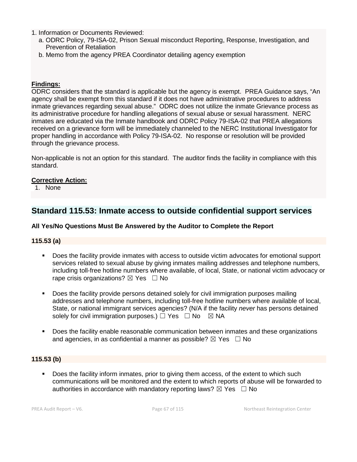- 1. Information or Documents Reviewed:
	- a. ODRC Policy, 79-ISA-02, Prison Sexual misconduct Reporting, Response, Investigation, and Prevention of Retaliation
	- b. Memo from the agency PREA Coordinator detailing agency exemption

# **Findings:**

ODRC considers that the standard is applicable but the agency is exempt. PREA Guidance says, "An agency shall be exempt from this standard if it does not have administrative procedures to address inmate grievances regarding sexual abuse." ODRC does not utilize the inmate Grievance process as its administrative procedure for handling allegations of sexual abuse or sexual harassment. NERC inmates are educated via the Inmate handbook and ODRC Policy 79-ISA-02 that PREA allegations received on a grievance form will be immediately channeled to the NERC Institutional Investigator for proper handling in accordance with Policy 79-ISA-02. No response or resolution will be provided through the grievance process.

Non-applicable is not an option for this standard. The auditor finds the facility in compliance with this standard.

#### **Corrective Action:**

1. None

# **Standard 115.53: Inmate access to outside confidential support services**

# **All Yes/No Questions Must Be Answered by the Auditor to Complete the Report**

# **115.53 (a)**

- Does the facility provide inmates with access to outside victim advocates for emotional support services related to sexual abuse by giving inmates mailing addresses and telephone numbers, including toll-free hotline numbers where available, of local, State, or national victim advocacy or rape crisis organizations?  $\boxtimes$  Yes  $\Box$  No
- Does the facility provide persons detained solely for civil immigration purposes mailing addresses and telephone numbers, including toll-free hotline numbers where available of local, State, or national immigrant services agencies? (N/A if the facility *never* has persons detained solely for civil immigration purposes.)  $\Box$  Yes  $\Box$  No  $\boxtimes$  NA
- **Does the facility enable reasonable communication between inmates and these organizations** and agencies, in as confidential a manner as possible?  $\boxtimes$  Yes  $\Box$  No

# **115.53 (b)**

 Does the facility inform inmates, prior to giving them access, of the extent to which such communications will be monitored and the extent to which reports of abuse will be forwarded to authorities in accordance with mandatory reporting laws?  $\boxtimes$  Yes  $\Box$  No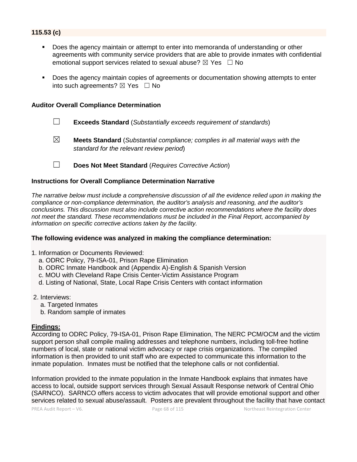# **115.53 (c)**

- Does the agency maintain or attempt to enter into memoranda of understanding or other agreements with community service providers that are able to provide inmates with confidential emotional support services related to sexual abuse?  $\boxtimes$  Yes  $\Box$  No
- Does the agency maintain copies of agreements or documentation showing attempts to enter into such agreements?  $\boxtimes$  Yes  $\Box$  No

#### **Auditor Overall Compliance Determination**

- ☐ **Exceeds Standard** (*Substantially exceeds requirement of standards*)
- ☒ **Meets Standard** (*Substantial compliance; complies in all material ways with the standard for the relevant review period*)
- ☐ **Does Not Meet Standard** (*Requires Corrective Action*)

#### **Instructions for Overall Compliance Determination Narrative**

*The narrative below must include a comprehensive discussion of all the evidence relied upon in making the compliance or non-compliance determination, the auditor's analysis and reasoning, and the auditor's conclusions. This discussion must also include corrective action recommendations where the facility does not meet the standard. These recommendations must be included in the Final Report, accompanied by information on specific corrective actions taken by the facility.*

#### **The following evidence was analyzed in making the compliance determination:**

- 1. Information or Documents Reviewed:
	- a. ODRC Policy, 79-ISA-01, Prison Rape Elimination
	- b. ODRC Inmate Handbook and (Appendix A)-English & Spanish Version
	- c. MOU with Cleveland Rape Crisis Center-Victim Assistance Program
	- d. Listing of National, State, Local Rape Crisis Centers with contact information
- 2. Interviews:
	- a. Targeted Inmates
	- b. Random sample of inmates

#### **Findings:**

According to ODRC Policy, 79-ISA-01, Prison Rape Elimination, The NERC PCM/OCM and the victim support person shall compile mailing addresses and telephone numbers, including toll-free hotline numbers of local, state or national victim advocacy or rape crisis organizations. The compiled information is then provided to unit staff who are expected to communicate this information to the inmate population. Inmates must be notified that the telephone calls or not confidential.

Information provided to the inmate population in the Inmate Handbook explains that inmates have access to local, outside support services through Sexual Assault Response network of Central Ohio (SARNCO). SARNCO offers access to victim advocates that will provide emotional support and other services related to sexual abuse/assault. Posters are prevalent throughout the facility that have contact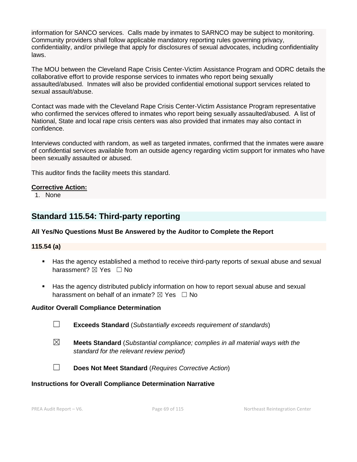information for SANCO services. Calls made by inmates to SARNCO may be subject to monitoring. Community providers shall follow applicable mandatory reporting rules governing privacy, confidentiality, and/or privilege that apply for disclosures of sexual advocates, including confidentiality laws.

The MOU between the Cleveland Rape Crisis Center-Victim Assistance Program and ODRC details the collaborative effort to provide response services to inmates who report being sexually assaulted/abused. Inmates will also be provided confidential emotional support services related to sexual assault/abuse.

Contact was made with the Cleveland Rape Crisis Center-Victim Assistance Program representative who confirmed the services offered to inmates who report being sexually assaulted/abused. A list of National, State and local rape crisis centers was also provided that inmates may also contact in confidence.

Interviews conducted with random, as well as targeted inmates, confirmed that the inmates were aware of confidential services available from an outside agency regarding victim support for inmates who have been sexually assaulted or abused.

This auditor finds the facility meets this standard.

# **Corrective Action:**

1. None

# **Standard 115.54: Third-party reporting**

# **All Yes/No Questions Must Be Answered by the Auditor to Complete the Report**

# **115.54 (a)**

- Has the agency established a method to receive third-party reports of sexual abuse and sexual harassment? **⊠** Yes □ No
- Has the agency distributed publicly information on how to report sexual abuse and sexual harassment on behalf of an inmate?  $\boxtimes$  Yes  $\Box$  No

# **Auditor Overall Compliance Determination**

- ☐ **Exceeds Standard** (*Substantially exceeds requirement of standards*)
- ☒ **Meets Standard** (*Substantial compliance; complies in all material ways with the standard for the relevant review period*)
- ☐ **Does Not Meet Standard** (*Requires Corrective Action*)

# **Instructions for Overall Compliance Determination Narrative**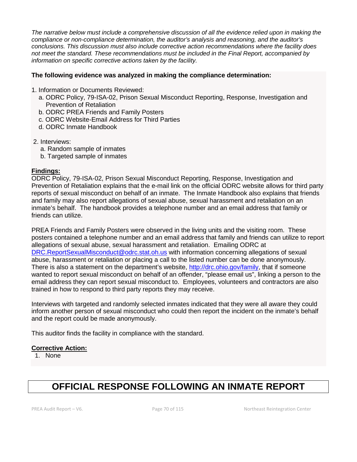*The narrative below must include a comprehensive discussion of all the evidence relied upon in making the compliance or non-compliance determination, the auditor's analysis and reasoning, and the auditor's conclusions. This discussion must also include corrective action recommendations where the facility does not meet the standard. These recommendations must be included in the Final Report, accompanied by information on specific corrective actions taken by the facility.*

#### **The following evidence was analyzed in making the compliance determination:**

- 1. Information or Documents Reviewed:
	- a. ODRC Policy, 79-ISA-02, Prison Sexual Misconduct Reporting, Response, Investigation and Prevention of Retaliation
	- b. ODRC PREA Friends and Family Posters
	- c. ODRC Website-Email Address for Third Parties
	- d. ODRC Inmate Handbook
- 2. Interviews:
	- a. Random sample of inmates
	- b. Targeted sample of inmates

#### **Findings:**

ODRC Policy, 79-ISA-02, Prison Sexual Misconduct Reporting, Response, Investigation and Prevention of Retaliation explains that the e-mail link on the official ODRC website allows for third party reports of sexual misconduct on behalf of an inmate. The Inmate Handbook also explains that friends and family may also report allegations of sexual abuse, sexual harassment and retaliation on an inmate's behalf. The handbook provides a telephone number and an email address that family or friends can utilize.

PREA Friends and Family Posters were observed in the living units and the visiting room. These posters contained a telephone number and an email address that family and friends can utilize to report allegations of sexual abuse, sexual harassment and retaliation. Emailing ODRC at [DRC.ReportSexualMisconduct@odrc.stat.oh.us](mailto:DRC.ReportSexualMisconduct@odrc.stat.oh.us) with information concerning allegations of sexual abuse, harassment or retaliation or placing a call to the listed number can be done anonymously. There is also a statement on the department's website, [http://drc.ohio.gov/family,](http://drc.ohio.gov/family) that if someone wanted to report sexual misconduct on behalf of an offender, "please email us", linking a person to the email address they can report sexual misconduct to. Employees, volunteers and contractors are also trained in how to respond to third party reports they may receive.

Interviews with targeted and randomly selected inmates indicated that they were all aware they could inform another person of sexual misconduct who could then report the incident on the inmate's behalf and the report could be made anonymously.

This auditor finds the facility in compliance with the standard.

#### **Corrective Action:**

1. None

# **OFFICIAL RESPONSE FOLLOWING AN INMATE REPORT**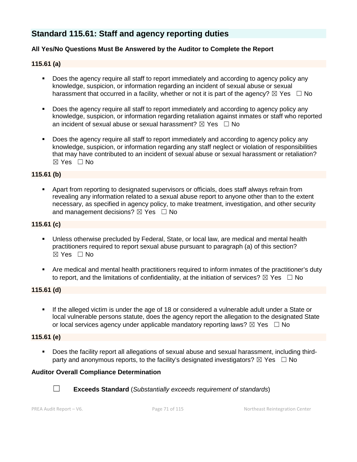# **Standard 115.61: Staff and agency reporting duties**

# **All Yes/No Questions Must Be Answered by the Auditor to Complete the Report**

# **115.61 (a)**

- Does the agency require all staff to report immediately and according to agency policy any knowledge, suspicion, or information regarding an incident of sexual abuse or sexual harassment that occurred in a facility, whether or not it is part of the agency?  $\boxtimes$  Yes  $\Box$  No
- Does the agency require all staff to report immediately and according to agency policy any knowledge, suspicion, or information regarding retaliation against inmates or staff who reported an incident of sexual abuse or sexual harassment?  $\boxtimes$  Yes  $\Box$  No
- Does the agency require all staff to report immediately and according to agency policy any knowledge, suspicion, or information regarding any staff neglect or violation of responsibilities that may have contributed to an incident of sexual abuse or sexual harassment or retaliation?  $\boxtimes$  Yes  $\Box$  No

# **115.61 (b)**

 Apart from reporting to designated supervisors or officials, does staff always refrain from revealing any information related to a sexual abuse report to anyone other than to the extent necessary, as specified in agency policy, to make treatment, investigation, and other security and management decisions?  $\boxtimes$  Yes  $\Box$  No

#### **115.61 (c)**

- Unless otherwise precluded by Federal, State, or local law, are medical and mental health practitioners required to report sexual abuse pursuant to paragraph (a) of this section?  $\boxtimes$  Yes  $\Box$  No
- Are medical and mental health practitioners required to inform inmates of the practitioner's duty to report, and the limitations of confidentiality, at the initiation of services?  $\boxtimes$  Yes  $\Box$  No

## **115.61 (d)**

 If the alleged victim is under the age of 18 or considered a vulnerable adult under a State or local vulnerable persons statute, does the agency report the allegation to the designated State or local services agency under applicable mandatory reporting laws?  $\boxtimes$  Yes  $\Box$  No

# **115.61 (e)**

 Does the facility report all allegations of sexual abuse and sexual harassment, including thirdparty and anonymous reports, to the facility's designated investigators?  $\boxtimes$  Yes  $\Box$  No

# **Auditor Overall Compliance Determination**



☐ **Exceeds Standard** (*Substantially exceeds requirement of standards*)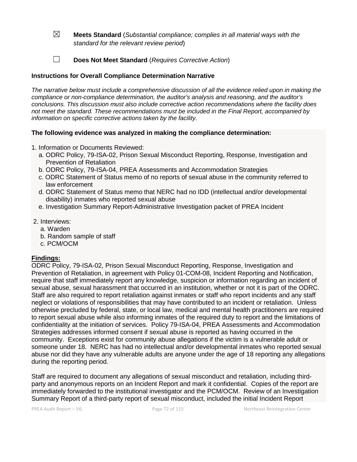- ☒ **Meets Standard** (*Substantial compliance; complies in all material ways with the standard for the relevant review period*)
- ☐ **Does Not Meet Standard** (*Requires Corrective Action*)

# **Instructions for Overall Compliance Determination Narrative**

*The narrative below must include a comprehensive discussion of all the evidence relied upon in making the compliance or non-compliance determination, the auditor's analysis and reasoning, and the auditor's conclusions. This discussion must also include corrective action recommendations where the facility does not meet the standard. These recommendations must be included in the Final Report, accompanied by information on specific corrective actions taken by the facility.*

# **The following evidence was analyzed in making the compliance determination:**

- 1. Information or Documents Reviewed:
	- a. ODRC Policy, 79-ISA-02, Prison Sexual Misconduct Reporting, Response, Investigation and Prevention of Retaliation
	- b. ODRC Policy, 79-ISA-04, PREA Assessments and Accommodation Strategies
	- c. ODRC Statement of Status memo of no reports of sexual abuse in the community referred to law enforcement
	- d. ODRC Statement of Status memo that NERC had no IDD (intellectual and/or developmental disability) inmates who reported sexual abuse
	- e. Investigation Summary Report-Administrative Investigation packet of PREA Incident
- 2. Interviews:
	- a. Warden
	- b. Random sample of staff
	- c. PCM/OCM

# **Findings:**

ODRC Policy, 79-ISA-02, Prison Sexual Misconduct Reporting, Response, Investigation and Prevention of Retaliation, in agreement with Policy 01-COM-08, Incident Reporting and Notification, require that staff immediately report any knowledge, suspicion or information regarding an incident of sexual abuse, sexual harassment that occurred in an institution, whether or not it is part of the ODRC. Staff are also required to report retaliation against inmates or staff who report incidents and any staff neglect or violations of responsibilities that may have contributed to an incident or retaliation. Unless otherwise precluded by federal, state, or local law, medical and mental health practitioners are required to report sexual abuse while also informing inmates of the required duty to report and the limitations of confidentiality at the initiation of services. Policy 79-ISA-04, PREA Assessments and Accommodation Strategies addresses informed consent if sexual abuse is reported as having occurred in the community. Exceptions exist for community abuse allegations if the victim is a vulnerable adult or someone under 18. NERC has had no intellectual and/or developmental inmates who reported sexual abuse nor did they have any vulnerable adults are anyone under the age of 18 reporting any allegations during the reporting period.

Staff are required to document any allegations of sexual misconduct and retaliation, including thirdparty and anonymous reports on an Incident Report and mark it confidential. Copies of the report are immediately forwarded to the institutional investigator and the PCM/OCM. Review of an Investigation Summary Report of a third-party report of sexual misconduct, included the initial Incident Report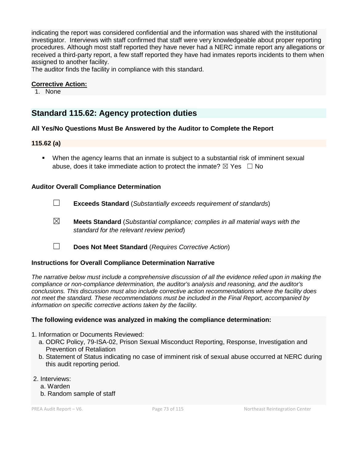indicating the report was considered confidential and the information was shared with the institutional investigator. Interviews with staff confirmed that staff were very knowledgeable about proper reporting procedures. Although most staff reported they have never had a NERC inmate report any allegations or received a third-party report, a few staff reported they have had inmates reports incidents to them when assigned to another facility.

The auditor finds the facility in compliance with this standard.

## **Corrective Action:**

1. None

## **Standard 115.62: Agency protection duties**

## **All Yes/No Questions Must Be Answered by the Auditor to Complete the Report**

## **115.62 (a)**

 When the agency learns that an inmate is subject to a substantial risk of imminent sexual abuse, does it take immediate action to protect the inmate?  $\boxtimes$  Yes  $\Box$  No

## **Auditor Overall Compliance Determination**

- ☐ **Exceeds Standard** (*Substantially exceeds requirement of standards*)
- ☒ **Meets Standard** (*Substantial compliance; complies in all material ways with the standard for the relevant review period*)
- ☐ **Does Not Meet Standard** (*Requires Corrective Action*)

## **Instructions for Overall Compliance Determination Narrative**

*The narrative below must include a comprehensive discussion of all the evidence relied upon in making the compliance or non-compliance determination, the auditor's analysis and reasoning, and the auditor's conclusions. This discussion must also include corrective action recommendations where the facility does not meet the standard. These recommendations must be included in the Final Report, accompanied by information on specific corrective actions taken by the facility.*

## **The following evidence was analyzed in making the compliance determination:**

- 1. Information or Documents Reviewed:
	- a. ODRC Policy, 79-ISA-02, Prison Sexual Misconduct Reporting, Response, Investigation and Prevention of Retaliation
	- b. Statement of Status indicating no case of imminent risk of sexual abuse occurred at NERC during this audit reporting period.
- 2. Interviews:
	- a. Warden
	- b. Random sample of staff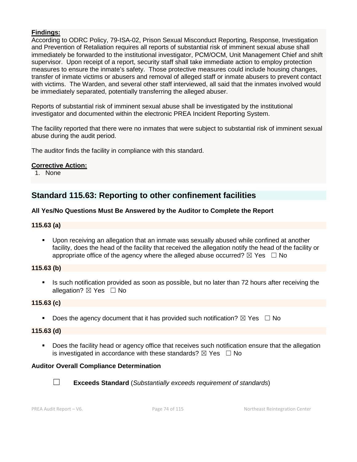## **Findings:**

According to ODRC Policy, 79-ISA-02, Prison Sexual Misconduct Reporting, Response, Investigation and Prevention of Retaliation requires all reports of substantial risk of imminent sexual abuse shall immediately be forwarded to the institutional investigator, PCM/OCM, Unit Management Chief and shift supervisor. Upon receipt of a report, security staff shall take immediate action to employ protection measures to ensure the inmate's safety. Those protective measures could include housing changes, transfer of inmate victims or abusers and removal of alleged staff or inmate abusers to prevent contact with victims. The Warden, and several other staff interviewed, all said that the inmates involved would be immediately separated, potentially transferring the alleged abuser.

Reports of substantial risk of imminent sexual abuse shall be investigated by the institutional investigator and documented within the electronic PREA Incident Reporting System.

The facility reported that there were no inmates that were subject to substantial risk of imminent sexual abuse during the audit period.

The auditor finds the facility in compliance with this standard.

#### **Corrective Action:**

1. None

## **Standard 115.63: Reporting to other confinement facilities**

#### **All Yes/No Questions Must Be Answered by the Auditor to Complete the Report**

#### **115.63 (a)**

 Upon receiving an allegation that an inmate was sexually abused while confined at another facility, does the head of the facility that received the allegation notify the head of the facility or appropriate office of the agency where the alleged abuse occurred?  $\boxtimes$  Yes  $\Box$  No

## **115.63 (b)**

Is such notification provided as soon as possible, but no later than 72 hours after receiving the allegation? ⊠ Yes □ No

## **115.63 (c)**

Does the agency document that it has provided such notification?  $\boxtimes$  Yes  $\Box$  No

#### **115.63 (d)**

**Does the facility head or agency office that receives such notification ensure that the allegation** is investigated in accordance with these standards?  $\boxtimes$  Yes  $\Box$  No

## **Auditor Overall Compliance Determination**



☐ **Exceeds Standard** (*Substantially exceeds requirement of standards*)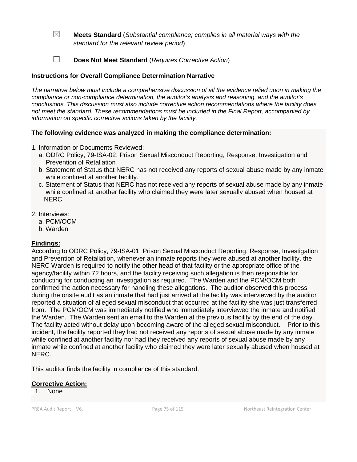- ☒ **Meets Standard** (*Substantial compliance; complies in all material ways with the standard for the relevant review period*)
- ☐ **Does Not Meet Standard** (*Requires Corrective Action*)

## **Instructions for Overall Compliance Determination Narrative**

*The narrative below must include a comprehensive discussion of all the evidence relied upon in making the compliance or non-compliance determination, the auditor's analysis and reasoning, and the auditor's conclusions. This discussion must also include corrective action recommendations where the facility does not meet the standard. These recommendations must be included in the Final Report, accompanied by information on specific corrective actions taken by the facility.*

## **The following evidence was analyzed in making the compliance determination:**

- 1. Information or Documents Reviewed:
	- a. ODRC Policy, 79-ISA-02, Prison Sexual Misconduct Reporting, Response, Investigation and Prevention of Retaliation
	- b. Statement of Status that NERC has not received any reports of sexual abuse made by any inmate while confined at another facility.
	- c. Statement of Status that NERC has not received any reports of sexual abuse made by any inmate while confined at another facility who claimed they were later sexually abused when housed at **NERC**
- 2. Interviews:
	- a. PCM/OCM
	- b. Warden

## **Findings:**

According to ODRC Policy, 79-ISA-01, Prison Sexual Misconduct Reporting, Response, Investigation and Prevention of Retaliation, whenever an inmate reports they were abused at another facility, the NERC Warden is required to notify the other head of that facility or the appropriate office of the agency/facility within 72 hours, and the facility receiving such allegation is then responsible for conducting for conducting an investigation as required. The Warden and the PCM/OCM both confirmed the action necessary for handling these allegations. The auditor observed this process during the onsite audit as an inmate that had just arrived at the facility was interviewed by the auditor reported a situation of alleged sexual misconduct that occurred at the facility she was just transferred from. The PCM/OCM was immediately notified who immediately interviewed the inmate and notified the Warden. The Warden sent an email to the Warden at the previous facility by the end of the day. The facility acted without delay upon becoming aware of the alleged sexual misconduct. Prior to this incident, the facility reported they had not received any reports of sexual abuse made by any inmate while confined at another facility nor had they received any reports of sexual abuse made by any inmate while confined at another facility who claimed they were later sexually abused when housed at NERC.

This auditor finds the facility in compliance of this standard.

## **Corrective Action:**

1. None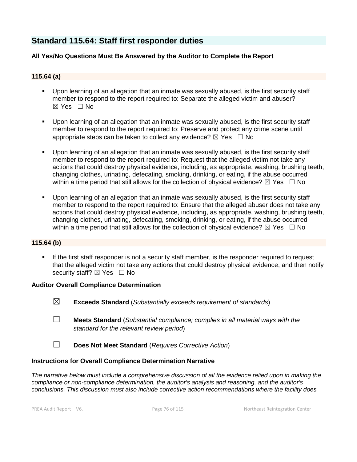## **Standard 115.64: Staff first responder duties**

## **All Yes/No Questions Must Be Answered by the Auditor to Complete the Report**

## **115.64 (a)**

- Upon learning of an allegation that an inmate was sexually abused, is the first security staff member to respond to the report required to: Separate the alleged victim and abuser?  $\boxtimes$  Yes  $\Box$  No
- Upon learning of an allegation that an inmate was sexually abused, is the first security staff member to respond to the report required to: Preserve and protect any crime scene until appropriate steps can be taken to collect any evidence?  $\boxtimes$  Yes  $\Box$  No
- Upon learning of an allegation that an inmate was sexually abused, is the first security staff member to respond to the report required to: Request that the alleged victim not take any actions that could destroy physical evidence, including, as appropriate, washing, brushing teeth, changing clothes, urinating, defecating, smoking, drinking, or eating, if the abuse occurred within a time period that still allows for the collection of physical evidence?  $\boxtimes$  Yes  $\Box$  No
- Upon learning of an allegation that an inmate was sexually abused, is the first security staff member to respond to the report required to: Ensure that the alleged abuser does not take any actions that could destroy physical evidence, including, as appropriate, washing, brushing teeth, changing clothes, urinating, defecating, smoking, drinking, or eating, if the abuse occurred within a time period that still allows for the collection of physical evidence?  $\boxtimes$  Yes  $\Box$  No

## **115.64 (b)**

If the first staff responder is not a security staff member, is the responder required to request that the alleged victim not take any actions that could destroy physical evidence, and then notify security staff? ⊠ Yes □ No

## **Auditor Overall Compliance Determination**

- ☒ **Exceeds Standard** (*Substantially exceeds requirement of standards*)
- ☐ **Meets Standard** (*Substantial compliance; complies in all material ways with the standard for the relevant review period*)
- ☐ **Does Not Meet Standard** (*Requires Corrective Action*)

#### **Instructions for Overall Compliance Determination Narrative**

*The narrative below must include a comprehensive discussion of all the evidence relied upon in making the compliance or non-compliance determination, the auditor's analysis and reasoning, and the auditor's conclusions. This discussion must also include corrective action recommendations where the facility does*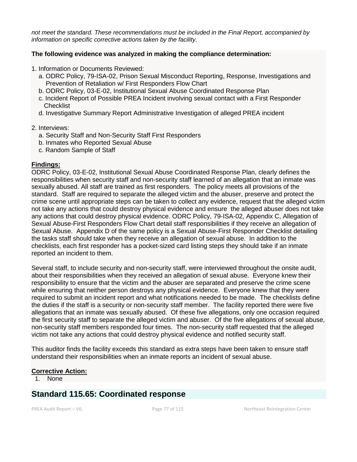*not meet the standard. These recommendations must be included in the Final Report, accompanied by information on specific corrective actions taken by the facility.*

### **The following evidence was analyzed in making the compliance determination:**

- 1. Information or Documents Reviewed:
	- a. ODRC Policy, 79-ISA-02, Prison Sexual Misconduct Reporting, Response, Investigations and Prevention of Retaliation w/ First Responders Flow Chart
	- b. ODRC Policy, 03-E-02, Institutional Sexual Abuse Coordinated Response Plan
	- c. Incident Report of Possible PREA Incident involving sexual contact with a First Responder **Checklist**
	- d. Investigative Summary Report Administrative Investigation of alleged PREA incident

#### 2. Interviews:

- a. Security Staff and Non-Security Staff First Responders
- b. Inmates who Reported Sexual Abuse
- c. Random Sample of Staff

#### **Findings:**

ODRC Policy, 03-E-02, Institutional Sexual Abuse Coordinated Response Plan, clearly defines the responsibilities when security staff and non-security staff learned of an allegation that an inmate was sexually abused. All staff are trained as first responders. The policy meets all provisions of the standard. Staff are required to separate the alleged victim and the abuser, preserve and protect the crime scene until appropriate steps can be taken to collect any evidence, request that the alleged victim not take any actions that could destroy physical evidence and ensure the alleged abuser does not take any actions that could destroy physical evidence. ODRC Policy, 79-ISA-02, Appendix C, Allegation of Sexual Abuse-First Responders Flow Chart detail staff responsibilities if they receive an allegation of Sexual Abuse. Appendix D of the same policy is a Sexual Abuse-First Responder Checklist detailing the tasks staff should take when they receive an allegation of sexual abuse. In addition to the checklists, each first responder has a pocket-sized card listing steps they should take if an inmate reported an incident to them.

Several staff, to include security and non-security staff, were interviewed throughout the onsite audit, about their responsibilities when they received an allegation of sexual abuse. Everyone knew their responsibility to ensure that the victim and the abuser are separated and preserve the crime scene while ensuring that neither person destroys any physical evidence. Everyone knew that they were required to submit an incident report and what notifications needed to be made. The checklists define the duties if the staff is a security or non-security staff member. The facility reported there were five allegations that an inmate was sexually abused. Of these five allegations, only one occasion required the first security staff to separate the alleged victim and abuser. Of the five allegations of sexual abuse, non-security staff members responded four times. The non-security staff requested that the alleged victim not take any actions that could destroy physical evidence and notified security staff.

This auditor finds the facility exceeds this standard as extra steps have been taken to ensure staff understand their responsibilities when an inmate reports an incident of sexual abuse.

#### **Corrective Action:**

1. None

## **Standard 115.65: Coordinated response**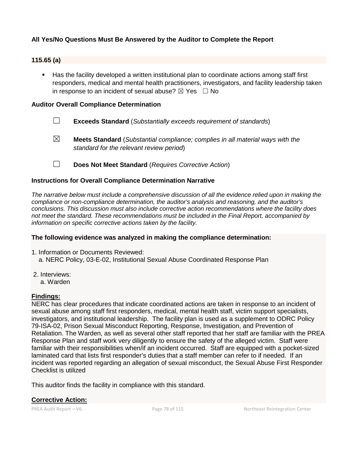## **All Yes/No Questions Must Be Answered by the Auditor to Complete the Report**

#### **115.65 (a)**

 Has the facility developed a written institutional plan to coordinate actions among staff first responders, medical and mental health practitioners, investigators, and facility leadership taken in response to an incident of sexual abuse?  $\boxtimes$  Yes  $\Box$  No

### **Auditor Overall Compliance Determination**

- ☐ **Exceeds Standard** (*Substantially exceeds requirement of standards*)
- ☒ **Meets Standard** (*Substantial compliance; complies in all material ways with the standard for the relevant review period*)
- ☐ **Does Not Meet Standard** (*Requires Corrective Action*)

#### **Instructions for Overall Compliance Determination Narrative**

*The narrative below must include a comprehensive discussion of all the evidence relied upon in making the compliance or non-compliance determination, the auditor's analysis and reasoning, and the auditor's conclusions. This discussion must also include corrective action recommendations where the facility does not meet the standard. These recommendations must be included in the Final Report, accompanied by information on specific corrective actions taken by the facility.*

#### **The following evidence was analyzed in making the compliance determination:**

- 1. Information or Documents Reviewed:
	- a. NERC Policy, 03-E-02, Institutional Sexual Abuse Coordinated Response Plan
- 2. Interviews:
	- a. Warden

## **Findings:**

NERC has clear procedures that indicate coordinated actions are taken in response to an incident of sexual abuse among staff first responders, medical, mental health staff, victim support specialists, investigators, and institutional leadership. The facility plan is used as a supplement to ODRC Policy 79-ISA-02, Prison Sexual Misconduct Reporting, Response, Investigation, and Prevention of Retaliation. The Warden, as well as several other staff reported that her staff are familiar with the PREA Response Plan and staff work very diligently to ensure the safety of the alleged victim. Staff were familiar with their responsibilities when/if an incident occurred. Staff are equipped with a pocket-sized laminated card that lists first responder's duties that a staff member can refer to if needed. If an incident was reported regarding an allegation of sexual misconduct, the Sexual Abuse First Responder Checklist is utilized

This auditor finds the facility in compliance with this standard.

**Corrective Action:**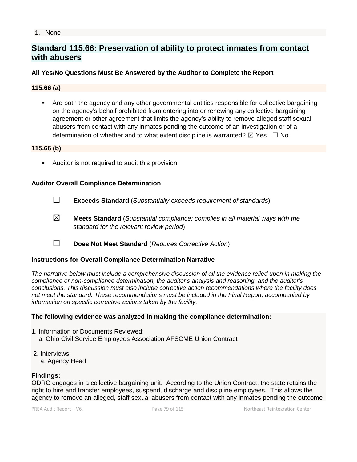#### 1. None

## **Standard 115.66: Preservation of ability to protect inmates from contact with abusers**

## **All Yes/No Questions Must Be Answered by the Auditor to Complete the Report**

## **115.66 (a)**

• Are both the agency and any other governmental entities responsible for collective bargaining on the agency's behalf prohibited from entering into or renewing any collective bargaining agreement or other agreement that limits the agency's ability to remove alleged staff sexual abusers from contact with any inmates pending the outcome of an investigation or of a determination of whether and to what extent discipline is warranted?  $\boxtimes$  Yes  $\Box$  No

#### **115.66 (b)**

Auditor is not required to audit this provision.

#### **Auditor Overall Compliance Determination**

- ☐ **Exceeds Standard** (*Substantially exceeds requirement of standards*)
- ☒ **Meets Standard** (*Substantial compliance; complies in all material ways with the standard for the relevant review period*)
- ☐ **Does Not Meet Standard** (*Requires Corrective Action*)

#### **Instructions for Overall Compliance Determination Narrative**

*The narrative below must include a comprehensive discussion of all the evidence relied upon in making the compliance or non-compliance determination, the auditor's analysis and reasoning, and the auditor's conclusions. This discussion must also include corrective action recommendations where the facility does not meet the standard. These recommendations must be included in the Final Report, accompanied by information on specific corrective actions taken by the facility.*

#### **The following evidence was analyzed in making the compliance determination:**

- 1. Information or Documents Reviewed: a. Ohio Civil Service Employees Association AFSCME Union Contract
- 2. Interviews:
	- a. Agency Head

#### **Findings:**

ODRC engages in a collective bargaining unit. According to the Union Contract, the state retains the right to hire and transfer employees, suspend, discharge and discipline employees. This allows the agency to remove an alleged, staff sexual abusers from contact with any inmates pending the outcome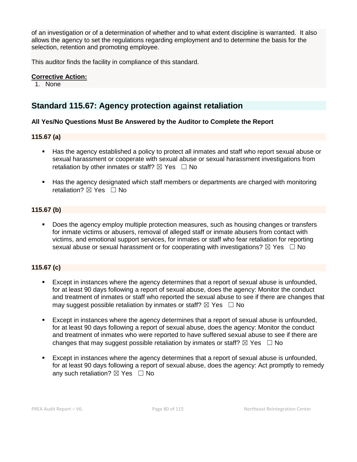of an investigation or of a determination of whether and to what extent discipline is warranted. It also allows the agency to set the regulations regarding employment and to determine the basis for the selection, retention and promoting employee.

This auditor finds the facility in compliance of this standard.

#### **Corrective Action:**

1. None

## **Standard 115.67: Agency protection against retaliation**

#### **All Yes/No Questions Must Be Answered by the Auditor to Complete the Report**

#### **115.67 (a)**

- Has the agency established a policy to protect all inmates and staff who report sexual abuse or sexual harassment or cooperate with sexual abuse or sexual harassment investigations from retaliation by other inmates or staff?  $\boxtimes$  Yes  $\Box$  No
- Has the agency designated which staff members or departments are charged with monitoring retaliation?  $\boxtimes$  Yes  $\Box$  No

#### **115.67 (b)**

 Does the agency employ multiple protection measures, such as housing changes or transfers for inmate victims or abusers, removal of alleged staff or inmate abusers from contact with victims, and emotional support services, for inmates or staff who fear retaliation for reporting sexual abuse or sexual harassment or for cooperating with investigations?  $\boxtimes$  Yes  $\Box$  No

## **115.67 (c)**

- Except in instances where the agency determines that a report of sexual abuse is unfounded, for at least 90 days following a report of sexual abuse, does the agency: Monitor the conduct and treatment of inmates or staff who reported the sexual abuse to see if there are changes that may suggest possible retaliation by inmates or staff?  $\boxtimes$  Yes  $\Box$  No
- Except in instances where the agency determines that a report of sexual abuse is unfounded, for at least 90 days following a report of sexual abuse, does the agency: Monitor the conduct and treatment of inmates who were reported to have suffered sexual abuse to see if there are changes that may suggest possible retaliation by inmates or staff?  $\boxtimes$  Yes  $\Box$  No
- Except in instances where the agency determines that a report of sexual abuse is unfounded, for at least 90 days following a report of sexual abuse, does the agency: Act promptly to remedy any such retaliation?  $\boxtimes$  Yes  $\Box$  No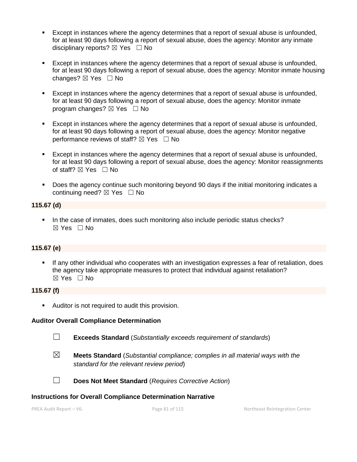- Except in instances where the agency determines that a report of sexual abuse is unfounded, for at least 90 days following a report of sexual abuse, does the agency: Monitor any inmate disciplinary reports?  $\boxtimes$  Yes  $\Box$  No
- Except in instances where the agency determines that a report of sexual abuse is unfounded, for at least 90 days following a report of sexual abuse, does the agency: Monitor inmate housing changes? ☒ Yes ☐ No
- Except in instances where the agency determines that a report of sexual abuse is unfounded, for at least 90 days following a report of sexual abuse, does the agency: Monitor inmate program changes?  $\boxtimes$  Yes  $\Box$  No
- Except in instances where the agency determines that a report of sexual abuse is unfounded, for at least 90 days following a report of sexual abuse, does the agency: Monitor negative performance reviews of staff?  $\boxtimes$  Yes  $\Box$  No
- Except in instances where the agency determines that a report of sexual abuse is unfounded, for at least 90 days following a report of sexual abuse, does the agency: Monitor reassignments of staff?  $\boxtimes$  Yes  $\Box$  No
- **Does the agency continue such monitoring beyond 90 days if the initial monitoring indicates a** continuing need?  $\boxtimes$  Yes  $\Box$  No

### **115.67 (d)**

In the case of inmates, does such monitoring also include periodic status checks? ☒ Yes ☐ No

## **115.67 (e)**

 If any other individual who cooperates with an investigation expresses a fear of retaliation, does the agency take appropriate measures to protect that individual against retaliation? ☒ Yes ☐ No

#### **115.67 (f)**

**Auditor is not required to audit this provision.** 

#### **Auditor Overall Compliance Determination**

☐ **Exceeds Standard** (*Substantially exceeds requirement of standards*)

- 
- ☒ **Meets Standard** (*Substantial compliance; complies in all material ways with the standard for the relevant review period*)



☐ **Does Not Meet Standard** (*Requires Corrective Action*)

#### **Instructions for Overall Compliance Determination Narrative**

PREA Audit Report – V6. Page 81 of 115 Northeast Reintegration Center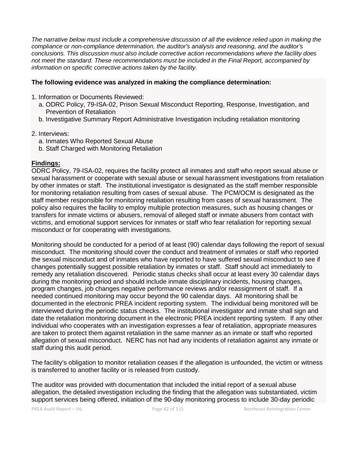*The narrative below must include a comprehensive discussion of all the evidence relied upon in making the compliance or non-compliance determination, the auditor's analysis and reasoning, and the auditor's conclusions. This discussion must also include corrective action recommendations where the facility does not meet the standard. These recommendations must be included in the Final Report, accompanied by information on specific corrective actions taken by the facility.*

### **The following evidence was analyzed in making the compliance determination:**

- 1. Information or Documents Reviewed:
	- a. ODRC Policy, 79-ISA-02, Prison Sexual Misconduct Reporting, Response, Investigation, and Prevention of Retaliation
	- b. Investigative Summary Report Administrative Investigation including retaliation monitoring

#### 2. Interviews:

- a. Inmates Who Reported Sexual Abuse
- b. Staff Charged with Monitoring Retaliation

## **Findings:**

ODRC Policy, 79-ISA-02, requires the facility protect all inmates and staff who report sexual abuse or sexual harassment or cooperate with sexual abuse or sexual harassment investigations from retaliation by other inmates or staff. The institutional investigator is designated as the staff member responsible for monitoring retaliation resulting from cases of sexual abuse. The PCM/OCM is designated as the staff member responsible for monitoring retaliation resulting from cases of sexual harassment. The policy also requires the facility to employ multiple protection measures, such as housing changes or transfers for inmate victims or abusers, removal of alleged staff or inmate abusers from contact with victims, and emotional support services for inmates or staff who fear retaliation for reporting sexual misconduct or for cooperating with investigations.

Monitoring should be conducted for a period of at least (90) calendar days following the report of sexual misconduct. The monitoring should cover the conduct and treatment of inmates or staff who reported the sexual misconduct and of inmates who have reported to have suffered sexual misconduct to see if changes potentially suggest possible retaliation by inmates or staff. Staff should act immediately to remedy any retaliation discovered. Periodic status checks shall occur at least every 30 calendar days during the monitoring period and should include inmate disciplinary incidents, housing changes, program changes, job changes negative performance reviews and/or reassignment of staff. If a needed continued monitoring may occur beyond the 90 calendar days. All monitoring shall be documented in the electronic PREA incident reporting system. The individual being monitored will be interviewed during the periodic status checks. The institutional investigator and inmate shall sign and date the retaliation monitoring document in the electronic PREA incident reporting system. If any other individual who cooperates with an investigation expresses a fear of retaliation, appropriate measures are taken to protect them against retaliation in the same manner as an inmate or staff who reported allegation of sexual misconduct. NERC has not had any incidents of retaliation against any inmate or staff during this audit period.

The facility's obligation to monitor retaliation ceases if the allegation is unfounded, the victim or witness is transferred to another facility or is released from custody.

The auditor was provided with documentation that included the initial report of a sexual abuse allegation, the detailed investigation including the finding that the allegation was substantiated, victim support services being offered, initiation of the 90-day monitoring process to include 30-day periodic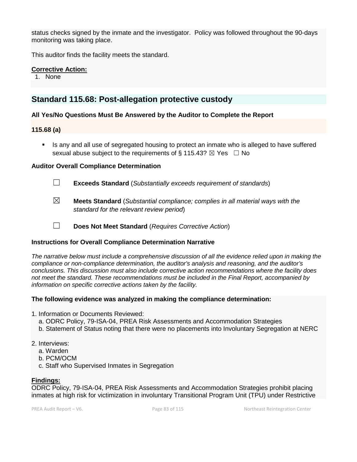status checks signed by the inmate and the investigator. Policy was followed throughout the 90-days monitoring was taking place.

This auditor finds the facility meets the standard.

## **Corrective Action:**

1. None

## **Standard 115.68: Post-allegation protective custody**

## **All Yes/No Questions Must Be Answered by the Auditor to Complete the Report**

## **115.68 (a)**

 Is any and all use of segregated housing to protect an inmate who is alleged to have suffered sexual abuse subject to the requirements of § 115.43?  $\boxtimes$  Yes  $\Box$  No

## **Auditor Overall Compliance Determination**

☐ **Exceeds Standard** (*Substantially exceeds requirement of standards*)

☒ **Meets Standard** (*Substantial compliance; complies in all material ways with the standard for the relevant review period*)

☐ **Does Not Meet Standard** (*Requires Corrective Action*)

## **Instructions for Overall Compliance Determination Narrative**

*The narrative below must include a comprehensive discussion of all the evidence relied upon in making the compliance or non-compliance determination, the auditor's analysis and reasoning, and the auditor's conclusions. This discussion must also include corrective action recommendations where the facility does not meet the standard. These recommendations must be included in the Final Report, accompanied by information on specific corrective actions taken by the facility.*

## **The following evidence was analyzed in making the compliance determination:**

- 1. Information or Documents Reviewed:
	- a. ODRC Policy, 79-ISA-04, PREA Risk Assessments and Accommodation Strategies
	- b. Statement of Status noting that there were no placements into Involuntary Segregation at NERC

## 2. Interviews:

- a. Warden
- b. PCM/OCM
- c. Staff who Supervised Inmates in Segregation

## **Findings:**

ODRC Policy, 79-ISA-04, PREA Risk Assessments and Accommodation Strategies prohibit placing inmates at high risk for victimization in involuntary Transitional Program Unit (TPU) under Restrictive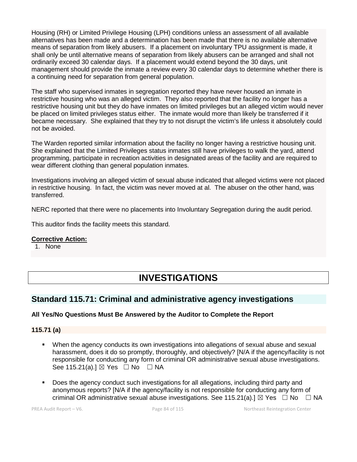Housing (RH) or Limited Privilege Housing (LPH) conditions unless an assessment of all available alternatives has been made and a determination has been made that there is no available alternative means of separation from likely abusers. If a placement on involuntary TPU assignment is made, it shall only be until alternative means of separation from likely abusers can be arranged and shall not ordinarily exceed 30 calendar days. If a placement would extend beyond the 30 days, unit management should provide the inmate a review every 30 calendar days to determine whether there is a continuing need for separation from general population.

The staff who supervised inmates in segregation reported they have never housed an inmate in restrictive housing who was an alleged victim. They also reported that the facility no longer has a restrictive housing unit but they do have inmates on limited privileges but an alleged victim would never be placed on limited privileges status either. The inmate would more than likely be transferred if it became necessary. She explained that they try to not disrupt the victim's life unless it absolutely could not be avoided.

The Warden reported similar information about the facility no longer having a restrictive housing unit. She explained that the Limited Privileges status inmates still have privileges to walk the yard, attend programming, participate in recreation activities in designated areas of the facility and are required to wear different clothing than general population inmates.

Investigations involving an alleged victim of sexual abuse indicated that alleged victims were not placed in restrictive housing. In fact, the victim was never moved at al. The abuser on the other hand, was transferred.

NERC reported that there were no placements into Involuntary Segregation during the audit period.

This auditor finds the facility meets this standard.

## **Corrective Action:**

1. None

# **INVESTIGATIONS**

## **Standard 115.71: Criminal and administrative agency investigations**

## **All Yes/No Questions Must Be Answered by the Auditor to Complete the Report**

**115.71 (a)**

- When the agency conducts its own investigations into allegations of sexual abuse and sexual harassment, does it do so promptly, thoroughly, and objectively? [N/A if the agency/facility is not responsible for conducting any form of criminal OR administrative sexual abuse investigations. See 115.21(a).]  $\boxtimes$  Yes  $\Box$  No  $\Box$  NA
- Does the agency conduct such investigations for all allegations, including third party and anonymous reports? [N/A if the agency/facility is not responsible for conducting any form of criminal OR administrative sexual abuse investigations. See 115.21(a).]  $\boxtimes$  Yes  $\Box$  No  $\Box$  NA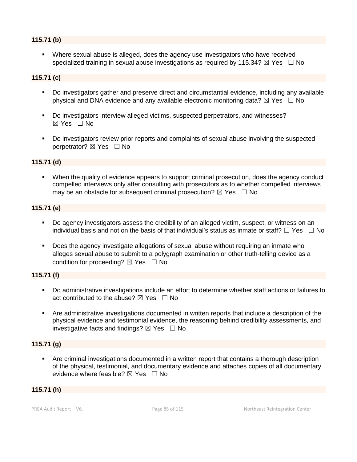## **115.71 (b)**

 Where sexual abuse is alleged, does the agency use investigators who have received specialized training in sexual abuse investigations as required by 115.34?  $\boxtimes$  Yes  $\Box$  No

## **115.71 (c)**

- Do investigators gather and preserve direct and circumstantial evidence, including any available physical and DNA evidence and any available electronic monitoring data?  $\boxtimes$  Yes  $\Box$  No
- Do investigators interview alleged victims, suspected perpetrators, and witnesses?  $\boxtimes$  Yes  $\Box$  No
- Do investigators review prior reports and complaints of sexual abuse involving the suspected perpetrator?  $\boxtimes$  Yes  $\Box$  No

#### **115.71 (d)**

 When the quality of evidence appears to support criminal prosecution, does the agency conduct compelled interviews only after consulting with prosecutors as to whether compelled interviews may be an obstacle for subsequent criminal prosecution?  $\boxtimes$  Yes  $\Box$  No

#### **115.71 (e)**

- Do agency investigators assess the credibility of an alleged victim, suspect, or witness on an individual basis and not on the basis of that individual's status as inmate or staff?  $\Box$  Yes  $\Box$  No
- Does the agency investigate allegations of sexual abuse without requiring an inmate who alleges sexual abuse to submit to a polygraph examination or other truth-telling device as a condition for proceeding?  $\boxtimes$  Yes  $\Box$  No

#### **115.71 (f)**

- Do administrative investigations include an effort to determine whether staff actions or failures to act contributed to the abuse?  $\boxtimes$  Yes  $\Box$  No
- Are administrative investigations documented in written reports that include a description of the physical evidence and testimonial evidence, the reasoning behind credibility assessments, and investigative facts and findings?  $\boxtimes$  Yes  $\Box$  No

#### **115.71 (g)**

 Are criminal investigations documented in a written report that contains a thorough description of the physical, testimonial, and documentary evidence and attaches copies of all documentary evidence where feasible?  $\boxtimes$  Yes  $\Box$  No

#### **115.71 (h)**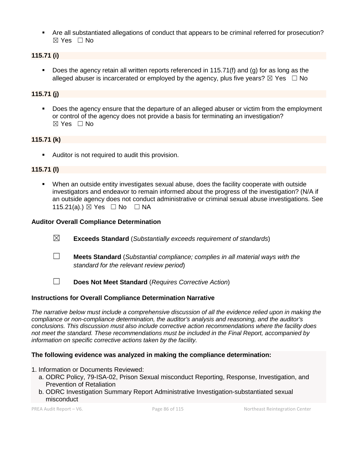Are all substantiated allegations of conduct that appears to be criminal referred for prosecution?  $\boxtimes$  Yes  $\Box$  No

## **115.71 (i)**

 Does the agency retain all written reports referenced in 115.71(f) and (g) for as long as the alleged abuser is incarcerated or employed by the agency, plus five years?  $\boxtimes$  Yes  $\Box$  No

## **115.71 (j)**

 Does the agency ensure that the departure of an alleged abuser or victim from the employment or control of the agency does not provide a basis for terminating an investigation?  $\boxtimes$  Yes  $\Box$  No

## **115.71 (k)**

Auditor is not required to audit this provision.

## **115.71 (l)**

 When an outside entity investigates sexual abuse, does the facility cooperate with outside investigators and endeavor to remain informed about the progress of the investigation? (N/A if an outside agency does not conduct administrative or criminal sexual abuse investigations. See 115.21(a).) ⊠ Yes □ No □ NA

#### **Auditor Overall Compliance Determination**

- ☒ **Exceeds Standard** (*Substantially exceeds requirement of standards*)
- ☐ **Meets Standard** (*Substantial compliance; complies in all material ways with the standard for the relevant review period*)
- ☐ **Does Not Meet Standard** (*Requires Corrective Action*)

#### **Instructions for Overall Compliance Determination Narrative**

*The narrative below must include a comprehensive discussion of all the evidence relied upon in making the compliance or non-compliance determination, the auditor's analysis and reasoning, and the auditor's conclusions. This discussion must also include corrective action recommendations where the facility does not meet the standard. These recommendations must be included in the Final Report, accompanied by information on specific corrective actions taken by the facility.*

### **The following evidence was analyzed in making the compliance determination:**

- 1. Information or Documents Reviewed:
	- a. ODRC Policy, 79-ISA-02, Prison Sexual misconduct Reporting, Response, Investigation, and Prevention of Retaliation
	- b. ODRC Investigation Summary Report Administrative Investigation-substantiated sexual misconduct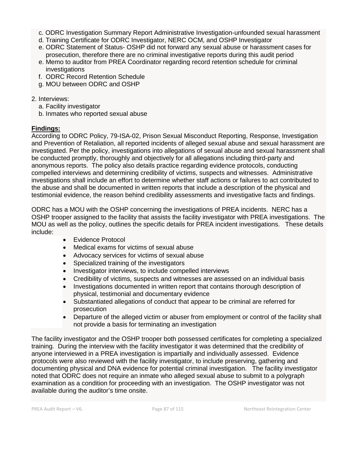- c. ODRC Investigation Summary Report Administrative Investigation-unfounded sexual harassment
- d. Training Certificate for ODRC Investigator, NERC OCM, and OSHP Investigator
- e. ODRC Statement of Status- OSHP did not forward any sexual abuse or harassment cases for prosecution, therefore there are no criminal investigative reports during this audit period
- e. Memo to auditor from PREA Coordinator regarding record retention schedule for criminal investigations
- f. ODRC Record Retention Schedule
- g. MOU between ODRC and OSHP
- 2. Interviews:
	- a. Facility investigator
	- b. Inmates who reported sexual abuse

## **Findings:**

According to ODRC Policy, 79-ISA-02, Prison Sexual Misconduct Reporting, Response, Investigation and Prevention of Retaliation, all reported incidents of alleged sexual abuse and sexual harassment are investigated. Per the policy, investigations into allegations of sexual abuse and sexual harassment shall be conducted promptly, thoroughly and objectively for all allegations including third-party and anonymous reports. The policy also details practice regarding evidence protocols, conducting compelled interviews and determining credibility of victims, suspects and witnesses. Administrative investigations shall include an effort to determine whether staff actions or failures to act contributed to the abuse and shall be documented in written reports that include a description of the physical and testimonial evidence, the reason behind credibility assessments and investigative facts and findings.

ODRC has a MOU with the OSHP concerning the investigations of PREA incidents. NERC has a OSHP trooper assigned to the facility that assists the facility investigator with PREA investigations. The MOU as well as the policy, outlines the specific details for PREA incident investigations. These details include:

- Evidence Protocol
- Medical exams for victims of sexual abuse
- Advocacy services for victims of sexual abuse
- Specialized training of the investigators
- Investigator interviews, to include compelled interviews
- Credibility of victims, suspects and witnesses are assessed on an individual basis
- Investigations documented in written report that contains thorough description of physical, testimonial and documentary evidence
- Substantiated allegations of conduct that appear to be criminal are referred for prosecution
- Departure of the alleged victim or abuser from employment or control of the facility shall not provide a basis for terminating an investigation

The facility investigator and the OSHP trooper both possessed certificates for completing a specialized training. During the interview with the facility investigator it was determined that the credibility of anyone interviewed in a PREA investigation is impartially and individually assessed. Evidence protocols were also reviewed with the facility investigator, to include preserving, gathering and documenting physical and DNA evidence for potential criminal investigation. The facility investigator noted that ODRC does not require an inmate who alleged sexual abuse to submit to a polygraph examination as a condition for proceeding with an investigation. The OSHP investigator was not available during the auditor's time onsite.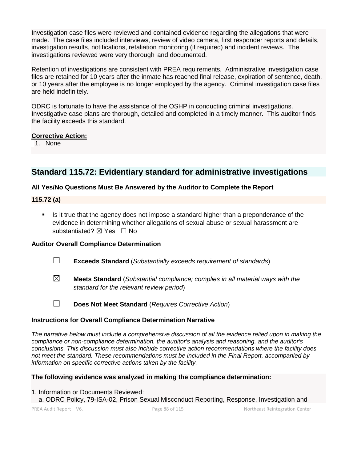Investigation case files were reviewed and contained evidence regarding the allegations that were made. The case files included interviews, review of video camera, first responder reports and details, investigation results, notifications, retaliation monitoring (if required) and incident reviews. The investigations reviewed were very thorough and documented.

Retention of investigations are consistent with PREA requirements. Administrative investigation case files are retained for 10 years after the inmate has reached final release, expiration of sentence, death, or 10 years after the employee is no longer employed by the agency. Criminal investigation case files are held indefinitely.

ODRC is fortunate to have the assistance of the OSHP in conducting criminal investigations. Investigative case plans are thorough, detailed and completed in a timely manner. This auditor finds the facility exceeds this standard.

#### **Corrective Action:**

1. None

## **Standard 115.72: Evidentiary standard for administrative investigations**

## **All Yes/No Questions Must Be Answered by the Auditor to Complete the Report**

#### **115.72 (a)**

 Is it true that the agency does not impose a standard higher than a preponderance of the evidence in determining whether allegations of sexual abuse or sexual harassment are substantiated? ⊠ Yes □ No

## **Auditor Overall Compliance Determination**

- ☐ **Exceeds Standard** (*Substantially exceeds requirement of standards*)
- ☒ **Meets Standard** (*Substantial compliance; complies in all material ways with the standard for the relevant review period*)
- 
- ☐ **Does Not Meet Standard** (*Requires Corrective Action*)

## **Instructions for Overall Compliance Determination Narrative**

*The narrative below must include a comprehensive discussion of all the evidence relied upon in making the compliance or non-compliance determination, the auditor's analysis and reasoning, and the auditor's conclusions. This discussion must also include corrective action recommendations where the facility does not meet the standard. These recommendations must be included in the Final Report, accompanied by information on specific corrective actions taken by the facility.*

## **The following evidence was analyzed in making the compliance determination:**

- 1. Information or Documents Reviewed:
	- a. ODRC Policy, 79-ISA-02, Prison Sexual Misconduct Reporting, Response, Investigation and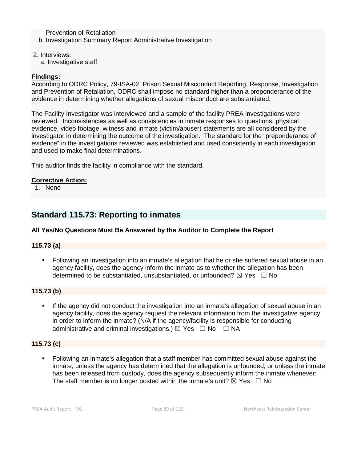Prevention of Retaliation b. Investigation Summary Report Administrative Investigation

- 2. Interviews:
	- a. Investigative staff

## **Findings:**

According to ODRC Policy, 79-ISA-02, Prison Sexual Misconduct Reporting, Response, Investigation and Prevention of Retaliation, ODRC shall impose no standard higher than a preponderance of the evidence in determining whether allegations of sexual misconduct are substantiated.

The Facility Investigator was interviewed and a sample of the facility PREA investigations were reviewed. Inconsistencies as well as consistencies in inmate responses to questions, physical evidence, video footage, witness and inmate (victim/abuser) statements are all considered by the investigator in determining the outcome of the investigation. The standard for the "preponderance of evidence" in the investigations reviewed was established and used consistently in each investigation and used to make final determinations.

This auditor finds the facility in compliance with the standard.

#### **Corrective Action:**

1. None

## **Standard 115.73: Reporting to inmates**

## **All Yes/No Questions Must Be Answered by the Auditor to Complete the Report**

#### **115.73 (a)**

 Following an investigation into an inmate's allegation that he or she suffered sexual abuse in an agency facility, does the agency inform the inmate as to whether the allegation has been determined to be substantiated, unsubstantiated, or unfounded?  $\boxtimes$  Yes  $\Box$  No

#### **115.73 (b)**

 If the agency did not conduct the investigation into an inmate's allegation of sexual abuse in an agency facility, does the agency request the relevant information from the investigative agency in order to inform the inmate? (N/A if the agency/facility is responsible for conducting administrative and criminal investigations.)  $\boxtimes$  Yes  $\Box$  No  $\Box$  NA

#### **115.73 (c)**

 Following an inmate's allegation that a staff member has committed sexual abuse against the inmate, unless the agency has determined that the allegation is unfounded, or unless the inmate has been released from custody, does the agency subsequently inform the inmate whenever: The staff member is no longer posted within the inmate's unit?  $\boxtimes$  Yes  $\Box$  No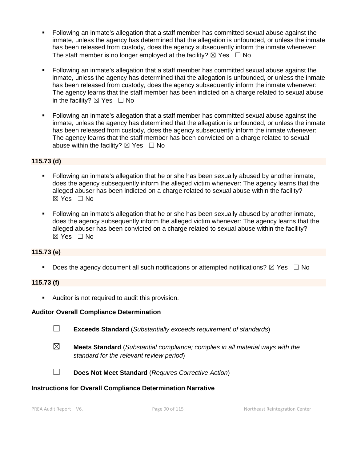- Following an inmate's allegation that a staff member has committed sexual abuse against the inmate, unless the agency has determined that the allegation is unfounded, or unless the inmate has been released from custody, does the agency subsequently inform the inmate whenever: The staff member is no longer employed at the facility?  $\boxtimes$  Yes  $\Box$  No
- Following an inmate's allegation that a staff member has committed sexual abuse against the inmate, unless the agency has determined that the allegation is unfounded, or unless the inmate has been released from custody, does the agency subsequently inform the inmate whenever: The agency learns that the staff member has been indicted on a charge related to sexual abuse in the facility?  $\boxtimes$  Yes  $\Box$  No
- Following an inmate's allegation that a staff member has committed sexual abuse against the inmate, unless the agency has determined that the allegation is unfounded, or unless the inmate has been released from custody, does the agency subsequently inform the inmate whenever: The agency learns that the staff member has been convicted on a charge related to sexual abuse within the facility?  $\boxtimes$  Yes  $\Box$  No

## **115.73 (d)**

- Following an inmate's allegation that he or she has been sexually abused by another inmate, does the agency subsequently inform the alleged victim whenever: The agency learns that the alleged abuser has been indicted on a charge related to sexual abuse within the facility?  $\boxtimes$  Yes  $\Box$  No
- Following an inmate's allegation that he or she has been sexually abused by another inmate, does the agency subsequently inform the alleged victim whenever: The agency learns that the alleged abuser has been convicted on a charge related to sexual abuse within the facility? ☒ Yes ☐ No

## **115.73 (e)**

Does the agency document all such notifications or attempted notifications?  $\boxtimes$  Yes  $\Box$  No

## **115.73 (f)**

**Auditor is not required to audit this provision.** 

## **Auditor Overall Compliance Determination**

- ☐ **Exceeds Standard** (*Substantially exceeds requirement of standards*)
- ☒ **Meets Standard** (*Substantial compliance; complies in all material ways with the standard for the relevant review period*)
- 
- ☐ **Does Not Meet Standard** (*Requires Corrective Action*)

#### **Instructions for Overall Compliance Determination Narrative**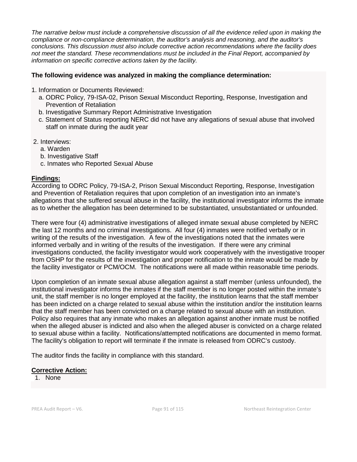*The narrative below must include a comprehensive discussion of all the evidence relied upon in making the compliance or non-compliance determination, the auditor's analysis and reasoning, and the auditor's conclusions. This discussion must also include corrective action recommendations where the facility does not meet the standard. These recommendations must be included in the Final Report, accompanied by information on specific corrective actions taken by the facility.*

## **The following evidence was analyzed in making the compliance determination:**

- 1. Information or Documents Reviewed:
	- a. ODRC Policy, 79-ISA-02, Prison Sexual Misconduct Reporting, Response, Investigation and Prevention of Retaliation
	- b. Investigative Summary Report Administrative Investigation
	- c. Statement of Status reporting NERC did not have any allegations of sexual abuse that involved staff on inmate during the audit year
- 2. Interviews:
	- a. Warden
	- b. Investigative Staff
	- c. Inmates who Reported Sexual Abuse

#### **Findings:**

According to ODRC Policy, 79-ISA-2, Prison Sexual Misconduct Reporting, Response, Investigation and Prevention of Retaliation requires that upon completion of an investigation into an inmate's allegations that she suffered sexual abuse in the facility, the institutional investigator informs the inmate as to whether the allegation has been determined to be substantiated, unsubstantiated or unfounded.

There were four (4) administrative investigations of alleged inmate sexual abuse completed by NERC the last 12 months and no criminal investigations. All four (4) inmates were notified verbally or in writing of the results of the investigation. A few of the investigations noted that the inmates were informed verbally and in writing of the results of the investigation. If there were any criminal investigations conducted, the facility investigator would work cooperatively with the investigative trooper from OSHP for the results of the investigation and proper notification to the inmate would be made by the facility investigator or PCM/OCM. The notifications were all made within reasonable time periods.

Upon completion of an inmate sexual abuse allegation against a staff member (unless unfounded), the institutional investigator informs the inmates if the staff member is no longer posted within the inmate's unit, the staff member is no longer employed at the facility, the institution learns that the staff member has been indicted on a charge related to sexual abuse within the institution and/or the institution learns that the staff member has been convicted on a charge related to sexual abuse with an institution. Policy also requires that any inmate who makes an allegation against another inmate must be notified when the alleged abuser is indicted and also when the alleged abuser is convicted on a charge related to sexual abuse within a facility. Notifications/attempted notifications are documented in memo format. The facility's obligation to report will terminate if the inmate is released from ODRC's custody.

The auditor finds the facility in compliance with this standard.

## **Corrective Action:**

1. None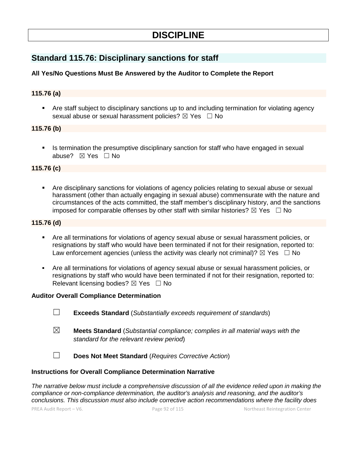# **DISCIPLINE**

## **Standard 115.76: Disciplinary sanctions for staff**

## **All Yes/No Questions Must Be Answered by the Auditor to Complete the Report**

#### **115.76 (a)**

 Are staff subject to disciplinary sanctions up to and including termination for violating agency sexual abuse or sexual harassment policies? ⊠ Yes □ No

#### **115.76 (b)**

 Is termination the presumptive disciplinary sanction for staff who have engaged in sexual abuse? ⊠ Yes □ No

#### **115.76 (c)**

 Are disciplinary sanctions for violations of agency policies relating to sexual abuse or sexual harassment (other than actually engaging in sexual abuse) commensurate with the nature and circumstances of the acts committed, the staff member's disciplinary history, and the sanctions imposed for comparable offenses by other staff with similar histories?  $\boxtimes$  Yes  $\Box$  No

### **115.76 (d)**

- Are all terminations for violations of agency sexual abuse or sexual harassment policies, or resignations by staff who would have been terminated if not for their resignation, reported to: Law enforcement agencies (unless the activity was clearly not criminal)?  $\boxtimes$  Yes  $\Box$  No
- Are all terminations for violations of agency sexual abuse or sexual harassment policies, or resignations by staff who would have been terminated if not for their resignation, reported to: Relevant licensing bodies?  $\boxtimes$  Yes  $\Box$  No

#### **Auditor Overall Compliance Determination**

- ☐ **Exceeds Standard** (*Substantially exceeds requirement of standards*)
- ☒ **Meets Standard** (*Substantial compliance; complies in all material ways with the standard for the relevant review period*)
- ☐ **Does Not Meet Standard** (*Requires Corrective Action*)

#### **Instructions for Overall Compliance Determination Narrative**

*The narrative below must include a comprehensive discussion of all the evidence relied upon in making the compliance or non-compliance determination, the auditor's analysis and reasoning, and the auditor's conclusions. This discussion must also include corrective action recommendations where the facility does*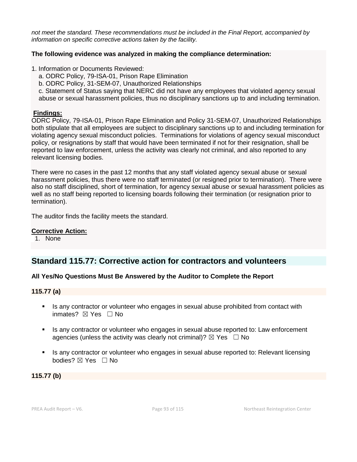*not meet the standard. These recommendations must be included in the Final Report, accompanied by information on specific corrective actions taken by the facility.*

#### **The following evidence was analyzed in making the compliance determination:**

- 1. Information or Documents Reviewed:
	- a. ODRC Policy, 79-ISA-01, Prison Rape Elimination
	- b. ODRC Policy, 31-SEM-07, Unauthorized Relationships
	- c. Statement of Status saying that NERC did not have any employees that violated agency sexual
	- abuse or sexual harassment policies, thus no disciplinary sanctions up to and including termination.

#### **Findings:**

ODRC Policy, 79-ISA-01, Prison Rape Elimination and Policy 31-SEM-07, Unauthorized Relationships both stipulate that all employees are subject to disciplinary sanctions up to and including termination for violating agency sexual misconduct policies. Terminations for violations of agency sexual misconduct policy, or resignations by staff that would have been terminated if not for their resignation, shall be reported to law enforcement, unless the activity was clearly not criminal, and also reported to any relevant licensing bodies.

There were no cases in the past 12 months that any staff violated agency sexual abuse or sexual harassment policies, thus there were no staff terminated (or resigned prior to termination). There were also no staff disciplined, short of termination, for agency sexual abuse or sexual harassment policies as well as no staff being reported to licensing boards following their termination (or resignation prior to termination).

The auditor finds the facility meets the standard.

### **Corrective Action:**

1. None

## **Standard 115.77: Corrective action for contractors and volunteers**

## **All Yes/No Questions Must Be Answered by the Auditor to Complete the Report**

#### **115.77 (a)**

- Is any contractor or volunteer who engages in sexual abuse prohibited from contact with inmates?  $⊠$  Yes  $□$  No
- Is any contractor or volunteer who engages in sexual abuse reported to: Law enforcement agencies (unless the activity was clearly not criminal)?  $\boxtimes$  Yes  $\Box$  No
- Is any contractor or volunteer who engages in sexual abuse reported to: Relevant licensing bodies? ⊠ Yes □ No

**115.77 (b)**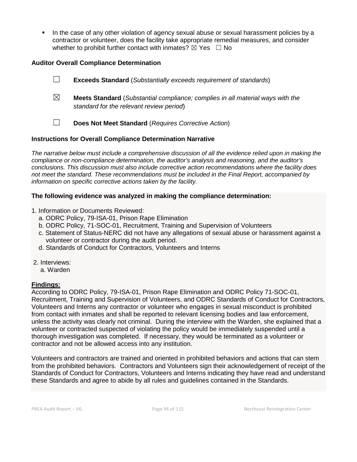In the case of any other violation of agency sexual abuse or sexual harassment policies by a contractor or volunteer, does the facility take appropriate remedial measures, and consider whether to prohibit further contact with inmates?  $\boxtimes$  Yes  $\Box$  No

## **Auditor Overall Compliance Determination**

☐ **Exceeds Standard** (*Substantially exceeds requirement of standards*) ☒ **Meets Standard** (*Substantial compliance; complies in all material ways with the standard for the relevant review period*) ☐ **Does Not Meet Standard** (*Requires Corrective Action*)

## **Instructions for Overall Compliance Determination Narrative**

*The narrative below must include a comprehensive discussion of all the evidence relied upon in making the compliance or non-compliance determination, the auditor's analysis and reasoning, and the auditor's conclusions. This discussion must also include corrective action recommendations where the facility does not meet the standard. These recommendations must be included in the Final Report, accompanied by information on specific corrective actions taken by the facility.*

## **The following evidence was analyzed in making the compliance determination:**

- 1. Information or Documents Reviewed:
	- a. ODRC Policy, 79-ISA-01, Prison Rape Elimination
	- b. ODRC Policy, 71-SOC-01, Recruitment, Training and Supervision of Volunteers
	- c. Statement of Status-NERC did not have any allegations of sexual abuse or harassment against a volunteer or contractor during the audit period.
	- d. Standards of Conduct for Contractors, Volunteers and Interns
- 2. Interviews:
	- a. Warden

## **Findings:**

According to ODRC Policy, 79-ISA-01, Prison Rape Elimination and ODRC Policy 71-SOC-01, Recruitment, Training and Supervision of Volunteers, and ODRC Standards of Conduct for Contractors, Volunteers and Interns any contractor or volunteer who engages in sexual misconduct is prohibited from contact with inmates and shall be reported to relevant licensing bodies and law enforcement, unless the activity was clearly not criminal. During the interview with the Warden, she explained that a volunteer or contracted suspected of violating the policy would be immediately suspended until a thorough investigation was completed. If necessary, they would be terminated as a volunteer or contractor and not be allowed access into any institution.

Volunteers and contractors are trained and oriented in prohibited behaviors and actions that can stem from the prohibited behaviors. Contractors and Volunteers sign their acknowledgement of receipt of the Standards of Conduct for Contractors, Volunteers and Interns indicating they have read and understand these Standards and agree to abide by all rules and guidelines contained in the Standards.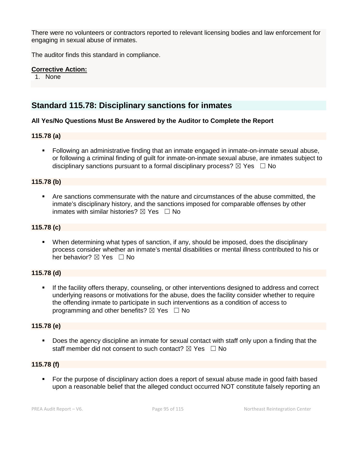There were no volunteers or contractors reported to relevant licensing bodies and law enforcement for engaging in sexual abuse of inmates.

The auditor finds this standard in compliance.

## **Corrective Action:**

1. None

## **Standard 115.78: Disciplinary sanctions for inmates**

#### **All Yes/No Questions Must Be Answered by the Auditor to Complete the Report**

## **115.78 (a)**

 Following an administrative finding that an inmate engaged in inmate-on-inmate sexual abuse, or following a criminal finding of guilt for inmate-on-inmate sexual abuse, are inmates subject to disciplinary sanctions pursuant to a formal disciplinary process?  $\boxtimes$  Yes  $\Box$  No

#### **115.78 (b)**

 Are sanctions commensurate with the nature and circumstances of the abuse committed, the inmate's disciplinary history, and the sanctions imposed for comparable offenses by other inmates with similar histories?  $\boxtimes$  Yes  $\Box$  No

#### **115.78 (c)**

 When determining what types of sanction, if any, should be imposed, does the disciplinary process consider whether an inmate's mental disabilities or mental illness contributed to his or her behavior? ⊠ Yes □ No

## **115.78 (d)**

 If the facility offers therapy, counseling, or other interventions designed to address and correct underlying reasons or motivations for the abuse, does the facility consider whether to require the offending inmate to participate in such interventions as a condition of access to programming and other benefits?  $\boxtimes$  Yes  $\Box$  No

#### **115.78 (e)**

 Does the agency discipline an inmate for sexual contact with staff only upon a finding that the staff member did not consent to such contact?  $\boxtimes$  Yes  $\Box$  No

#### **115.78 (f)**

 For the purpose of disciplinary action does a report of sexual abuse made in good faith based upon a reasonable belief that the alleged conduct occurred NOT constitute falsely reporting an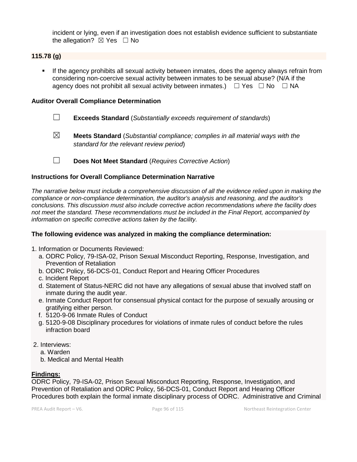incident or lying, even if an investigation does not establish evidence sufficient to substantiate the allegation?  $\boxtimes$  Yes  $\Box$  No

## **115.78 (g)**

 If the agency prohibits all sexual activity between inmates, does the agency always refrain from considering non-coercive sexual activity between inmates to be sexual abuse? (N/A if the agency does not prohibit all sexual activity between inmates.)  $\Box$  Yes  $\Box$  No  $\Box$  NA

### **Auditor Overall Compliance Determination**

- ☐ **Exceeds Standard** (*Substantially exceeds requirement of standards*)
- ☒ **Meets Standard** (*Substantial compliance; complies in all material ways with the standard for the relevant review period*)
- ☐ **Does Not Meet Standard** (*Requires Corrective Action*)

## **Instructions for Overall Compliance Determination Narrative**

*The narrative below must include a comprehensive discussion of all the evidence relied upon in making the compliance or non-compliance determination, the auditor's analysis and reasoning, and the auditor's conclusions. This discussion must also include corrective action recommendations where the facility does not meet the standard. These recommendations must be included in the Final Report, accompanied by information on specific corrective actions taken by the facility.*

## **The following evidence was analyzed in making the compliance determination:**

- 1. Information or Documents Reviewed:
	- a. ODRC Policy, 79-ISA-02, Prison Sexual Misconduct Reporting, Response, Investigation, and Prevention of Retaliation
	- b. ODRC Policy, 56-DCS-01, Conduct Report and Hearing Officer Procedures
	- c. Incident Report
	- d. Statement of Status-NERC did not have any allegations of sexual abuse that involved staff on inmate during the audit year.
	- e. Inmate Conduct Report for consensual physical contact for the purpose of sexually arousing or gratifying either person.
	- f. 5120-9-06 Inmate Rules of Conduct
	- g. 5120-9-08 Disciplinary procedures for violations of inmate rules of conduct before the rules infraction board
- 2. Interviews:
	- a. Warden
	- b. Medical and Mental Health

## **Findings:**

ODRC Policy, 79-ISA-02, Prison Sexual Misconduct Reporting, Response, Investigation, and Prevention of Retaliation and ODRC Policy, 56-DCS-01, Conduct Report and Hearing Officer Procedures both explain the formal inmate disciplinary process of ODRC. Administrative and Criminal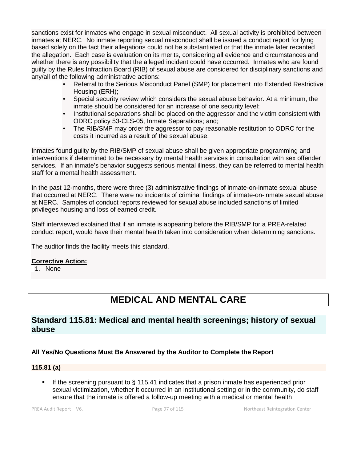sanctions exist for inmates who engage in sexual misconduct. All sexual activity is prohibited between inmates at NERC. No inmate reporting sexual misconduct shall be issued a conduct report for lying based solely on the fact their allegations could not be substantiated or that the inmate later recanted the allegation. Each case is evaluation on its merits, considering all evidence and circumstances and whether there is any possibility that the alleged incident could have occurred. Inmates who are found guilty by the Rules Infraction Board (RIB) of sexual abuse are considered for disciplinary sanctions and any/all of the following administrative actions:

- Referral to the Serious Misconduct Panel (SMP) for placement into Extended Restrictive Housing (ERH);
- Special security review which considers the sexual abuse behavior. At a minimum, the inmate should be considered for an increase of one security level;
- Institutional separations shall be placed on the aggressor and the victim consistent with ODRC policy 53-CLS-05, Inmate Separations; and;
- The RIB/SMP may order the aggressor to pay reasonable restitution to ODRC for the costs it incurred as a result of the sexual abuse.

Inmates found guilty by the RIB/SMP of sexual abuse shall be given appropriate programming and interventions if determined to be necessary by mental health services in consultation with sex offender services. If an inmate's behavior suggests serious mental illness, they can be referred to mental health staff for a mental health assessment.

In the past 12-months, there were three (3) administrative findings of inmate-on-inmate sexual abuse that occurred at NERC. There were no incidents of criminal findings of inmate-on-inmate sexual abuse at NERC. Samples of conduct reports reviewed for sexual abuse included sanctions of limited privileges housing and loss of earned credit.

Staff interviewed explained that if an inmate is appearing before the RIB/SMP for a PREA-related conduct report, would have their mental health taken into consideration when determining sanctions.

The auditor finds the facility meets this standard.

## **Corrective Action:**

1. None

# **MEDICAL AND MENTAL CARE**

## **Standard 115.81: Medical and mental health screenings; history of sexual abuse**

## **All Yes/No Questions Must Be Answered by the Auditor to Complete the Report**

## **115.81 (a)**

If the screening pursuant to  $\S$  115.41 indicates that a prison inmate has experienced prior sexual victimization, whether it occurred in an institutional setting or in the community, do staff ensure that the inmate is offered a follow-up meeting with a medical or mental health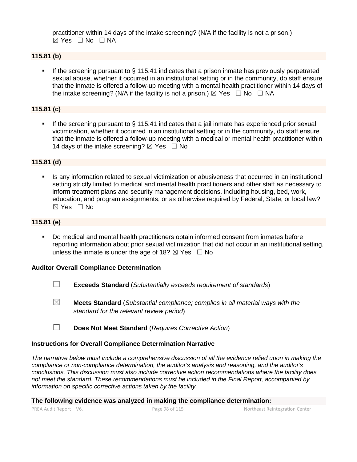practitioner within 14 days of the intake screening? (N/A if the facility is not a prison.)  $⊠ Yes □ No □ NA$ 

### **115.81 (b)**

 If the screening pursuant to § 115.41 indicates that a prison inmate has previously perpetrated sexual abuse, whether it occurred in an institutional setting or in the community, do staff ensure that the inmate is offered a follow-up meeting with a mental health practitioner within 14 days of the intake screening? (N/A if the facility is not a prison.)  $\boxtimes$  Yes  $\Box$  No  $\Box$  NA

### **115.81 (c)**

If the screening pursuant to  $\S$  115.41 indicates that a jail inmate has experienced prior sexual victimization, whether it occurred in an institutional setting or in the community, do staff ensure that the inmate is offered a follow-up meeting with a medical or mental health practitioner within 14 days of the intake screening?  $\boxtimes$  Yes  $\Box$  No

#### **115.81 (d)**

 Is any information related to sexual victimization or abusiveness that occurred in an institutional setting strictly limited to medical and mental health practitioners and other staff as necessary to inform treatment plans and security management decisions, including housing, bed, work, education, and program assignments, or as otherwise required by Federal, State, or local law?  $\boxtimes$  Yes  $\Box$  No

### **115.81 (e)**

 Do medical and mental health practitioners obtain informed consent from inmates before reporting information about prior sexual victimization that did not occur in an institutional setting, unless the inmate is under the age of 18?  $\boxtimes$  Yes  $\Box$  No

#### **Auditor Overall Compliance Determination**

- ☐ **Exceeds Standard** (*Substantially exceeds requirement of standards*)
- ☒ **Meets Standard** (*Substantial compliance; complies in all material ways with the standard for the relevant review period*)
- ☐ **Does Not Meet Standard** (*Requires Corrective Action*)

## **Instructions for Overall Compliance Determination Narrative**

*The narrative below must include a comprehensive discussion of all the evidence relied upon in making the compliance or non-compliance determination, the auditor's analysis and reasoning, and the auditor's conclusions. This discussion must also include corrective action recommendations where the facility does not meet the standard. These recommendations must be included in the Final Report, accompanied by information on specific corrective actions taken by the facility.*

**The following evidence was analyzed in making the compliance determination:**

PREA Audit Report – V6. Page 98 of 115 Northeast Reintegration Center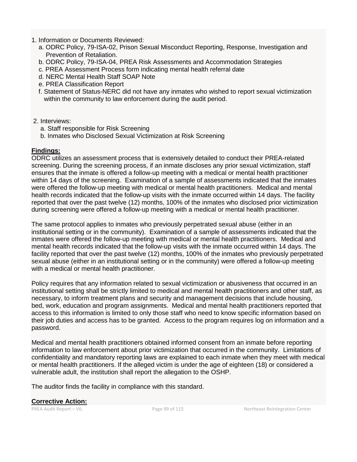- 1. Information or Documents Reviewed:
	- a. ODRC Policy, 79-ISA-02, Prison Sexual Misconduct Reporting, Response, Investigation and Prevention of Retaliation.
	- b. ODRC Policy, 79-ISA-04, PREA Risk Assessments and Accommodation Strategies
	- c. PREA Assessment Process form indicating mental health referral date
	- d. NERC Mental Health Staff SOAP Note
	- e. PREA Classification Report
	- f. Statement of Status-NERC did not have any inmates who wished to report sexual victimization within the community to law enforcement during the audit period.
- 2. Interviews:
	- a. Staff responsible for Risk Screening
	- b. Inmates who Disclosed Sexual Victimization at Risk Screening

## **Findings:**

ODRC utilizes an assessment process that is extensively detailed to conduct their PREA-related screening. During the screening process, if an inmate discloses any prior sexual victimization, staff ensures that the inmate is offered a follow-up meeting with a medical or mental health practitioner within 14 days of the screening. Examination of a sample of assessments indicated that the inmates were offered the follow-up meeting with medical or mental health practitioners. Medical and mental health records indicated that the follow-up visits with the inmate occurred within 14 days. The facility reported that over the past twelve (12) months, 100% of the inmates who disclosed prior victimization during screening were offered a follow-up meeting with a medical or mental health practitioner.

The same protocol applies to inmates who previously perpetrated sexual abuse (either in an institutional setting or in the community). Examination of a sample of assessments indicated that the inmates were offered the follow-up meeting with medical or mental health practitioners. Medical and mental health records indicated that the follow-up visits with the inmate occurred within 14 days. The facility reported that over the past twelve (12) months, 100% of the inmates who previously perpetrated sexual abuse (either in an institutional setting or in the community) were offered a follow-up meeting with a medical or mental health practitioner.

Policy requires that any information related to sexual victimization or abusiveness that occurred in an institutional setting shall be strictly limited to medical and mental health practitioners and other staff, as necessary, to inform treatment plans and security and management decisions that include housing, bed, work, education and program assignments. Medical and mental health practitioners reported that access to this information is limited to only those staff who need to know specific information based on their job duties and access has to be granted. Access to the program requires log on information and a password.

Medical and mental health practitioners obtained informed consent from an inmate before reporting information to law enforcement about prior victimization that occurred in the community. Limitations of confidentiality and mandatory reporting laws are explained to each inmate when they meet with medical or mental health practitioners. If the alleged victim is under the age of eighteen (18) or considered a vulnerable adult, the institution shall report the allegation to the OSHP.

The auditor finds the facility in compliance with this standard.

## **Corrective Action:**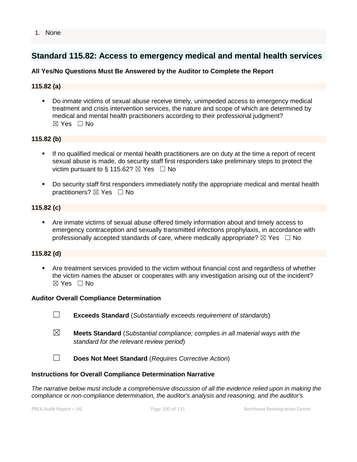## **Standard 115.82: Access to emergency medical and mental health services**

## **All Yes/No Questions Must Be Answered by the Auditor to Complete the Report**

## **115.82 (a)**

 Do inmate victims of sexual abuse receive timely, unimpeded access to emergency medical treatment and crisis intervention services, the nature and scope of which are determined by medical and mental health practitioners according to their professional judgment?  $\boxtimes$  Yes  $\Box$  No

## **115.82 (b)**

- If no qualified medical or mental health practitioners are on duty at the time a report of recent sexual abuse is made, do security staff first responders take preliminary steps to protect the victim pursuant to § 115.62?  $\boxtimes$  Yes  $\Box$  No
- Do security staff first responders immediately notify the appropriate medical and mental health practitioners? ⊠ Yes □ No

## **115.82 (c)**

 Are inmate victims of sexual abuse offered timely information about and timely access to emergency contraception and sexually transmitted infections prophylaxis, in accordance with professionally accepted standards of care, where medically appropriate?  $\boxtimes$  Yes  $\Box$  No

## **115.82 (d)**

 Are treatment services provided to the victim without financial cost and regardless of whether the victim names the abuser or cooperates with any investigation arising out of the incident?  $\boxtimes$  Yes  $\Box$  No

#### **Auditor Overall Compliance Determination**

- ☐ **Exceeds Standard** (*Substantially exceeds requirement of standards*)
- ☒ **Meets Standard** (*Substantial compliance; complies in all material ways with the standard for the relevant review period*)
- ☐ **Does Not Meet Standard** (*Requires Corrective Action*)

#### **Instructions for Overall Compliance Determination Narrative**

*The narrative below must include a comprehensive discussion of all the evidence relied upon in making the compliance or non-compliance determination, the auditor's analysis and reasoning, and the auditor's*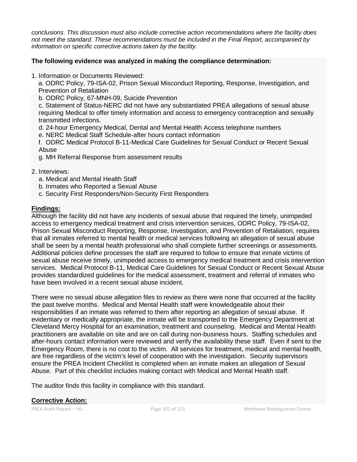*conclusions. This discussion must also include corrective action recommendations where the facility does not meet the standard. These recommendations must be included in the Final Report, accompanied by information on specific corrective actions taken by the facility.*

## **The following evidence was analyzed in making the compliance determination:**

1. Information or Documents Reviewed:

a. ODRC Policy, 79-ISA-02, Prison Sexual Misconduct Reporting, Response, Investigation, and Prevention of Retaliation

b. ODRC Policy, 67-MNH-09, Suicide Prevention

 c. Statement of Status-NERC did not have any substantiated PREA allegations of sexual abuse requiring Medical to offer timely information and access to emergency contraception and sexually transmitted infections.

d. 24-hour Emergency Medical, Dental and Mental Health Access telephone numbers

e. NERC Medical Staff Schedule-after hours contact information

 f. ODRC Medical Protocol B-11-Medical Care Guidelines for Sexual Conduct or Recent Sexual Abuse

g. MH Referral Response from assessment results

2. Interviews:

- a. Medical and Mental Health Staff
- b. Inmates who Reported a Sexual Abuse
- c. Security First Responders/Non-Security First Responders

## **Findings:**

Although the facility did not have any incidents of sexual abuse that required the timely, unimpeded access to emergency medical treatment and crisis intervention services, ODRC Policy, 79-ISA-02, Prison Sexual Misconduct Reporting, Response, Investigation, and Prevention of Retaliation, requires that all inmates referred to mental health or medical services following an allegation of sexual abuse shall be seen by a mental health professional who shall complete further screenings or assessments. Additional policies define processes the staff are required to follow to ensure that inmate victims of sexual abuse receive timely, unimpeded access to emergency medical treatment and crisis intervention services. Medical Protocol B-11, Medical Care Guidelines for Sexual Conduct or Recent Sexual Abuse provides standardized guidelines for the medical assessment, treatment and referral of inmates who have been involved in a recent sexual abuse incident.

There were no sexual abuse allegation files to review as there were none that occurred at the facility the past twelve months. Medical and Mental Health staff were knowledgeable about their responsibilities if an inmate was referred to them after reporting an allegation of sexual abuse. If evidentiary or medically appropriate, the inmate will be transported to the Emergency Department at Cleveland Mercy Hospital for an examination, treatment and counseling. Medical and Mental Health practitioners are available on site and are on call during non-business hours. Staffing schedules and after-hours contact information were reviewed and verify the availability these staff. Even if sent to the Emergency Room, there is no cost to the victim. All services for treatment, medical and mental health, are free regardless of the victim's level of cooperation with the investigation. Security supervisors ensure the PREA Incident Checklist is completed when an inmate makes an allegation of Sexual Abuse. Part of this checklist includes making contact with Medical and Mental Health staff.

The auditor finds this facility in compliance with this standard.

**Corrective Action:**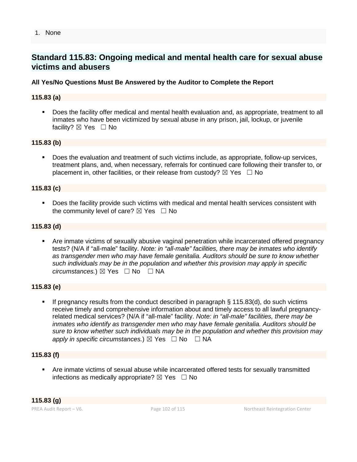#### 1. None

## **Standard 115.83: Ongoing medical and mental health care for sexual abuse victims and abusers**

### **All Yes/No Questions Must Be Answered by the Auditor to Complete the Report**

#### **115.83 (a)**

 Does the facility offer medical and mental health evaluation and, as appropriate, treatment to all inmates who have been victimized by sexual abuse in any prison, jail, lockup, or juvenile facility? ⊠ Yes □ No

#### **115.83 (b)**

 Does the evaluation and treatment of such victims include, as appropriate, follow-up services, treatment plans, and, when necessary, referrals for continued care following their transfer to, or placement in, other facilities, or their release from custody?  $\boxtimes$  Yes  $\Box$  No

#### **115.83 (c)**

 Does the facility provide such victims with medical and mental health services consistent with the community level of care?  $\boxtimes$  Yes  $\Box$  No

#### **115.83 (d)**

 Are inmate victims of sexually abusive vaginal penetration while incarcerated offered pregnancy tests? (N/A if "all-male" facility. *Note: in "all-male" facilities, there may be inmates who identify as transgender men who may have female genitalia. Auditors should be sure to know whether such individuals may be in the population and whether this provision may apply in specific circumstances.*) ⊠ Yes  $□$  No  $□$  NA

#### **115.83 (e)**

 If pregnancy results from the conduct described in paragraph § 115.83(d), do such victims receive timely and comprehensive information about and timely access to all lawful pregnancyrelated medical services? (N/A if "all-male" facility. *Note: in "all-male" facilities, there may be inmates who identify as transgender men who may have female genitalia. Auditors should be sure to know whether such individuals may be in the population and whether this provision may apply in specific circumstances.*)  $\boxtimes$  Yes  $\Box$  No  $\Box$  NA

#### **115.83 (f)**

 Are inmate victims of sexual abuse while incarcerated offered tests for sexually transmitted infections as medically appropriate?  $\boxtimes$  Yes  $\Box$  No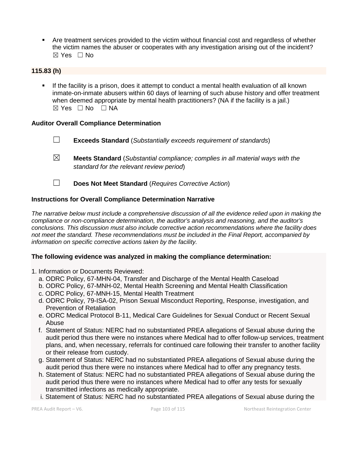• Are treatment services provided to the victim without financial cost and regardless of whether the victim names the abuser or cooperates with any investigation arising out of the incident? ☒ Yes ☐ No

## **115.83 (h)**

 If the facility is a prison, does it attempt to conduct a mental health evaluation of all known inmate-on-inmate abusers within 60 days of learning of such abuse history and offer treatment when deemed appropriate by mental health practitioners? (NA if the facility is a jail.)  $\boxtimes$  Yes  $\Box$  No  $\Box$  NA

## **Auditor Overall Compliance Determination**

- ☐ **Exceeds Standard** (*Substantially exceeds requirement of standards*)
- ☒ **Meets Standard** (*Substantial compliance; complies in all material ways with the standard for the relevant review period*)
- ☐ **Does Not Meet Standard** (*Requires Corrective Action*)

## **Instructions for Overall Compliance Determination Narrative**

*The narrative below must include a comprehensive discussion of all the evidence relied upon in making the compliance or non-compliance determination, the auditor's analysis and reasoning, and the auditor's conclusions. This discussion must also include corrective action recommendations where the facility does not meet the standard. These recommendations must be included in the Final Report, accompanied by information on specific corrective actions taken by the facility.*

#### **The following evidence was analyzed in making the compliance determination:**

- 1. Information or Documents Reviewed:
	- a. ODRC Policy, 67-MHN-04, Transfer and Discharge of the Mental Health Caseload
	- b. ODRC Policy, 67-MNH-02, Mental Health Screening and Mental Health Classification
	- c. ODRC Policy, 67-MNH-15, Mental Health Treatment
	- d. ODRC Policy, 79-ISA-02, Prison Sexual Misconduct Reporting, Response, investigation, and Prevention of Retaliation
	- e. ODRC Medical Protocol B-11, Medical Care Guidelines for Sexual Conduct or Recent Sexual Abuse
	- f. Statement of Status: NERC had no substantiated PREA allegations of Sexual abuse during the audit period thus there were no instances where Medical had to offer follow-up services, treatment plans, and, when necessary, referrals for continued care following their transfer to another facility or their release from custody.
	- g. Statement of Status: NERC had no substantiated PREA allegations of Sexual abuse during the audit period thus there were no instances where Medical had to offer any pregnancy tests.
	- h. Statement of Status: NERC had no substantiated PREA allegations of Sexual abuse during the audit period thus there were no instances where Medical had to offer any tests for sexually transmitted infections as medically appropriate.
	- i. Statement of Status: NERC had no substantiated PREA allegations of Sexual abuse during the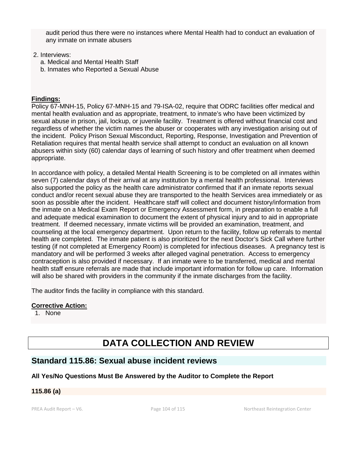audit period thus there were no instances where Mental Health had to conduct an evaluation of any inmate on inmate abusers

### 2. Interviews:

- a. Medical and Mental Health Staff
- b. Inmates who Reported a Sexual Abuse

## **Findings:**

Policy 67-MNH-15, Policy 67-MNH-15 and 79-ISA-02, require that ODRC facilities offer medical and mental health evaluation and as appropriate, treatment, to inmate's who have been victimized by sexual abuse in prison, jail, lockup, or juvenile facility. Treatment is offered without financial cost and regardless of whether the victim names the abuser or cooperates with any investigation arising out of the incident. Policy Prison Sexual Misconduct, Reporting, Response, Investigation and Prevention of Retaliation requires that mental health service shall attempt to conduct an evaluation on all known abusers within sixty (60) calendar days of learning of such history and offer treatment when deemed appropriate.

In accordance with policy, a detailed Mental Health Screening is to be completed on all inmates within seven (7) calendar days of their arrival at any institution by a mental health professional. Interviews also supported the policy as the health care administrator confirmed that if an inmate reports sexual conduct and/or recent sexual abuse they are transported to the health Services area immediately or as soon as possible after the incident. Healthcare staff will collect and document history/information from the inmate on a Medical Exam Report or Emergency Assessment form, in preparation to enable a full and adequate medical examination to document the extent of physical injury and to aid in appropriate treatment. If deemed necessary, inmate victims will be provided an examination, treatment, and counseling at the local emergency department. Upon return to the facility, follow up referrals to mental health are completed. The inmate patient is also prioritized for the next Doctor's Sick Call where further testing (if not completed at Emergency Room) is completed for infectious diseases. A pregnancy test is mandatory and will be performed 3 weeks after alleged vaginal penetration. Access to emergency contraception is also provided if necessary. If an inmate were to be transferred, medical and mental health staff ensure referrals are made that include important information for follow up care. Information will also be shared with providers in the community if the inmate discharges from the facility.

The auditor finds the facility in compliance with this standard.

## **Corrective Action:**

1. None

# **DATA COLLECTION AND REVIEW**

## **Standard 115.86: Sexual abuse incident reviews**

## **All Yes/No Questions Must Be Answered by the Auditor to Complete the Report**

## **115.86 (a)**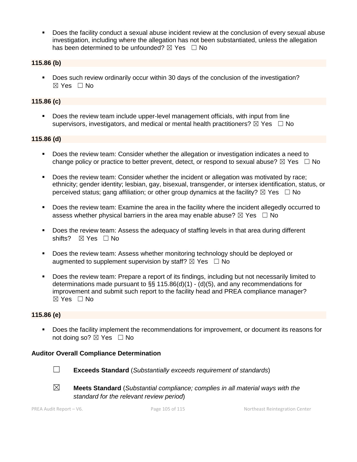Does the facility conduct a sexual abuse incident review at the conclusion of every sexual abuse investigation, including where the allegation has not been substantiated, unless the allegation has been determined to be unfounded?  $\boxtimes$  Yes  $\Box$  No

## **115.86 (b)**

 Does such review ordinarily occur within 30 days of the conclusion of the investigation? ☒ Yes ☐ No

## **115.86 (c)**

 Does the review team include upper-level management officials, with input from line supervisors, investigators, and medical or mental health practitioners?  $\boxtimes$  Yes  $\Box$  No

#### **115.86 (d)**

- **Does the review team: Consider whether the allegation or investigation indicates a need to** change policy or practice to better prevent, detect, or respond to sexual abuse?  $\boxtimes$  Yes  $\Box$  No
- Does the review team: Consider whether the incident or allegation was motivated by race; ethnicity; gender identity; lesbian, gay, bisexual, transgender, or intersex identification, status, or perceived status; gang affiliation; or other group dynamics at the facility?  $\boxtimes$  Yes  $\Box$  No
- Does the review team: Examine the area in the facility where the incident allegedly occurred to assess whether physical barriers in the area may enable abuse?  $\boxtimes$  Yes  $\Box$  No
- Does the review team: Assess the adequacy of staffing levels in that area during different shifts? ⊠ Yes □ No
- **Does the review team: Assess whether monitoring technology should be deployed or** augmented to supplement supervision by staff?  $\boxtimes$  Yes  $\Box$  No
- Does the review team: Prepare a report of its findings, including but not necessarily limited to determinations made pursuant to  $\S$ § 115.86(d)(1) - (d)(5), and any recommendations for improvement and submit such report to the facility head and PREA compliance manager? ☒ Yes ☐ No

## **115.86 (e)**

 Does the facility implement the recommendations for improvement, or document its reasons for not doing so?  $\boxtimes$  Yes  $\Box$  No

## **Auditor Overall Compliance Determination**



☐ **Exceeds Standard** (*Substantially exceeds requirement of standards*)



☒ **Meets Standard** (*Substantial compliance; complies in all material ways with the standard for the relevant review period*)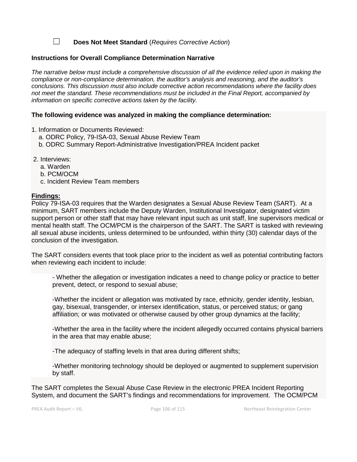☐ **Does Not Meet Standard** (*Requires Corrective Action*)

#### **Instructions for Overall Compliance Determination Narrative**

*The narrative below must include a comprehensive discussion of all the evidence relied upon in making the compliance or non-compliance determination, the auditor's analysis and reasoning, and the auditor's conclusions. This discussion must also include corrective action recommendations where the facility does not meet the standard. These recommendations must be included in the Final Report, accompanied by information on specific corrective actions taken by the facility.*

#### **The following evidence was analyzed in making the compliance determination:**

1. Information or Documents Reviewed:

- a. ODRC Policy, 79-ISA-03, Sexual Abuse Review Team
- b. ODRC Summary Report-Administrative Investigation/PREA Incident packet
- 2. Interviews:
	- a. Warden
	- b. PCM/OCM
	- c. Incident Review Team members

#### **Findings:**

Policy 79-ISA-03 requires that the Warden designates a Sexual Abuse Review Team (SART). At a minimum, SART members include the Deputy Warden, Institutional Investigator, designated victim support person or other staff that may have relevant input such as unit staff, line supervisors medical or mental health staff. The OCM/PCM is the chairperson of the SART. The SART is tasked with reviewing all sexual abuse incidents, unless determined to be unfounded, within thirty (30) calendar days of the conclusion of the investigation.

The SART considers events that took place prior to the incident as well as potential contributing factors when reviewing each incident to include:

- Whether the allegation or investigation indicates a need to change policy or practice to better prevent, detect, or respond to sexual abuse;

-Whether the incident or allegation was motivated by race, ethnicity, gender identity, lesbian, gay, bisexual, transgender, or intersex identification, status, or perceived status; or gang affiliation; or was motivated or otherwise caused by other group dynamics at the facility;

-Whether the area in the facility where the incident allegedly occurred contains physical barriers in the area that may enable abuse;

-The adequacy of staffing levels in that area during different shifts;

-Whether monitoring technology should be deployed or augmented to supplement supervision by staff.

The SART completes the Sexual Abuse Case Review in the electronic PREA Incident Reporting System, and document the SART's findings and recommendations for improvement. The OCM/PCM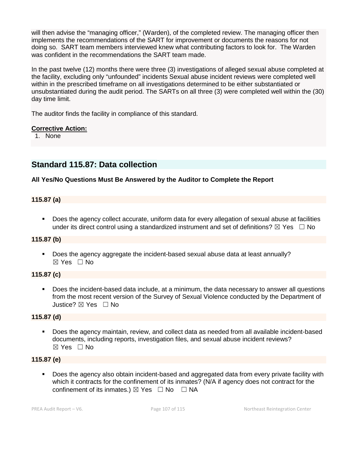will then advise the "managing officer," (Warden), of the completed review. The managing officer then implements the recommendations of the SART for improvement or documents the reasons for not doing so. SART team members interviewed knew what contributing factors to look for. The Warden was confident in the recommendations the SART team made.

In the past twelve (12) months there were three (3) investigations of alleged sexual abuse completed at the facility, excluding only "unfounded" incidents Sexual abuse incident reviews were completed well within in the prescribed timeframe on all investigations determined to be either substantiated or unsubstantiated during the audit period. The SARTs on all three (3) were completed well within the (30) day time limit.

The auditor finds the facility in compliance of this standard.

## **Corrective Action:**

1. None

## **Standard 115.87: Data collection**

## **All Yes/No Questions Must Be Answered by the Auditor to Complete the Report**

## **115.87 (a)**

 Does the agency collect accurate, uniform data for every allegation of sexual abuse at facilities under its direct control using a standardized instrument and set of definitions?  $\boxtimes$  Yes  $\Box$  No

## **115.87 (b)**

 Does the agency aggregate the incident-based sexual abuse data at least annually?  $\boxtimes$  Yes  $\Box$  No

## **115.87 (c)**

 Does the incident-based data include, at a minimum, the data necessary to answer all questions from the most recent version of the Survey of Sexual Violence conducted by the Department of Justice? ☒ Yes ☐ No

## **115.87 (d)**

 Does the agency maintain, review, and collect data as needed from all available incident-based documents, including reports, investigation files, and sexual abuse incident reviews? ☒ Yes ☐ No

## **115.87 (e)**

 Does the agency also obtain incident-based and aggregated data from every private facility with which it contracts for the confinement of its inmates? (N/A if agency does not contract for the confinement of its inmates.)  $\boxtimes$  Yes  $\Box$  No  $\Box$  NA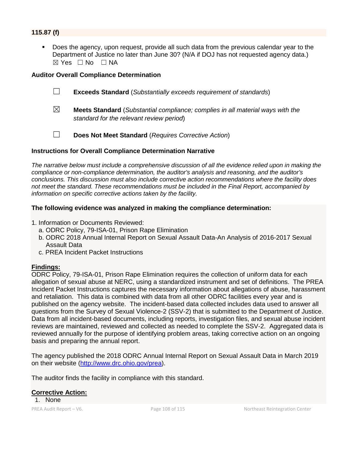## **115.87 (f)**

 Does the agency, upon request, provide all such data from the previous calendar year to the Department of Justice no later than June 30? (N/A if DOJ has not requested agency data.)  $\boxtimes$  Yes  $\Box$  No  $\Box$  NA

#### **Auditor Overall Compliance Determination**

- ☐ **Exceeds Standard** (*Substantially exceeds requirement of standards*)
- ☒ **Meets Standard** (*Substantial compliance; complies in all material ways with the standard for the relevant review period*)
- ☐ **Does Not Meet Standard** (*Requires Corrective Action*)

#### **Instructions for Overall Compliance Determination Narrative**

*The narrative below must include a comprehensive discussion of all the evidence relied upon in making the compliance or non-compliance determination, the auditor's analysis and reasoning, and the auditor's conclusions. This discussion must also include corrective action recommendations where the facility does not meet the standard. These recommendations must be included in the Final Report, accompanied by information on specific corrective actions taken by the facility.*

#### **The following evidence was analyzed in making the compliance determination:**

- 1. Information or Documents Reviewed:
	- a. ODRC Policy, 79-ISA-01, Prison Rape Elimination
	- b. ODRC 2018 Annual Internal Report on Sexual Assault Data-An Analysis of 2016-2017 Sexual Assault Data
	- c. PREA Incident Packet Instructions

#### **Findings:**

ODRC Policy, 79-ISA-01, Prison Rape Elimination requires the collection of uniform data for each allegation of sexual abuse at NERC, using a standardized instrument and set of definitions. The PREA Incident Packet Instructions captures the necessary information about allegations of abuse, harassment and retaliation. This data is combined with data from all other ODRC facilities every year and is published on the agency website. The incident-based data collected includes data used to answer all questions from the Survey of Sexual Violence-2 (SSV-2) that is submitted to the Department of Justice. Data from all incident-based documents, including reports, investigation files, and sexual abuse incident reviews are maintained, reviewed and collected as needed to complete the SSV-2. Aggregated data is reviewed annually for the purpose of identifying problem areas, taking corrective action on an ongoing basis and preparing the annual report.

The agency published the 2018 ODRC Annual Internal Report on Sexual Assault Data in March 2019 on their website [\(http://www.drc.ohio.gov/prea\)](http://www.drc.ohio.gov/prea).

The auditor finds the facility in compliance with this standard.

#### **Corrective Action:**

1. None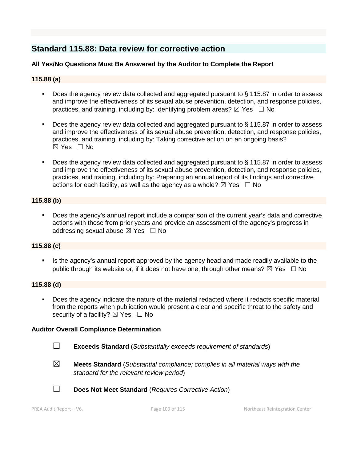# **Standard 115.88: Data review for corrective action**

## **All Yes/No Questions Must Be Answered by the Auditor to Complete the Report**

## **115.88 (a)**

- Does the agency review data collected and aggregated pursuant to § 115.87 in order to assess and improve the effectiveness of its sexual abuse prevention, detection, and response policies, practices, and training, including by: Identifying problem areas?  $\boxtimes$  Yes  $\Box$  No
- Does the agency review data collected and aggregated pursuant to § 115.87 in order to assess and improve the effectiveness of its sexual abuse prevention, detection, and response policies, practices, and training, including by: Taking corrective action on an ongoing basis?  $\boxtimes$  Yes  $\Box$  No
- Does the agency review data collected and aggregated pursuant to § 115.87 in order to assess and improve the effectiveness of its sexual abuse prevention, detection, and response policies, practices, and training, including by: Preparing an annual report of its findings and corrective actions for each facility, as well as the agency as a whole?  $\boxtimes$  Yes  $\Box$  No

## **115.88 (b)**

 Does the agency's annual report include a comparison of the current year's data and corrective actions with those from prior years and provide an assessment of the agency's progress in addressing sexual abuse  $\boxtimes$  Yes  $\Box$  No

## **115.88 (c)**

Is the agency's annual report approved by the agency head and made readily available to the public through its website or, if it does not have one, through other means?  $\boxtimes$  Yes  $\Box$  No

## **115.88 (d)**

 Does the agency indicate the nature of the material redacted where it redacts specific material from the reports when publication would present a clear and specific threat to the safety and security of a facility?  $\boxtimes$  Yes  $\Box$  No

## **Auditor Overall Compliance Determination**

- ☐ **Exceeds Standard** (*Substantially exceeds requirement of standards*)
- ☒ **Meets Standard** (*Substantial compliance; complies in all material ways with the standard for the relevant review period*)
- 
- ☐ **Does Not Meet Standard** (*Requires Corrective Action*)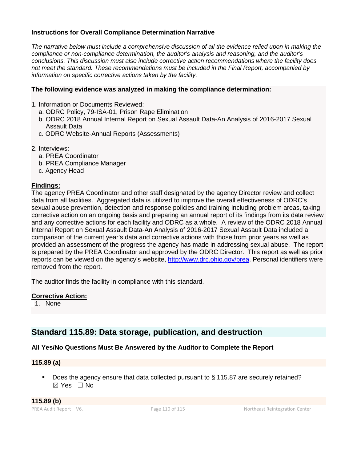## **Instructions for Overall Compliance Determination Narrative**

*The narrative below must include a comprehensive discussion of all the evidence relied upon in making the compliance or non-compliance determination, the auditor's analysis and reasoning, and the auditor's conclusions. This discussion must also include corrective action recommendations where the facility does not meet the standard. These recommendations must be included in the Final Report, accompanied by information on specific corrective actions taken by the facility.*

## **The following evidence was analyzed in making the compliance determination:**

- 1. Information or Documents Reviewed:
	- a. ODRC Policy, 79-ISA-01, Prison Rape Elimination
	- b. ODRC 2018 Annual Internal Report on Sexual Assault Data-An Analysis of 2016-2017 Sexual Assault Data
	- c. ODRC Website-Annual Reports (Assessments)
- 2. Interviews:
	- a. PREA Coordinator
	- b. PREA Compliance Manager
	- c. Agency Head

## **Findings:**

The agency PREA Coordinator and other staff designated by the agency Director review and collect data from all facilities. Aggregated data is utilized to improve the overall effectiveness of ODRC's sexual abuse prevention, detection and response policies and training including problem areas, taking corrective action on an ongoing basis and preparing an annual report of its findings from its data review and any corrective actions for each facility and ODRC as a whole. A review of the ODRC 2018 Annual Internal Report on Sexual Assault Data-An Analysis of 2016-2017 Sexual Assault Data included a comparison of the current year's data and corrective actions with those from prior years as well as provided an assessment of the progress the agency has made in addressing sexual abuse. The report is prepared by the PREA Coordinator and approved by the ODRC Director. This report as well as prior reports can be viewed on the agency's website, [http://www.drc.ohio.gov/prea.](http://www.drc.ohio.gov/prea) Personal identifiers were removed from the report.

The auditor finds the facility in compliance with this standard.

## **Corrective Action:**

1. None

## **Standard 115.89: Data storage, publication, and destruction**

## **All Yes/No Questions Must Be Answered by the Auditor to Complete the Report**

#### **115.89 (a)**

Does the agency ensure that data collected pursuant to § 115.87 are securely retained? ☒ Yes ☐ No

**115.89 (b)**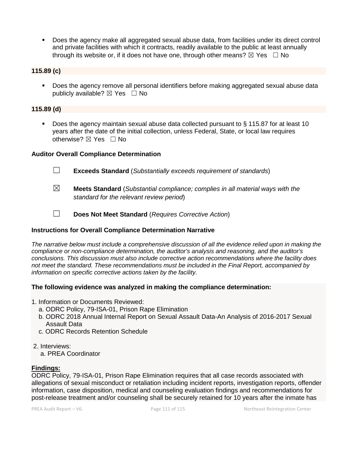Does the agency make all aggregated sexual abuse data, from facilities under its direct control and private facilities with which it contracts, readily available to the public at least annually through its website or, if it does not have one, through other means?  $\boxtimes$  Yes  $\Box$  No

## **115.89 (c)**

**Does the agency remove all personal identifiers before making aggregated sexual abuse data** publicly available?  $\boxtimes$  Yes  $\Box$  No

## **115.89 (d)**

 Does the agency maintain sexual abuse data collected pursuant to § 115.87 for at least 10 years after the date of the initial collection, unless Federal, State, or local law requires otherwise?  $\boxtimes$  Yes  $\Box$  No

## **Auditor Overall Compliance Determination**

- ☐ **Exceeds Standard** (*Substantially exceeds requirement of standards*)
- ☒ **Meets Standard** (*Substantial compliance; complies in all material ways with the standard for the relevant review period*)
- ☐ **Does Not Meet Standard** (*Requires Corrective Action*)

## **Instructions for Overall Compliance Determination Narrative**

*The narrative below must include a comprehensive discussion of all the evidence relied upon in making the compliance or non-compliance determination, the auditor's analysis and reasoning, and the auditor's conclusions. This discussion must also include corrective action recommendations where the facility does not meet the standard. These recommendations must be included in the Final Report, accompanied by information on specific corrective actions taken by the facility.*

#### **The following evidence was analyzed in making the compliance determination:**

- 1. Information or Documents Reviewed:
	- a. ODRC Policy, 79-ISA-01, Prison Rape Elimination
	- b. ODRC 2018 Annual Internal Report on Sexual Assault Data-An Analysis of 2016-2017 Sexual Assault Data
	- c. ODRC Records Retention Schedule

## 2. Interviews:

a. PREA Coordinator

## **Findings:**

ODRC Policy, 79-ISA-01, Prison Rape Elimination requires that all case records associated with allegations of sexual misconduct or retaliation including incident reports, investigation reports, offender information, case disposition, medical and counseling evaluation findings and recommendations for post-release treatment and/or counseling shall be securely retained for 10 years after the inmate has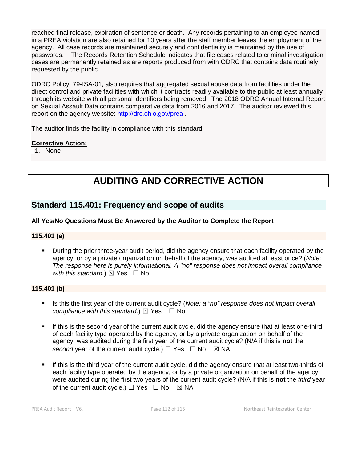reached final release, expiration of sentence or death. Any records pertaining to an employee named in a PREA violation are also retained for 10 years after the staff member leaves the employment of the agency. All case records are maintained securely and confidentiality is maintained by the use of passwords. The Records Retention Schedule indicates that file cases related to criminal investigation cases are permanently retained as are reports produced from with ODRC that contains data routinely requested by the public.

ODRC Policy, 79-ISA-01, also requires that aggregated sexual abuse data from facilities under the direct control and private facilities with which it contracts readily available to the public at least annually through its website with all personal identifiers being removed. The 2018 ODRC Annual Internal Report on Sexual Assault Data contains comparative data from 2016 and 2017. The auditor reviewed this report on the agency website:<http://drc.ohio.gov/prea> .

The auditor finds the facility in compliance with this standard.

## **Corrective Action:**

1. None

# **AUDITING AND CORRECTIVE ACTION**

## **Standard 115.401: Frequency and scope of audits**

## **All Yes/No Questions Must Be Answered by the Auditor to Complete the Report**

## **115.401 (a)**

 During the prior three-year audit period, did the agency ensure that each facility operated by the agency, or by a private organization on behalf of the agency, was audited at least once? (*Note: The response here is purely informational. A "no" response does not impact overall compliance with this standard.*)  $\boxtimes$  Yes  $\Box$  No

## **115.401 (b)**

- Is this the first year of the current audit cycle? (*Note: a "no" response does not impact overall compliance with this standard.*)  $\boxtimes$  Yes  $\Box$  No
- If this is the second year of the current audit cycle, did the agency ensure that at least one-third of each facility type operated by the agency, or by a private organization on behalf of the agency, was audited during the first year of the current audit cycle? (N/A if this is **not** the *second* year of the current audit cycle.)  $\Box$  Yes  $\Box$  No  $\boxtimes$  NA
- If this is the third year of the current audit cycle, did the agency ensure that at least two-thirds of each facility type operated by the agency, or by a private organization on behalf of the agency, were audited during the first two years of the current audit cycle? (N/A if this is **not** the *third* year of the current audit cycle.)  $\Box$  Yes  $\Box$  No  $\boxtimes$  NA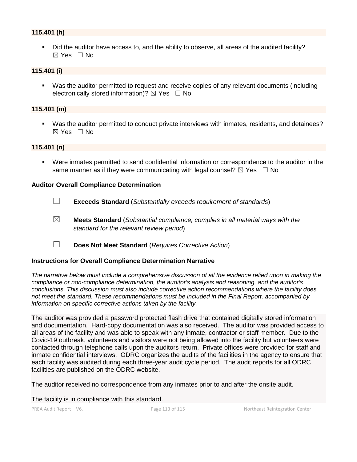## **115.401 (h)**

 Did the auditor have access to, and the ability to observe, all areas of the audited facility? ☒ Yes ☐ No

## **115.401 (i)**

 Was the auditor permitted to request and receive copies of any relevant documents (including electronically stored information)?  $\boxtimes$  Yes  $\Box$  No

#### **115.401 (m)**

 Was the auditor permitted to conduct private interviews with inmates, residents, and detainees? ☒ Yes ☐ No

## **115.401 (n)**

 Were inmates permitted to send confidential information or correspondence to the auditor in the same manner as if they were communicating with legal counsel?  $\boxtimes$  Yes  $\Box$  No

#### **Auditor Overall Compliance Determination**

- ☐ **Exceeds Standard** (*Substantially exceeds requirement of standards*)
- ☒ **Meets Standard** (*Substantial compliance; complies in all material ways with the standard for the relevant review period*)
- ☐ **Does Not Meet Standard** (*Requires Corrective Action*)

#### **Instructions for Overall Compliance Determination Narrative**

*The narrative below must include a comprehensive discussion of all the evidence relied upon in making the compliance or non-compliance determination, the auditor's analysis and reasoning, and the auditor's conclusions. This discussion must also include corrective action recommendations where the facility does not meet the standard. These recommendations must be included in the Final Report, accompanied by information on specific corrective actions taken by the facility.*

The auditor was provided a password protected flash drive that contained digitally stored information and documentation. Hard-copy documentation was also received. The auditor was provided access to all areas of the facility and was able to speak with any inmate, contractor or staff member. Due to the Covid-19 outbreak, volunteers and visitors were not being allowed into the facility but volunteers were contacted through telephone calls upon the auditors return. Private offices were provided for staff and inmate confidential interviews. ODRC organizes the audits of the facilities in the agency to ensure that each facility was audited during each three-year audit cycle period. The audit reports for all ODRC facilities are published on the ODRC website.

The auditor received no correspondence from any inmates prior to and after the onsite audit.

The facility is in compliance with this standard.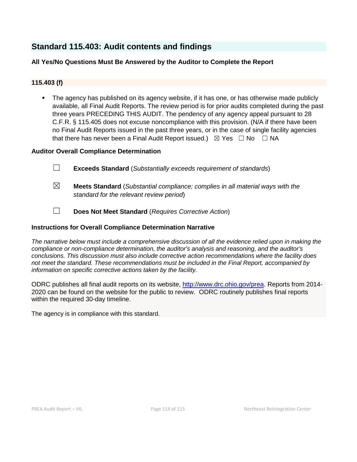# **Standard 115.403: Audit contents and findings**

## **All Yes/No Questions Must Be Answered by the Auditor to Complete the Report**

## **115.403 (f)**

 The agency has published on its agency website, if it has one, or has otherwise made publicly available, all Final Audit Reports. The review period is for prior audits completed during the past three years PRECEDING THIS AUDIT. The pendency of any agency appeal pursuant to 28 C.F.R. § 115.405 does not excuse noncompliance with this provision. (N/A if there have been no Final Audit Reports issued in the past three years, or in the case of single facility agencies that there has never been a Final Audit Report issued.)  $\boxtimes$  Yes  $\Box$  No  $\Box$  NA

## **Auditor Overall Compliance Determination**

- ☐ **Exceeds Standard** (*Substantially exceeds requirement of standards*)
- ☒ **Meets Standard** (*Substantial compliance; complies in all material ways with the standard for the relevant review period*)
- ☐ **Does Not Meet Standard** (*Requires Corrective Action*)

## **Instructions for Overall Compliance Determination Narrative**

*The narrative below must include a comprehensive discussion of all the evidence relied upon in making the compliance or non-compliance determination, the auditor's analysis and reasoning, and the auditor's conclusions. This discussion must also include corrective action recommendations where the facility does not meet the standard. These recommendations must be included in the Final Report, accompanied by information on specific corrective actions taken by the facility.*

ODRC publishes all final audit reports on its website, [http://www.drc.ohio.gov/prea.](http://www.drc.ohio.gov/prea) Reports from 2014- 2020 can be found on the website for the public to review. ODRC routinely publishes final reports within the required 30-day timeline.

The agency is in compliance with this standard.